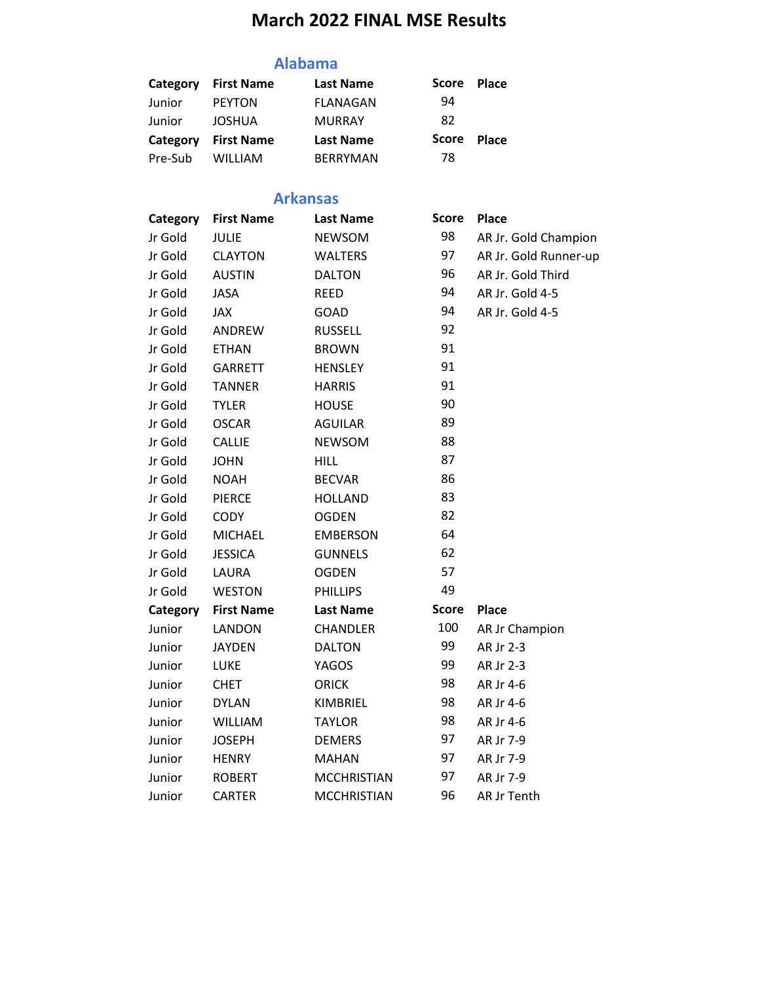# **March 2022 FINAL MSE Results**

#### **Alabama**

| Category | <b>First Name</b> | <b>Last Name</b> | <b>Score</b> | <b>Place</b> |
|----------|-------------------|------------------|--------------|--------------|
| Junior   | <b>PEYTON</b>     | FLANAGAN         | 94           |              |
| Junior   | <b>JOSHUA</b>     | <b>MURRAY</b>    | 82           |              |
| Category | <b>First Name</b> | <b>Last Name</b> | <b>Score</b> | <b>Place</b> |
| Pre-Sub  | <b>WILLIAM</b>    | <b>BERRYMAN</b>  | 78           |              |

#### **Arkansas**

| Category | <b>First Name</b> | <b>Last Name</b>   | <b>Score</b> | <b>Place</b>          |
|----------|-------------------|--------------------|--------------|-----------------------|
| Jr Gold  | <b>JULIE</b>      | <b>NEWSOM</b>      | 98           | AR Jr. Gold Champion  |
| Jr Gold  | <b>CLAYTON</b>    | <b>WALTERS</b>     | 97           | AR Jr. Gold Runner-up |
| Jr Gold  | <b>AUSTIN</b>     | <b>DALTON</b>      | 96           | AR Jr. Gold Third     |
| Jr Gold  | <b>JASA</b>       | <b>REED</b>        | 94           | AR Jr. Gold 4-5       |
| Jr Gold  | <b>JAX</b>        | <b>GOAD</b>        | 94           | AR Jr. Gold 4-5       |
| Jr Gold  | ANDREW            | <b>RUSSELL</b>     | 92           |                       |
| Jr Gold  | <b>ETHAN</b>      | <b>BROWN</b>       | 91           |                       |
| Jr Gold  | GARRETT           | <b>HENSLEY</b>     | 91           |                       |
| Jr Gold  | <b>TANNER</b>     | <b>HARRIS</b>      | 91           |                       |
| Jr Gold  | <b>TYLER</b>      | <b>HOUSE</b>       | 90           |                       |
| Jr Gold  | <b>OSCAR</b>      | <b>AGUILAR</b>     | 89           |                       |
| Jr Gold  | <b>CALLIE</b>     | <b>NEWSOM</b>      | 88           |                       |
| Jr Gold  | <b>JOHN</b>       | <b>HILL</b>        | 87           |                       |
| Jr Gold  | <b>NOAH</b>       | <b>BECVAR</b>      | 86           |                       |
| Jr Gold  | <b>PIERCE</b>     | <b>HOLLAND</b>     | 83           |                       |
| Jr Gold  | <b>CODY</b>       | <b>OGDEN</b>       | 82           |                       |
| Jr Gold  | <b>MICHAEL</b>    | <b>EMBERSON</b>    | 64           |                       |
| Jr Gold  | <b>JESSICA</b>    | <b>GUNNELS</b>     | 62           |                       |
| Jr Gold  | LAURA             | <b>OGDEN</b>       | 57           |                       |
| Jr Gold  | <b>WESTON</b>     | <b>PHILLIPS</b>    | 49           |                       |
| Category | <b>First Name</b> | <b>Last Name</b>   | <b>Score</b> | <b>Place</b>          |
| Junior   | <b>LANDON</b>     | <b>CHANDLER</b>    | 100          | AR Jr Champion        |
| Junior   | <b>JAYDEN</b>     | <b>DALTON</b>      | 99           | AR Jr 2-3             |
| Junior   | LUKE              | YAGOS              | 99           | AR Jr 2-3             |
| Junior   | <b>CHET</b>       | <b>ORICK</b>       | 98           | AR Jr 4-6             |
| Junior   | <b>DYLAN</b>      | KIMBRIEL           | 98           | AR Jr 4-6             |
| Junior   | <b>WILLIAM</b>    | <b>TAYLOR</b>      | 98           | AR Jr 4-6             |
| Junior   | <b>JOSEPH</b>     | <b>DEMERS</b>      | 97           | AR Jr 7-9             |
| Junior   | <b>HENRY</b>      | <b>MAHAN</b>       | 97           | AR Jr 7-9             |
| Junior   | <b>ROBERT</b>     | <b>MCCHRISTIAN</b> | 97           | AR Jr 7-9             |
| Junior   | <b>CARTER</b>     | <b>MCCHRISTIAN</b> | 96           | AR Jr Tenth           |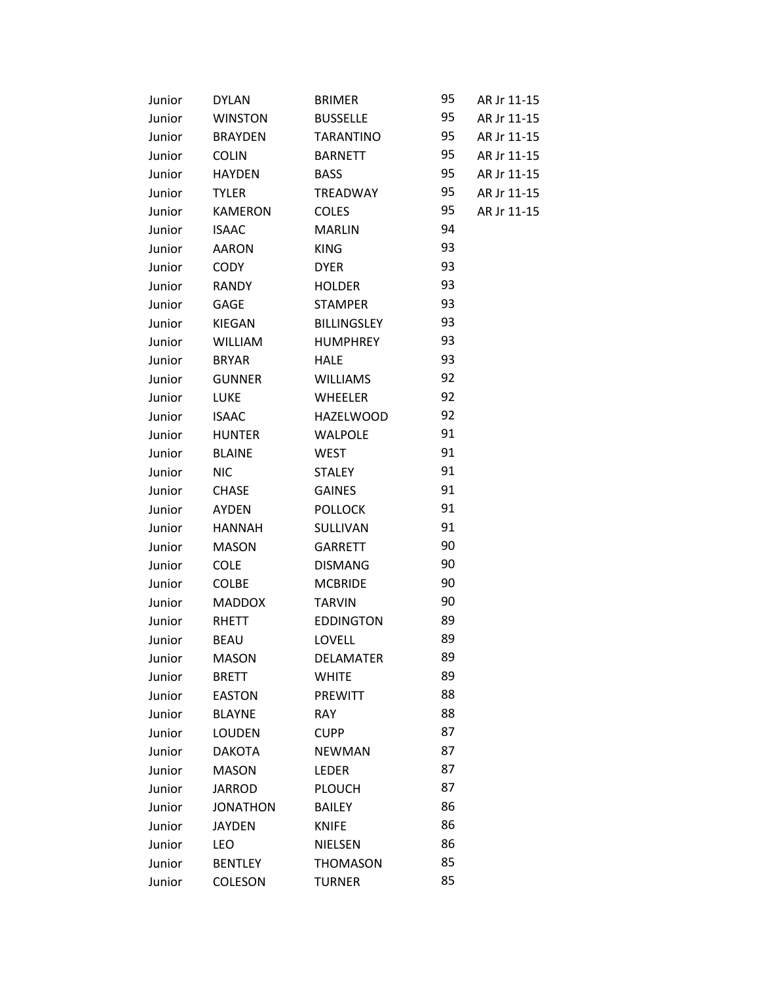| Junior | <b>DYLAN</b>    | <b>BRIMER</b>    | 95 | AR Jr 11-15 |
|--------|-----------------|------------------|----|-------------|
| Junior | <b>WINSTON</b>  | <b>BUSSELLE</b>  | 95 | AR Jr 11-15 |
| Junior | <b>BRAYDEN</b>  | TARANTINO        | 95 | AR Jr 11-15 |
| Junior | <b>COLIN</b>    | <b>BARNETT</b>   | 95 | AR Jr 11-15 |
| Junior | <b>HAYDEN</b>   | <b>BASS</b>      | 95 | AR Jr 11-15 |
| Junior | <b>TYLER</b>    | TREADWAY         | 95 | AR Jr 11-15 |
| Junior | <b>KAMERON</b>  | <b>COLES</b>     | 95 | AR Jr 11-15 |
| Junior | <b>ISAAC</b>    | <b>MARLIN</b>    | 94 |             |
| Junior | <b>AARON</b>    | <b>KING</b>      | 93 |             |
| Junior | <b>CODY</b>     | <b>DYER</b>      | 93 |             |
| Junior | RANDY           | <b>HOLDER</b>    | 93 |             |
| Junior | GAGE            | <b>STAMPER</b>   | 93 |             |
| Junior | KIEGAN          | BILLINGSLEY      | 93 |             |
| Junior | WILLIAM         | HUMPHREY         | 93 |             |
| Junior | <b>BRYAR</b>    | HALE             | 93 |             |
| Junior | <b>GUNNER</b>   | <b>WILLIAMS</b>  | 92 |             |
| Junior | LUKE            | <b>WHEELER</b>   | 92 |             |
| Junior | ISAAC           | <b>HAZELWOOD</b> | 92 |             |
| Junior | <b>HUNTER</b>   | <b>WALPOLE</b>   | 91 |             |
| Junior | <b>BLAINE</b>   | <b>WEST</b>      | 91 |             |
| Junior | <b>NIC</b>      | STALEY           | 91 |             |
| Junior | <b>CHASE</b>    | <b>GAINES</b>    | 91 |             |
| Junior | AYDEN           | <b>POLLOCK</b>   | 91 |             |
| Junior | <b>HANNAH</b>   | SULLIVAN         | 91 |             |
| Junior | <b>MASON</b>    | GARRETT          | 90 |             |
| Junior | <b>COLE</b>     | <b>DISMANG</b>   | 90 |             |
| Junior | <b>COLBE</b>    | <b>MCBRIDE</b>   | 90 |             |
| Junior | <b>MADDOX</b>   | <b>TARVIN</b>    | 90 |             |
| Junior | RHETT           | <b>EDDINGTON</b> | 89 |             |
| Junior | <b>BEAU</b>     | <b>LOVELL</b>    | 89 |             |
| Junior | <b>MASON</b>    | <b>DELAMATER</b> | 89 |             |
| Junior | <b>BRETT</b>    | <b>WHITE</b>     | 89 |             |
| Junior | <b>EASTON</b>   | <b>PREWITT</b>   | 88 |             |
| Junior | <b>BLAYNE</b>   | <b>RAY</b>       | 88 |             |
| Junior | <b>LOUDEN</b>   | <b>CUPP</b>      | 87 |             |
| Junior | <b>DAKOTA</b>   | <b>NEWMAN</b>    | 87 |             |
| Junior | <b>MASON</b>    | <b>LEDER</b>     | 87 |             |
| Junior | <b>JARROD</b>   | <b>PLOUCH</b>    | 87 |             |
| Junior | <b>JONATHON</b> | <b>BAILEY</b>    | 86 |             |
| Junior | <b>JAYDEN</b>   | <b>KNIFE</b>     | 86 |             |
| Junior | LEO             | <b>NIELSEN</b>   | 86 |             |
| Junior | <b>BENTLEY</b>  | <b>THOMASON</b>  | 85 |             |
| Junior | COLESON         | <b>TURNER</b>    | 85 |             |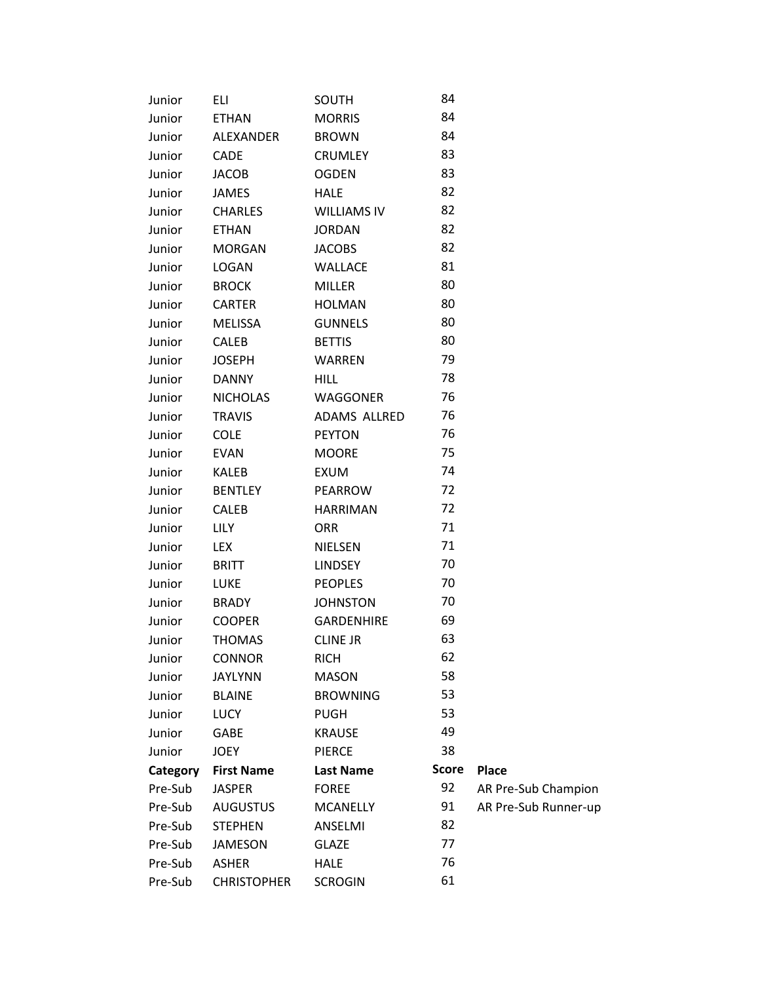| Junior   | ELI                | SOUTH              | 84           |                      |
|----------|--------------------|--------------------|--------------|----------------------|
| Junior   | <b>ETHAN</b>       | <b>MORRIS</b>      | 84           |                      |
| Junior   | ALEXANDER          | <b>BROWN</b>       | 84           |                      |
| Junior   | <b>CADE</b>        | <b>CRUMLEY</b>     | 83           |                      |
| Junior   | JACOB              | <b>OGDEN</b>       | 83           |                      |
| Junior   | JAMES              | <b>HALE</b>        | 82           |                      |
| Junior   | <b>CHARLES</b>     | <b>WILLIAMS IV</b> | 82           |                      |
| Junior   | <b>ETHAN</b>       | <b>JORDAN</b>      | 82           |                      |
| Junior   | <b>MORGAN</b>      | <b>JACOBS</b>      | 82           |                      |
| Junior   | <b>LOGAN</b>       | <b>WALLACE</b>     | 81           |                      |
| Junior   | <b>BROCK</b>       | <b>MILLER</b>      | 80           |                      |
| Junior   | <b>CARTER</b>      | <b>HOLMAN</b>      | 80           |                      |
| Junior   | MELISSA            | <b>GUNNELS</b>     | 80           |                      |
| Junior   | <b>CALEB</b>       | <b>BETTIS</b>      | 80           |                      |
| Junior   | <b>JOSEPH</b>      | <b>WARREN</b>      | 79           |                      |
| Junior   | <b>DANNY</b>       | <b>HILL</b>        | 78           |                      |
| Junior   | <b>NICHOLAS</b>    | WAGGONER           | 76           |                      |
| Junior   | <b>TRAVIS</b>      | ADAMS ALLRED       | 76           |                      |
| Junior   | <b>COLE</b>        | <b>PEYTON</b>      | 76           |                      |
| Junior   | <b>EVAN</b>        | <b>MOORE</b>       | 75           |                      |
| Junior   | KALEB              | EXUM               | 74           |                      |
| Junior   | <b>BENTLEY</b>     | PEARROW            | 72           |                      |
| Junior   | <b>CALEB</b>       | <b>HARRIMAN</b>    | 72           |                      |
| Junior   | <b>LILY</b>        | <b>ORR</b>         | 71           |                      |
| Junior   | LEX                | <b>NIELSEN</b>     | 71           |                      |
| Junior   | BRITT              | <b>LINDSEY</b>     | 70           |                      |
| Junior   | LUKE               | <b>PEOPLES</b>     | 70           |                      |
| Junior   | <b>BRADY</b>       | <b>JOHNSTON</b>    | 70           |                      |
| Junior   | <b>COOPER</b>      | <b>GARDENHIRE</b>  | 69           |                      |
| Junior   | <b>THOMAS</b>      | <b>CLINE JR</b>    | 63           |                      |
| Junior   | <b>CONNOR</b>      | <b>RICH</b>        | 62           |                      |
| Junior   | <b>JAYLYNN</b>     | <b>MASON</b>       | 58           |                      |
| Junior   | <b>BLAINE</b>      | <b>BROWNING</b>    | 53           |                      |
| Junior   | <b>LUCY</b>        | <b>PUGH</b>        | 53           |                      |
| Junior   | <b>GABE</b>        | <b>KRAUSE</b>      | 49           |                      |
| Junior   | <b>JOEY</b>        | <b>PIERCE</b>      | 38           |                      |
| Category | <b>First Name</b>  | <b>Last Name</b>   | <b>Score</b> | <b>Place</b>         |
| Pre-Sub  | <b>JASPER</b>      | <b>FOREE</b>       | 92           | AR Pre-Sub Champion  |
| Pre-Sub  | <b>AUGUSTUS</b>    | <b>MCANELLY</b>    | 91           | AR Pre-Sub Runner-up |
| Pre-Sub  | <b>STEPHEN</b>     | ANSELMI            | 82           |                      |
| Pre-Sub  | <b>JAMESON</b>     | <b>GLAZE</b>       | 77           |                      |
| Pre-Sub  | <b>ASHER</b>       | <b>HALE</b>        | 76           |                      |
| Pre-Sub  | <b>CHRISTOPHER</b> | <b>SCROGIN</b>     | 61           |                      |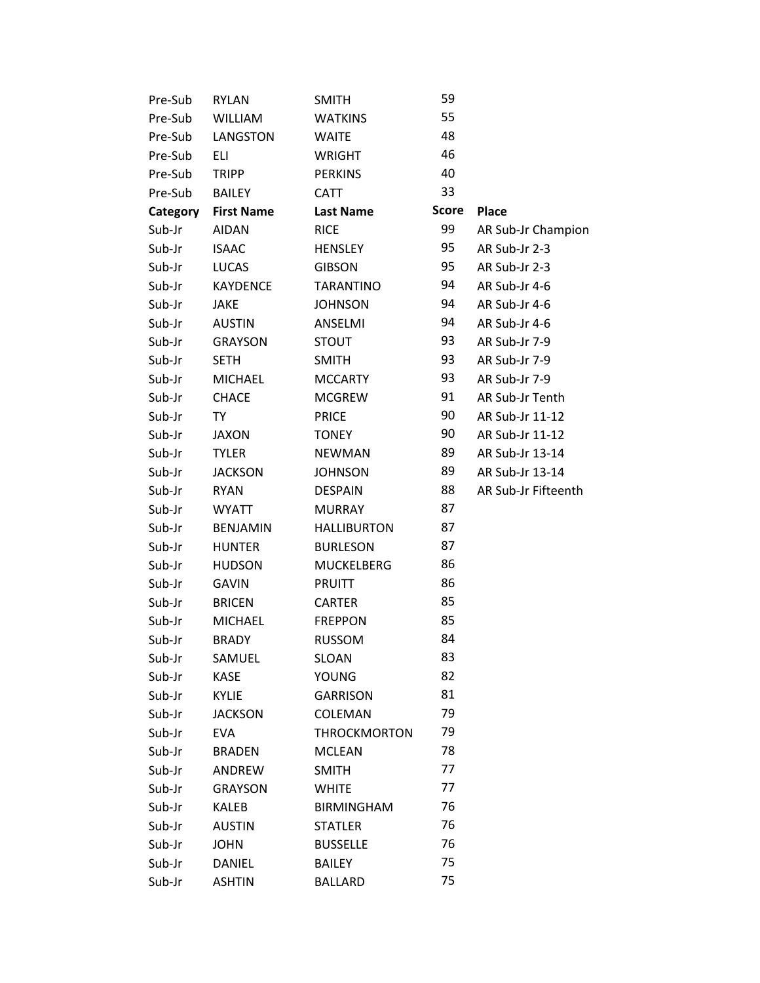| Pre-Sub  | <b>RYLAN</b>      | <b>SMITH</b>        | 59           |                     |
|----------|-------------------|---------------------|--------------|---------------------|
| Pre-Sub  | <b>WILLIAM</b>    | <b>WATKINS</b>      | 55           |                     |
| Pre-Sub  | LANGSTON          | <b>WAITE</b>        | 48           |                     |
| Pre-Sub  | ELI               | <b>WRIGHT</b>       | 46           |                     |
| Pre-Sub  | <b>TRIPP</b>      | <b>PERKINS</b>      | 40           |                     |
| Pre-Sub  | BAILEY            | CATT                | 33           |                     |
| Category | <b>First Name</b> | <b>Last Name</b>    | <b>Score</b> | <b>Place</b>        |
| Sub-Jr   | <b>AIDAN</b>      | <b>RICE</b>         | 99           | AR Sub-Jr Champion  |
| Sub-Jr   | <b>ISAAC</b>      | <b>HENSLEY</b>      | 95           | AR Sub-Jr 2-3       |
| Sub-Jr   | LUCAS             | <b>GIBSON</b>       | 95           | AR Sub-Jr 2-3       |
| Sub-Jr   | <b>KAYDENCE</b>   | <b>TARANTINO</b>    | 94           | AR Sub-Jr 4-6       |
| Sub-Jr   | <b>JAKE</b>       | <b>JOHNSON</b>      | 94           | AR Sub-Jr 4-6       |
| Sub-Jr   | <b>AUSTIN</b>     | ANSELMI             | 94           | AR Sub-Jr 4-6       |
| Sub-Jr   | <b>GRAYSON</b>    | <b>STOUT</b>        | 93           | AR Sub-Jr 7-9       |
| Sub-Jr   | <b>SETH</b>       | <b>SMITH</b>        | 93           | AR Sub-Jr 7-9       |
| Sub-Jr   | <b>MICHAEL</b>    | <b>MCCARTY</b>      | 93           | AR Sub-Jr 7-9       |
| Sub-Jr   | <b>CHACE</b>      | <b>MCGREW</b>       | 91           | AR Sub-Jr Tenth     |
| Sub-Jr   | TY                | <b>PRICE</b>        | 90           | AR Sub-Jr 11-12     |
| Sub-Jr   | <b>JAXON</b>      | <b>TONEY</b>        | 90           | AR Sub-Jr 11-12     |
| Sub-Jr   | <b>TYLER</b>      | <b>NEWMAN</b>       | 89           | AR Sub-Jr 13-14     |
| Sub-Jr   | <b>JACKSON</b>    | <b>JOHNSON</b>      | 89           | AR Sub-Jr 13-14     |
| Sub-Jr   | <b>RYAN</b>       | <b>DESPAIN</b>      | 88           | AR Sub-Jr Fifteenth |
| Sub-Jr   | <b>WYATT</b>      | <b>MURRAY</b>       | 87           |                     |
| Sub-Jr   | <b>BENJAMIN</b>   | <b>HALLIBURTON</b>  | 87           |                     |
| Sub-Jr   | <b>HUNTER</b>     | <b>BURLESON</b>     | 87           |                     |
| Sub-Jr   | <b>HUDSON</b>     | <b>MUCKELBERG</b>   | 86           |                     |
| Sub-Jr   | <b>GAVIN</b>      | PRUITT              | 86           |                     |
| Sub-Jr   | <b>BRICEN</b>     | <b>CARTER</b>       | 85           |                     |
| Sub-Jr   | <b>MICHAEL</b>    | <b>FREPPON</b>      | 85           |                     |
| Sub-Jr   | <b>BRADY</b>      | <b>RUSSOM</b>       | 84           |                     |
| Sub-Jr   | SAMUEL            | <b>SLOAN</b>        | 83           |                     |
| Sub-Jr   | <b>KASE</b>       | <b>YOUNG</b>        | 82           |                     |
| Sub-Jr   | <b>KYLIE</b>      | <b>GARRISON</b>     | 81           |                     |
| Sub-Jr   | <b>JACKSON</b>    | COLEMAN             | 79           |                     |
| Sub-Jr   | <b>EVA</b>        | <b>THROCKMORTON</b> | 79           |                     |
| Sub-Jr   | <b>BRADEN</b>     | <b>MCLEAN</b>       | 78           |                     |
| Sub-Jr   | ANDREW            | <b>SMITH</b>        | 77           |                     |
| Sub-Jr   | <b>GRAYSON</b>    | <b>WHITE</b>        | 77           |                     |
| Sub-Jr   | KALEB             | <b>BIRMINGHAM</b>   | 76           |                     |
| Sub-Jr   | <b>AUSTIN</b>     | <b>STATLER</b>      | 76           |                     |
| Sub-Jr   | <b>JOHN</b>       | <b>BUSSELLE</b>     | 76           |                     |
| Sub-Jr   | <b>DANIEL</b>     | <b>BAILEY</b>       | 75           |                     |
| Sub-Jr   | <b>ASHTIN</b>     | <b>BALLARD</b>      | 75           |                     |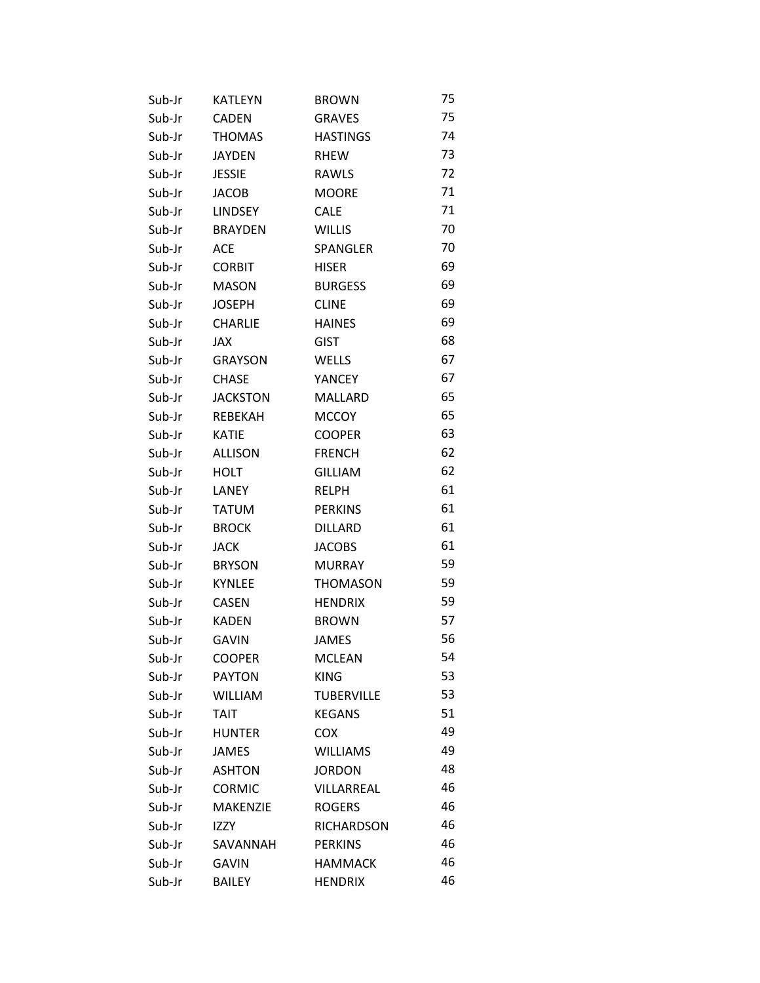| Sub-Jr | <b>KATLEYN</b>  | <b>BROWN</b>      | 75 |
|--------|-----------------|-------------------|----|
| Sub-Jr | <b>CADEN</b>    | <b>GRAVES</b>     | 75 |
| Sub-Jr | <b>THOMAS</b>   | <b>HASTINGS</b>   | 74 |
| Sub-Jr | <b>JAYDEN</b>   | RHEW              | 73 |
| Sub-Jr | <b>JESSIE</b>   | RAWLS             | 72 |
| Sub-Jr | <b>JACOB</b>    | <b>MOORE</b>      | 71 |
| Sub-Jr | LINDSEY         | <b>CALE</b>       | 71 |
| Sub-Jr | <b>BRAYDEN</b>  | <b>WILLIS</b>     | 70 |
| Sub-Jr | ACE.            | SPANGLER          | 70 |
| Sub-Jr | <b>CORBIT</b>   | <b>HISER</b>      | 69 |
| Sub-Jr | <b>MASON</b>    | <b>BURGESS</b>    | 69 |
| Sub-Jr | <b>JOSEPH</b>   | <b>CLINE</b>      | 69 |
| Sub-Jr | <b>CHARLIE</b>  | <b>HAINES</b>     | 69 |
| Sub-Jr | JAX             | <b>GIST</b>       | 68 |
| Sub-Jr | <b>GRAYSON</b>  | <b>WELLS</b>      | 67 |
| Sub-Jr | <b>CHASE</b>    | YANCEY            | 67 |
| Sub-Jr | <b>JACKSTON</b> | MALLARD           | 65 |
| Sub-Jr | REBEKAH         | <b>MCCOY</b>      | 65 |
| Sub-Jr | <b>KATIE</b>    | <b>COOPER</b>     | 63 |
| Sub-Jr | <b>ALLISON</b>  | <b>FRENCH</b>     | 62 |
| Sub-Jr | <b>HOLT</b>     | <b>GILLIAM</b>    | 62 |
| Sub-Jr | LANEY           | <b>RELPH</b>      | 61 |
| Sub-Jr | <b>TATUM</b>    | <b>PERKINS</b>    | 61 |
| Sub-Jr | <b>BROCK</b>    | <b>DILLARD</b>    | 61 |
| Sub-Jr | JACK            | <b>JACOBS</b>     | 61 |
| Sub-Jr | <b>BRYSON</b>   | <b>MURRAY</b>     | 59 |
| Sub-Jr | <b>KYNLEE</b>   | <b>THOMASON</b>   | 59 |
| Sub-Jr | <b>CASEN</b>    | <b>HENDRIX</b>    | 59 |
| Sub-Jr | KADEN           | <b>BROWN</b>      | 57 |
| Sub-Jr | <b>GAVIN</b>    | <b>JAMES</b>      | 56 |
| Sub-Jr | <b>COOPER</b>   | <b>MCLEAN</b>     | 54 |
| Sub-Jr | <b>PAYTON</b>   | <b>KING</b>       | 53 |
| Sub-Jr | <b>WILLIAM</b>  | <b>TUBERVILLE</b> | 53 |
| Sub-Jr | <b>TAIT</b>     | <b>KEGANS</b>     | 51 |
| Sub-Jr | <b>HUNTER</b>   | <b>COX</b>        | 49 |
| Sub-Jr | <b>JAMES</b>    | <b>WILLIAMS</b>   | 49 |
| Sub-Jr | <b>ASHTON</b>   | <b>JORDON</b>     | 48 |
| Sub-Jr | <b>CORMIC</b>   | VILLARREAL        | 46 |
| Sub-Jr | <b>MAKENZIE</b> | <b>ROGERS</b>     | 46 |
| Sub-Jr | <b>IZZY</b>     | RICHARDSON        | 46 |
| Sub-Jr | SAVANNAH        | <b>PERKINS</b>    | 46 |
| Sub-Jr | <b>GAVIN</b>    | <b>HAMMACK</b>    | 46 |
| Sub-Jr | BAILEY          | <b>HENDRIX</b>    | 46 |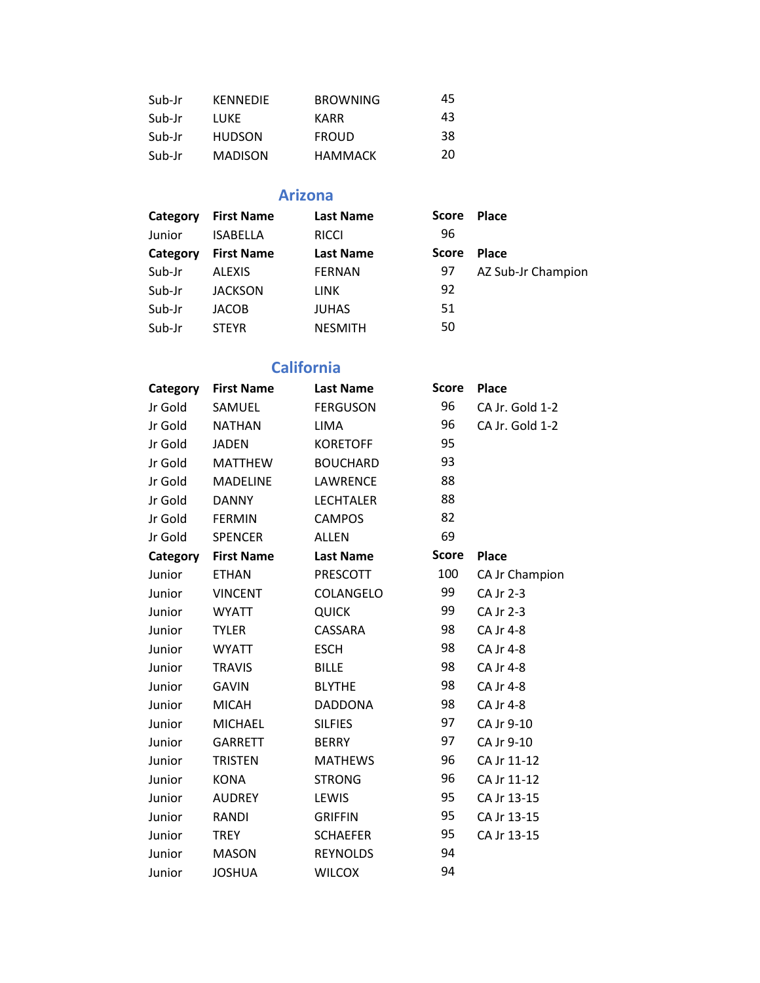| Sub-Jr | <b>KENNEDIE</b> | <b>BROWNING</b> | 45 |
|--------|-----------------|-----------------|----|
| Sub-Jr | LUKE            | KARR            | 43 |
| Sub-Jr | <b>HUDSON</b>   | <b>FROUD</b>    | 38 |
| Sub-Jr | <b>MADISON</b>  | HAMMACK         | 20 |

#### **Arizona**

| Category | <b>First Name</b> | <b>Last Name</b> | <b>Score</b> | <b>Place</b>       |
|----------|-------------------|------------------|--------------|--------------------|
| Junior   | <b>ISABELLA</b>   | <b>RICCI</b>     | 96           |                    |
| Category | <b>First Name</b> | <b>Last Name</b> | <b>Score</b> | <b>Place</b>       |
| Sub-Jr   | <b>ALEXIS</b>     | <b>FERNAN</b>    | 97           | AZ Sub-Jr Champion |
| Sub-Jr   | <b>JACKSON</b>    | <b>LINK</b>      | 92           |                    |
| Sub-Jr   | <b>JACOB</b>      | <b>JUHAS</b>     | 51           |                    |
| Sub-Jr   | <b>STEYR</b>      | <b>NESMITH</b>   | 50           |                    |

## **California**

| Category | <b>First Name</b> | <b>Last Name</b> | <b>Score</b> | <b>Place</b>    |
|----------|-------------------|------------------|--------------|-----------------|
| Jr Gold  | SAMUEL            | <b>FERGUSON</b>  | 96           | CA Jr. Gold 1-2 |
| Jr Gold  | <b>NATHAN</b>     | <b>LIMA</b>      | 96           | CA Jr. Gold 1-2 |
| Jr Gold  | <b>JADEN</b>      | <b>KORETOFF</b>  | 95           |                 |
| Jr Gold  | <b>MATTHEW</b>    | <b>BOUCHARD</b>  | 93           |                 |
| Jr Gold  | <b>MADELINE</b>   | LAWRENCE         | 88           |                 |
| Jr Gold  | <b>DANNY</b>      | <b>LECHTALER</b> | 88           |                 |
| Jr Gold  | <b>FERMIN</b>     | <b>CAMPOS</b>    | 82           |                 |
| Jr Gold  | <b>SPENCER</b>    | <b>ALLEN</b>     | 69           |                 |
| Category | <b>First Name</b> | <b>Last Name</b> | <b>Score</b> | Place           |
| Junior   | <b>ETHAN</b>      | PRESCOTT         | 100          | CA Jr Champion  |
| Junior   | <b>VINCENT</b>    | COLANGELO        | 99           | CA Jr 2-3       |
| Junior   | <b>WYATT</b>      | <b>QUICK</b>     | 99           | CA Jr 2-3       |
| Junior   | <b>TYLER</b>      | CASSARA          | 98           | CA Jr 4-8       |
| Junior   | <b>WYATT</b>      | <b>ESCH</b>      | 98           | CA Jr 4-8       |
| Junior   | <b>TRAVIS</b>     | <b>BILLE</b>     | 98           | CA Jr 4-8       |
| Junior   | <b>GAVIN</b>      | <b>BLYTHE</b>    | 98           | CA Jr 4-8       |
| Junior   | <b>MICAH</b>      | <b>DADDONA</b>   | 98           | CA Jr 4-8       |
| Junior   | <b>MICHAEL</b>    | <b>SILFIES</b>   | 97           | CA Jr 9-10      |
| Junior   | <b>GARRETT</b>    | <b>BERRY</b>     | 97           | CA Jr 9-10      |
| Junior   | <b>TRISTEN</b>    | <b>MATHEWS</b>   | 96           | CA Jr 11-12     |
| Junior   | <b>KONA</b>       | <b>STRONG</b>    | 96           | CA Jr 11-12     |
| Junior   | <b>AUDREY</b>     | LEWIS            | 95           | CA Jr 13-15     |
| Junior   | <b>RANDI</b>      | <b>GRIFFIN</b>   | 95           | CA Jr 13-15     |
| Junior   | <b>TREY</b>       | <b>SCHAEFER</b>  | 95           | CA Jr 13-15     |
| Junior   | <b>MASON</b>      | <b>REYNOLDS</b>  | 94           |                 |
| Junior   | <b>JOSHUA</b>     | <b>WILCOX</b>    | 94           |                 |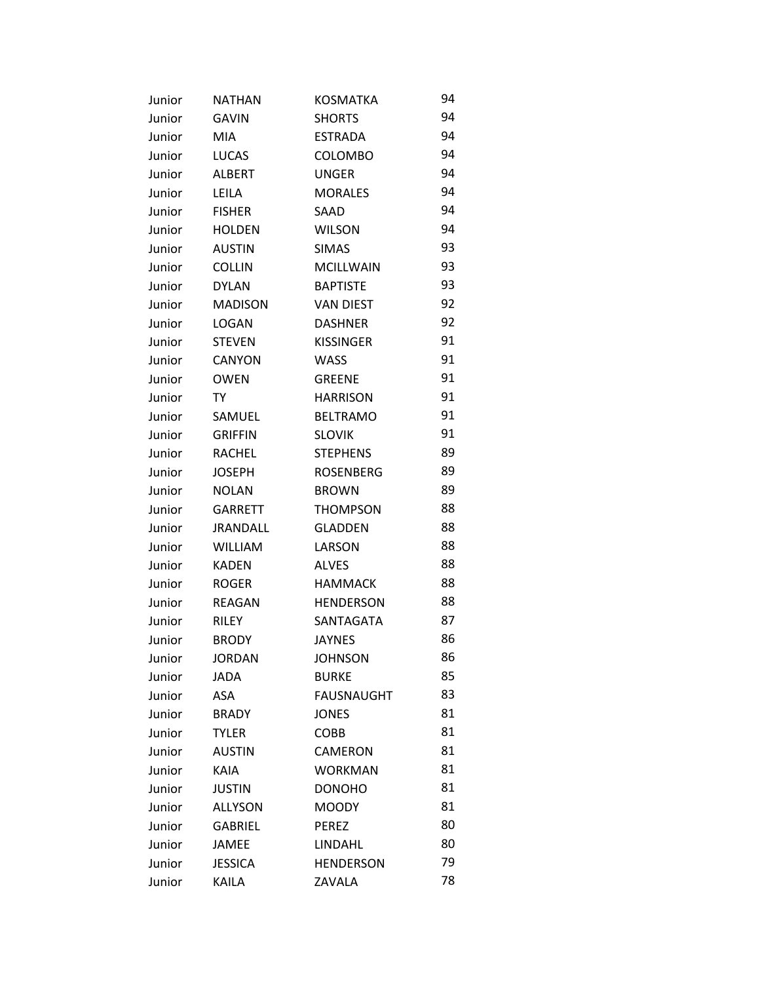| Junior | <b>NATHAN</b>   | <b>KOSMATKA</b>   | 94 |
|--------|-----------------|-------------------|----|
| Junior | <b>GAVIN</b>    | <b>SHORTS</b>     | 94 |
| Junior | <b>MIA</b>      | <b>ESTRADA</b>    | 94 |
| Junior | <b>LUCAS</b>    | COLOMBO           | 94 |
| Junior | <b>ALBERT</b>   | <b>UNGER</b>      | 94 |
| Junior | LEILA           | <b>MORALES</b>    | 94 |
| Junior | <b>FISHER</b>   | SAAD              | 94 |
| Junior | <b>HOLDEN</b>   | <b>WILSON</b>     | 94 |
| Junior | <b>AUSTIN</b>   | <b>SIMAS</b>      | 93 |
| Junior | <b>COLLIN</b>   | <b>MCILLWAIN</b>  | 93 |
| Junior | <b>DYLAN</b>    | <b>BAPTISTE</b>   | 93 |
| Junior | <b>MADISON</b>  | <b>VAN DIEST</b>  | 92 |
| Junior | <b>LOGAN</b>    | <b>DASHNER</b>    | 92 |
| Junior | <b>STEVEN</b>   | <b>KISSINGER</b>  | 91 |
| Junior | <b>CANYON</b>   | <b>WASS</b>       | 91 |
| Junior | <b>OWEN</b>     | <b>GREENE</b>     | 91 |
| Junior | TY              | <b>HARRISON</b>   | 91 |
| Junior | SAMUEL          | <b>BELTRAMO</b>   | 91 |
| Junior | <b>GRIFFIN</b>  | <b>SLOVIK</b>     | 91 |
| Junior | <b>RACHEL</b>   | <b>STEPHENS</b>   | 89 |
| Junior | <b>JOSEPH</b>   | <b>ROSENBERG</b>  | 89 |
| Junior | <b>NOLAN</b>    | <b>BROWN</b>      | 89 |
| Junior | <b>GARRETT</b>  | <b>THOMPSON</b>   | 88 |
| Junior | <b>JRANDALL</b> | <b>GLADDEN</b>    | 88 |
| Junior | <b>WILLIAM</b>  | LARSON            | 88 |
| Junior | <b>KADEN</b>    | <b>ALVES</b>      | 88 |
| Junior | <b>ROGER</b>    | <b>HAMMACK</b>    | 88 |
| Junior | <b>REAGAN</b>   | <b>HENDERSON</b>  | 88 |
| Junior | RILEY           | SANTAGATA         | 87 |
| Junior | <b>BRODY</b>    | <b>JAYNES</b>     | 86 |
| Junior | <b>JORDAN</b>   | <b>JOHNSON</b>    | 86 |
| Junior | <b>JADA</b>     | <b>BURKE</b>      | 85 |
| Junior | ASA             | <b>FAUSNAUGHT</b> | 83 |
| Junior | <b>BRADY</b>    | <b>JONES</b>      | 81 |
| Junior | <b>TYLER</b>    | COBB              | 81 |
| Junior | <b>AUSTIN</b>   | CAMERON           | 81 |
| Junior | <b>KAIA</b>     | <b>WORKMAN</b>    | 81 |
| Junior | <b>JUSTIN</b>   | <b>DONOHO</b>     | 81 |
| Junior | <b>ALLYSON</b>  | <b>MOODY</b>      | 81 |
| Junior | <b>GABRIEL</b>  | <b>PEREZ</b>      | 80 |
| Junior | <b>JAMEE</b>    | LINDAHL           | 80 |
| Junior | <b>JESSICA</b>  | <b>HENDERSON</b>  | 79 |
| Junior | KAILA           | ZAVALA            | 78 |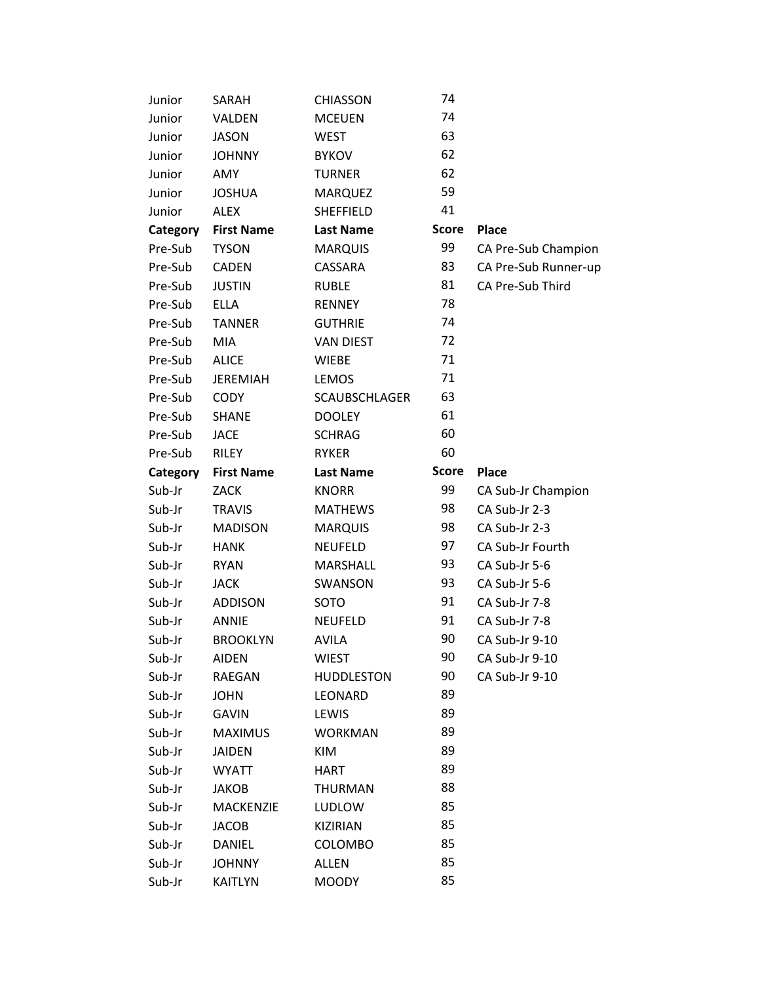| Junior   | SARAH             | <b>CHIASSON</b>      | 74           |                      |
|----------|-------------------|----------------------|--------------|----------------------|
| Junior   | VALDEN            | <b>MCEUEN</b>        | 74           |                      |
| Junior   | <b>JASON</b>      | <b>WEST</b>          | 63           |                      |
| Junior   | <b>JOHNNY</b>     | <b>BYKOV</b>         | 62           |                      |
| Junior   | AMY               | <b>TURNER</b>        | 62           |                      |
| Junior   | <b>JOSHUA</b>     | <b>MARQUEZ</b>       | 59           |                      |
| Junior   | <b>ALEX</b>       | SHEFFIELD            | 41           |                      |
| Category | <b>First Name</b> | <b>Last Name</b>     | <b>Score</b> | <b>Place</b>         |
| Pre-Sub  | <b>TYSON</b>      | <b>MARQUIS</b>       | 99           | CA Pre-Sub Champion  |
| Pre-Sub  | <b>CADEN</b>      | CASSARA              | 83           | CA Pre-Sub Runner-up |
| Pre-Sub  | <b>JUSTIN</b>     | <b>RUBLE</b>         | 81           | CA Pre-Sub Third     |
| Pre-Sub  | <b>ELLA</b>       | <b>RENNEY</b>        | 78           |                      |
| Pre-Sub  | <b>TANNER</b>     | <b>GUTHRIE</b>       | 74           |                      |
| Pre-Sub  | <b>MIA</b>        | <b>VAN DIEST</b>     | 72           |                      |
| Pre-Sub  | <b>ALICE</b>      | <b>WIEBE</b>         | 71           |                      |
| Pre-Sub  | <b>JEREMIAH</b>   | <b>LEMOS</b>         | 71           |                      |
| Pre-Sub  | <b>CODY</b>       | <b>SCAUBSCHLAGER</b> | 63           |                      |
| Pre-Sub  | <b>SHANE</b>      | <b>DOOLEY</b>        | 61           |                      |
| Pre-Sub  | <b>JACE</b>       | <b>SCHRAG</b>        | 60           |                      |
| Pre-Sub  | <b>RILEY</b>      | <b>RYKER</b>         | 60           |                      |
| Category | <b>First Name</b> | <b>Last Name</b>     | <b>Score</b> | <b>Place</b>         |
| Sub-Jr   | <b>ZACK</b>       | <b>KNORR</b>         | 99           | CA Sub-Jr Champion   |
| Sub-Jr   | <b>TRAVIS</b>     | <b>MATHEWS</b>       | 98           | CA Sub-Jr 2-3        |
| Sub-Jr   | <b>MADISON</b>    | <b>MARQUIS</b>       | 98           | CA Sub-Jr 2-3        |
| Sub-Jr   | <b>HANK</b>       | <b>NEUFELD</b>       | 97           | CA Sub-Jr Fourth     |
| Sub-Jr   | <b>RYAN</b>       | MARSHALL             | 93           | CA Sub-Jr 5-6        |
| Sub-Jr   | <b>JACK</b>       | SWANSON              | 93           | CA Sub-Jr 5-6        |
| Sub-Jr   | <b>ADDISON</b>    | SOTO                 | 91           | CA Sub-Jr 7-8        |
| Sub-Jr   | <b>ANNIE</b>      | <b>NEUFELD</b>       | 91           | CA Sub-Jr 7-8        |
| Sub-Jr   | <b>BROOKLYN</b>   | <b>AVILA</b>         | 90           | CA Sub-Jr 9-10       |
| Sub-Jr   | <b>AIDEN</b>      | <b>WIEST</b>         | 90           | CA Sub-Jr 9-10       |
| Sub-Jr   | RAEGAN            | <b>HUDDLESTON</b>    | 90           | CA Sub-Jr 9-10       |
| Sub-Jr   | <b>JOHN</b>       | LEONARD              | 89           |                      |
| Sub-Jr   | <b>GAVIN</b>      | LEWIS                | 89           |                      |
| Sub-Jr   | <b>MAXIMUS</b>    | <b>WORKMAN</b>       | 89           |                      |
| Sub-Jr   | <b>JAIDEN</b>     | KIM                  | 89           |                      |
| Sub-Jr   | <b>WYATT</b>      | HART                 | 89           |                      |
| Sub-Jr   | <b>JAKOB</b>      | <b>THURMAN</b>       | 88           |                      |
| Sub-Jr   | <b>MACKENZIE</b>  | <b>LUDLOW</b>        | 85           |                      |
| Sub-Jr   | <b>JACOB</b>      | KIZIRIAN             | 85           |                      |
| Sub-Jr   | DANIEL            | <b>COLOMBO</b>       | 85           |                      |
| Sub-Jr   | <b>JOHNNY</b>     | ALLEN                | 85           |                      |
| Sub-Jr   | KAITLYN           | <b>MOODY</b>         | 85           |                      |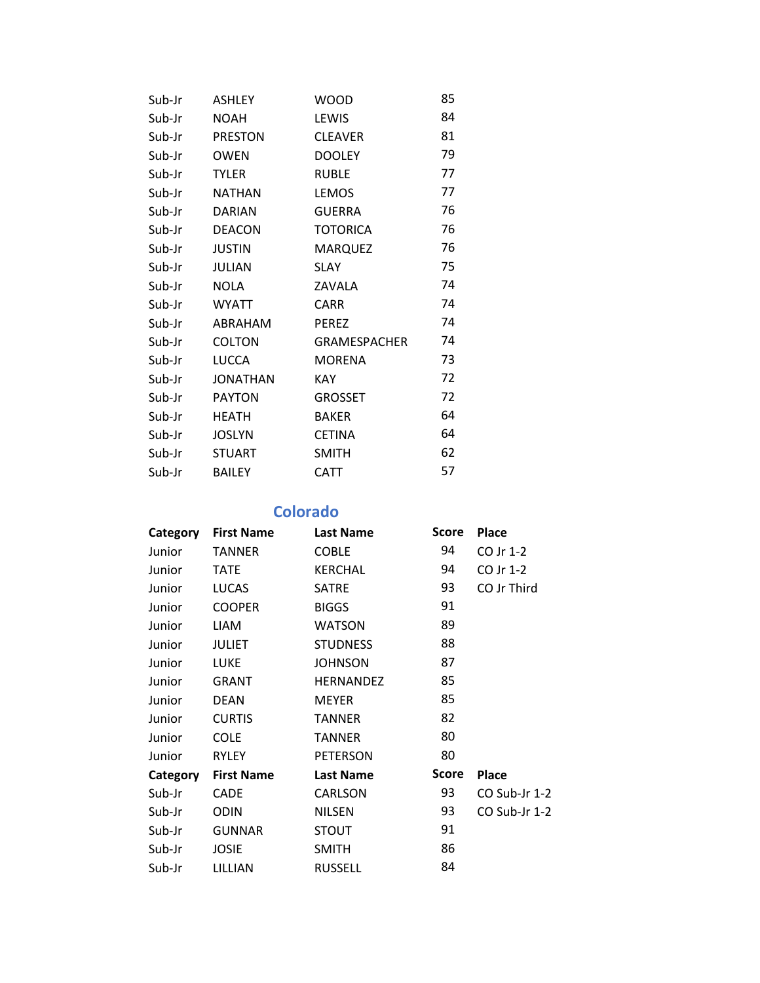| Sub-Jr | <b>ASHLEY</b>   | <b>WOOD</b>         | 85 |
|--------|-----------------|---------------------|----|
| Sub-Jr | <b>NOAH</b>     | LEWIS               | 84 |
| Sub-Jr | <b>PRESTON</b>  | <b>CLEAVER</b>      | 81 |
| Sub-Jr | <b>OWEN</b>     | <b>DOOLEY</b>       | 79 |
| Sub-Jr | <b>TYLER</b>    | <b>RUBLE</b>        | 77 |
| Sub-Jr | <b>NATHAN</b>   | LEMOS               | 77 |
| Sub-Jr | <b>DARIAN</b>   | <b>GUERRA</b>       | 76 |
| Sub-Jr | <b>DEACON</b>   | <b>TOTORICA</b>     | 76 |
| Sub-Jr | <b>JUSTIN</b>   | <b>MARQUEZ</b>      | 76 |
| Sub-Jr | <b>JULIAN</b>   | <b>SLAY</b>         | 75 |
| Sub-Jr | <b>NOLA</b>     | ZAVALA              | 74 |
| Sub-Jr | <b>WYATT</b>    | <b>CARR</b>         | 74 |
| Sub-Jr | ABRAHAM         | <b>PEREZ</b>        | 74 |
| Sub-Jr | <b>COLTON</b>   | <b>GRAMESPACHER</b> | 74 |
| Sub-Jr | <b>LUCCA</b>    | <b>MORENA</b>       | 73 |
| Sub-Jr | <b>JONATHAN</b> | KAY                 | 72 |
| Sub-Jr | <b>PAYTON</b>   | <b>GROSSET</b>      | 72 |
| Sub-Jr | <b>HEATH</b>    | <b>BAKER</b>        | 64 |
| Sub-Jr | <b>JOSLYN</b>   | <b>CETINA</b>       | 64 |
| Sub-Jr | <b>STUART</b>   | <b>SMITH</b>        | 62 |
| Sub-Jr | <b>BAILEY</b>   | CATT                | 57 |

**Colorado**

| Category | <b>First Name</b> | <b>Last Name</b> | <b>Score</b> | <b>Place</b>  |
|----------|-------------------|------------------|--------------|---------------|
| Junior   | <b>TANNER</b>     | <b>COBLE</b>     | 94           | CO Jr 1-2     |
| Junior   | <b>TATE</b>       | <b>KERCHAL</b>   | 94           | CO Jr 1-2     |
| Junior   | <b>LUCAS</b>      | <b>SATRE</b>     | 93           | CO Jr Third   |
| Junior   | <b>COOPER</b>     | <b>BIGGS</b>     | 91           |               |
| Junior   | <b>LIAM</b>       | <b>WATSON</b>    | 89           |               |
| Junior   | <b>JULIET</b>     | <b>STUDNESS</b>  | 88           |               |
| Junior   | LUKE              | <b>JOHNSON</b>   | 87           |               |
| Junior   | <b>GRANT</b>      | <b>HERNANDEZ</b> | 85           |               |
| Junior   | <b>DEAN</b>       | <b>MEYER</b>     | 85           |               |
| Junior   | <b>CURTIS</b>     | <b>TANNER</b>    | 82           |               |
| Junior   | <b>COLE</b>       | <b>TANNER</b>    | 80           |               |
| Junior   | <b>RYLEY</b>      | <b>PETERSON</b>  | 80           |               |
| Category | <b>First Name</b> | <b>Last Name</b> | <b>Score</b> | <b>Place</b>  |
| Sub-Jr   | <b>CADE</b>       | CARLSON          | 93           | CO Sub-Jr 1-2 |
| Sub-Jr   | <b>ODIN</b>       | <b>NILSEN</b>    | 93           | CO Sub-Jr 1-2 |
| Sub-Jr   | <b>GUNNAR</b>     | <b>STOUT</b>     | 91           |               |
| Sub-Jr   | <b>JOSIE</b>      | <b>SMITH</b>     | 86           |               |
| Sub-Jr   | LILLIAN           | <b>RUSSELL</b>   | 84           |               |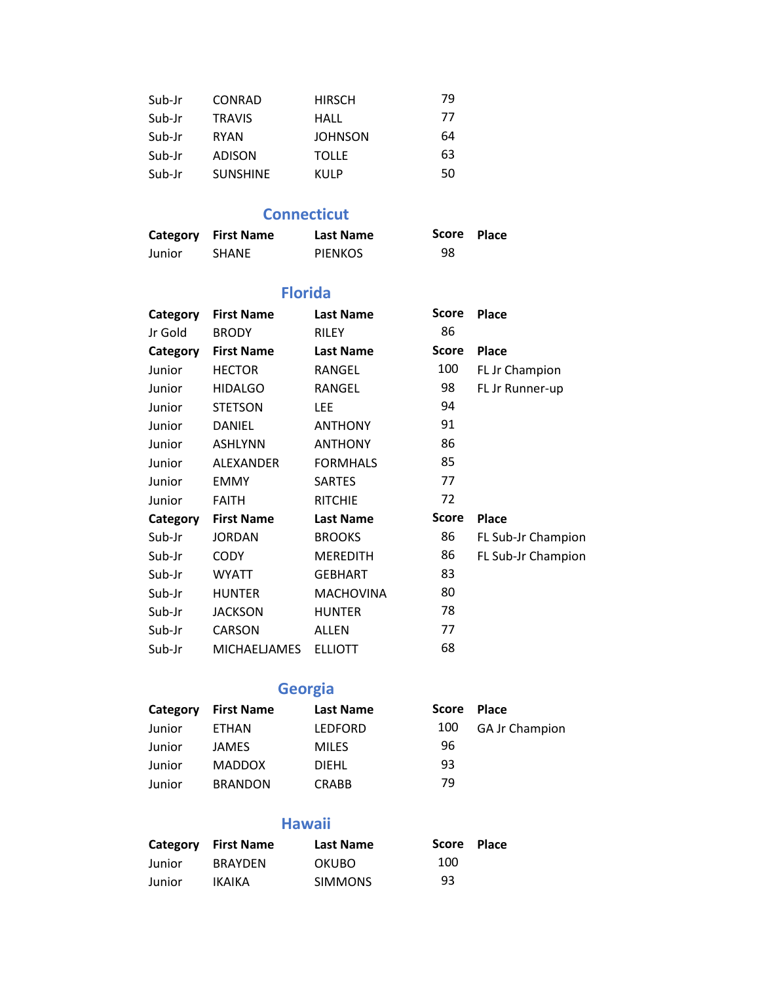| Sub-Jr | CONRAD          | <b>HIRSCH</b>  | 79 |
|--------|-----------------|----------------|----|
| Sub-Jr | <b>TRAVIS</b>   | HALL           | 77 |
| Sub-Jr | <b>RYAN</b>     | <b>JOHNSON</b> | 64 |
| Sub-Jr | ADISON          | <b>TOLLE</b>   | 63 |
| Sub-Jr | <b>SUNSHINE</b> | KULP           | 50 |

### **Connecticut**

|        | <b>Category</b> First Name | <b>Last Name</b> | Score Place |  |
|--------|----------------------------|------------------|-------------|--|
| Junior | <b>SHANE</b>               | PIENKOS          | 98          |  |

#### **Florida**

| Category | <b>First Name</b>   | <b>Last Name</b> | Score        | <b>Place</b>       |
|----------|---------------------|------------------|--------------|--------------------|
| Jr Gold  | <b>BRODY</b>        | <b>RILEY</b>     | 86           |                    |
| Category | <b>First Name</b>   | <b>Last Name</b> | Score        | <b>Place</b>       |
| Junior   | <b>HECTOR</b>       | RANGEL           | 100          | FL Jr Champion     |
| Junior   | <b>HIDALGO</b>      | RANGEL           | 98           | FL Jr Runner-up    |
| Junior   | <b>STETSON</b>      | LEE.             | 94           |                    |
| Junior   | DANIEL              | <b>ANTHONY</b>   | 91           |                    |
| Junior   | <b>ASHLYNN</b>      | <b>ANTHONY</b>   | 86           |                    |
| Junior   | ALEXANDER           | <b>FORMHALS</b>  | 85           |                    |
| Junior   | <b>EMMY</b>         | <b>SARTES</b>    | 77           |                    |
| Junior   | <b>FAITH</b>        | <b>RITCHIE</b>   | 72           |                    |
| Category | <b>First Name</b>   | <b>Last Name</b> | <b>Score</b> | <b>Place</b>       |
| Sub-Jr   | <b>JORDAN</b>       | <b>BROOKS</b>    | 86           | FL Sub-Jr Champion |
| Sub-Jr   | <b>CODY</b>         | <b>MEREDITH</b>  | 86           | FL Sub-Jr Champion |
| Sub-Jr   | <b>WYATT</b>        | <b>GEBHART</b>   | 83           |                    |
| Sub-Jr   | <b>HUNTER</b>       | <b>MACHOVINA</b> | 80           |                    |
| Sub-Jr   | <b>JACKSON</b>      | <b>HUNTER</b>    | 78           |                    |
| Sub-Jr   | CARSON              | <b>ALLEN</b>     | 77           |                    |
| Sub-Jr   | <b>MICHAELJAMES</b> | <b>ELLIOTT</b>   | 68           |                    |

## **Georgia**

| Category | <b>First Name</b> | <b>Last Name</b> | <b>Score</b> | <b>Place</b>          |
|----------|-------------------|------------------|--------------|-----------------------|
| Junior   | <b>ETHAN</b>      | <b>LEDFORD</b>   | 100          | <b>GA Jr Champion</b> |
| Junior   | JAMES             | <b>MILES</b>     | 96           |                       |
| Junior   | <b>MADDOX</b>     | <b>DIEHL</b>     | 93           |                       |
| Junior   | <b>BRANDON</b>    | <b>CRABB</b>     | 79           |                       |

### **Hawaii**

|        | Category First Name | <b>Last Name</b> | Score Place |  |
|--------|---------------------|------------------|-------------|--|
| Junior | <b>BRAYDEN</b>      | <b>OKUBO</b>     | 100         |  |
| Junior | IKAIKA              | <b>SIMMONS</b>   | 93          |  |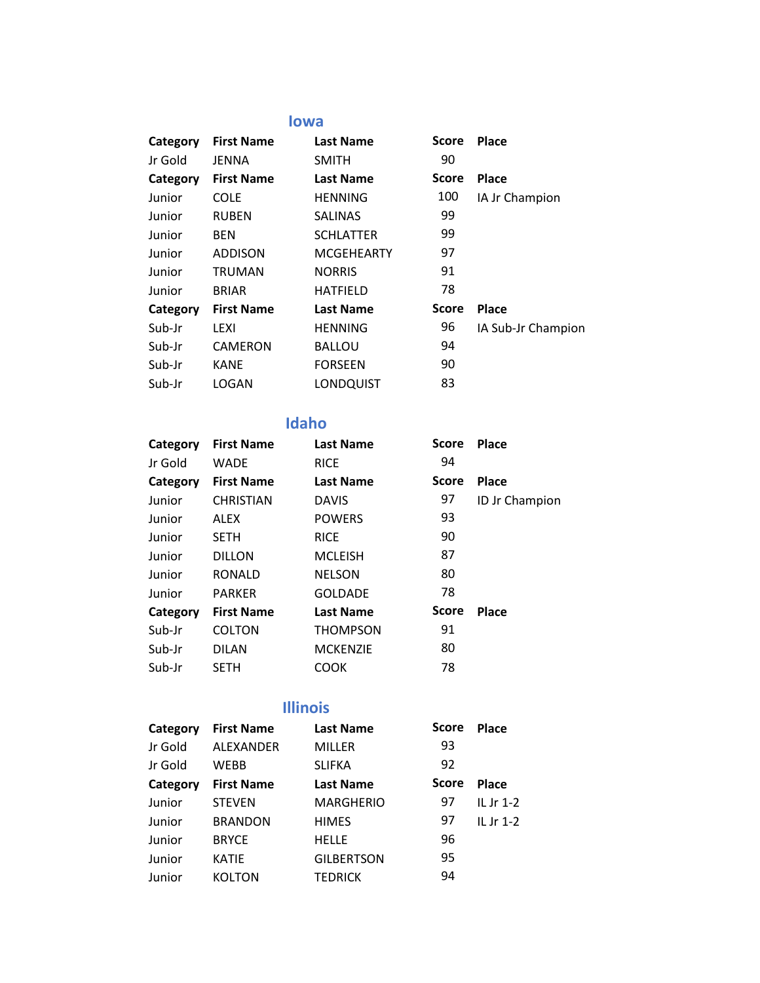#### **Iowa**

| Category | <b>First Name</b> | <b>Last Name</b>  | <b>Score</b> | Place              |
|----------|-------------------|-------------------|--------------|--------------------|
| Jr Gold  | JENNA             | <b>SMITH</b>      | 90           |                    |
| Category | <b>First Name</b> | <b>Last Name</b>  | Score        | <b>Place</b>       |
| Junior   | <b>COLE</b>       | <b>HENNING</b>    | 100          | IA Jr Champion     |
| Junior   | <b>RUBEN</b>      | <b>SALINAS</b>    | 99           |                    |
| Junior   | <b>BEN</b>        | <b>SCHLATTER</b>  | 99           |                    |
| Junior   | <b>ADDISON</b>    | <b>MCGEHEARTY</b> | 97           |                    |
| Junior   | <b>TRUMAN</b>     | <b>NORRIS</b>     | 91           |                    |
| Junior   | <b>BRIAR</b>      | <b>HATFIELD</b>   | 78           |                    |
| Category | <b>First Name</b> | <b>Last Name</b>  | <b>Score</b> | <b>Place</b>       |
| Sub-Jr   | LEXI              | <b>HENNING</b>    | 96           | IA Sub-Jr Champion |
| Sub-Jr   | <b>CAMERON</b>    | <b>BALLOU</b>     | 94           |                    |
| Sub-Jr   | <b>KANE</b>       | <b>FORSEEN</b>    | 90           |                    |
| Sub-Jr   | LOGAN             | LONDQUIST         | 83           |                    |

#### **Idaho**

| Category | <b>First Name</b> | <b>Last Name</b> | Score | <b>Place</b>   |
|----------|-------------------|------------------|-------|----------------|
| Jr Gold  | <b>WADE</b>       | <b>RICE</b>      | 94    |                |
| Category | <b>First Name</b> | <b>Last Name</b> | Score | <b>Place</b>   |
| Junior   | <b>CHRISTIAN</b>  | <b>DAVIS</b>     | 97    | ID Jr Champion |
| Junior   | ALEX              | <b>POWERS</b>    | 93    |                |
| Junior   | <b>SETH</b>       | <b>RICE</b>      | 90    |                |
| Junior   | <b>DILLON</b>     | <b>MCLEISH</b>   | 87    |                |
| Junior   | <b>RONALD</b>     | <b>NELSON</b>    | 80    |                |
| Junior   | <b>PARKER</b>     | <b>GOLDADE</b>   | 78    |                |
| Category | <b>First Name</b> | <b>Last Name</b> | Score | Place          |
| Sub-Jr   | <b>COLTON</b>     | <b>THOMPSON</b>  | 91    |                |
| Sub-Jr   | <b>DILAN</b>      | <b>MCKENZIE</b>  | 80    |                |
| Sub-Jr   | <b>SETH</b>       | COOK             | 78    |                |
|          |                   |                  |       |                |

## **Illinois**

| Category | <b>First Name</b> | <b>Last Name</b>  | Score        | <b>Place</b> |
|----------|-------------------|-------------------|--------------|--------------|
| Jr Gold  | ALEXANDER         | <b>MILLER</b>     | 93           |              |
| Jr Gold  | WEBB              | <b>SLIFKA</b>     | 92           |              |
| Category | <b>First Name</b> | <b>Last Name</b>  | <b>Score</b> | <b>Place</b> |
| Junior   | <b>STEVEN</b>     | <b>MARGHERIO</b>  | 97           | IL Jr $1-2$  |
| Junior   | <b>BRANDON</b>    | <b>HIMES</b>      | 97           | IL Jr $1-2$  |
| Junior   | <b>BRYCE</b>      | <b>HELLE</b>      | 96           |              |
| Junior   | <b>KATIE</b>      | <b>GILBERTSON</b> | 95           |              |
| Junior   | <b>KOLTON</b>     | <b>TEDRICK</b>    | 94           |              |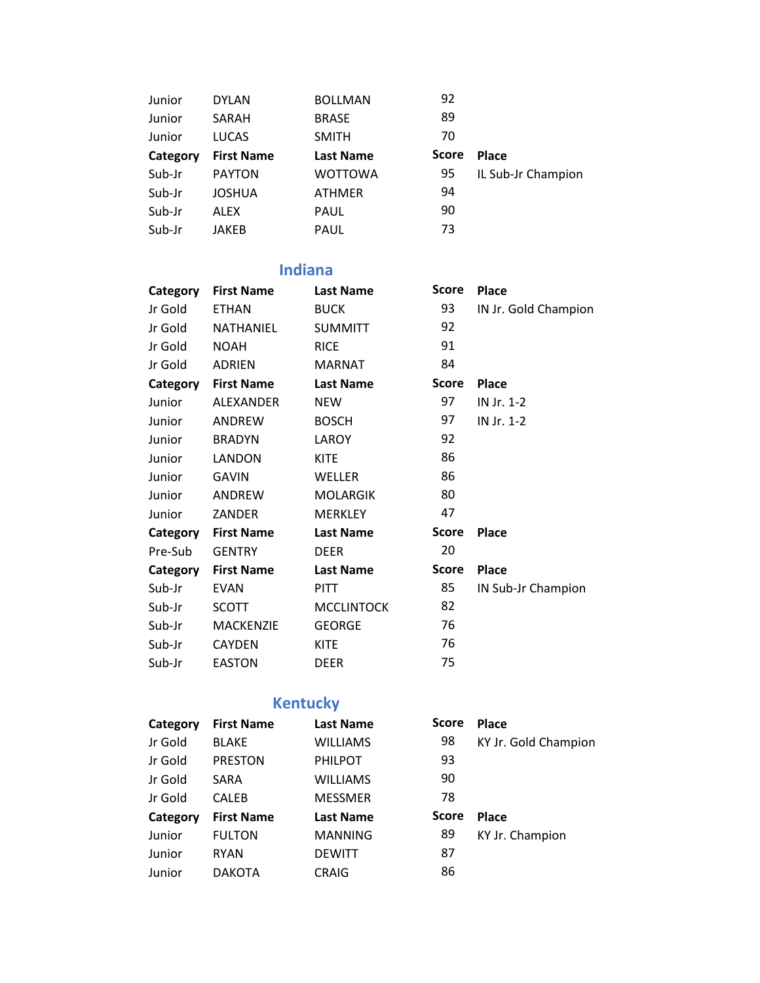| Junior   | <b>DYLAN</b>      | <b>BOLLMAN</b>   | 92           |                    |
|----------|-------------------|------------------|--------------|--------------------|
| Junior   | SARAH             | <b>BRASE</b>     | 89           |                    |
| Junior   | <b>LUCAS</b>      | <b>SMITH</b>     | 70           |                    |
| Category | <b>First Name</b> | <b>Last Name</b> | <b>Score</b> | <b>Place</b>       |
| Sub-Jr   | <b>PAYTON</b>     | <b>WOTTOWA</b>   | 95           | IL Sub-Jr Champion |
| Sub-Jr   | <b>JOSHUA</b>     | <b>ATHMER</b>    | 94           |                    |
| Sub-Jr   | ALEX              | <b>PAUL</b>      | 90           |                    |
| Sub-Jr   | JAKEB             | <b>PAUL</b>      | 73           |                    |

## **Indiana**

| Category | <b>First Name</b> | <b>Last Name</b>  | Score        | <b>Place</b>         |
|----------|-------------------|-------------------|--------------|----------------------|
| Jr Gold  | <b>ETHAN</b>      | <b>BUCK</b>       | 93           | IN Jr. Gold Champion |
| Jr Gold  | <b>NATHANIEL</b>  | <b>SUMMITT</b>    | 92           |                      |
| Jr Gold  | <b>NOAH</b>       | <b>RICE</b>       | 91           |                      |
| Jr Gold  | <b>ADRIEN</b>     | <b>MARNAT</b>     | 84           |                      |
| Category | <b>First Name</b> | <b>Last Name</b>  | <b>Score</b> | <b>Place</b>         |
| Junior   | <b>ALEXANDER</b>  | <b>NEW</b>        | 97           | IN Jr. 1-2           |
| Junior   | ANDREW            | <b>BOSCH</b>      | 97           | IN Jr. 1-2           |
| Junior   | <b>BRADYN</b>     | LAROY             | 92           |                      |
| Junior   | <b>LANDON</b>     | <b>KITE</b>       | 86           |                      |
| Junior   | GAVIN             | WELLER            | 86           |                      |
| Junior   | <b>ANDREW</b>     | <b>MOLARGIK</b>   | 80           |                      |
| Junior   | ZANDER            | <b>MERKLEY</b>    | 47           |                      |
| Category | <b>First Name</b> | <b>Last Name</b>  | <b>Score</b> | <b>Place</b>         |
| Pre-Sub  | <b>GENTRY</b>     | <b>DEER</b>       | 20           |                      |
| Category | <b>First Name</b> | <b>Last Name</b>  | <b>Score</b> | <b>Place</b>         |
| Sub-Jr   | <b>EVAN</b>       | <b>PITT</b>       | 85           | IN Sub-Jr Champion   |
| Sub-Jr   | <b>SCOTT</b>      | <b>MCCLINTOCK</b> | 82           |                      |
| Sub-Jr   | <b>MACKENZIE</b>  | <b>GEORGE</b>     | 76           |                      |
| Sub-Jr   | <b>CAYDEN</b>     | <b>KITE</b>       | 76           |                      |
| Sub-Jr   | <b>EASTON</b>     | <b>DEER</b>       | 75           |                      |

# **Kentucky**

| Category | <b>First Name</b> | <b>Last Name</b> | <b>Score</b> | <b>Place</b>         |
|----------|-------------------|------------------|--------------|----------------------|
| Jr Gold  | <b>BLAKE</b>      | <b>WILLIAMS</b>  | 98           | KY Jr. Gold Champion |
| Jr Gold  | <b>PRESTON</b>    | <b>PHILPOT</b>   | 93           |                      |
| Jr Gold  | SARA              | <b>WILLIAMS</b>  | 90           |                      |
| Jr Gold  | <b>CALEB</b>      | <b>MESSMER</b>   | 78           |                      |
| Category | <b>First Name</b> | <b>Last Name</b> | Score        | <b>Place</b>         |
| Junior   | <b>FULTON</b>     | <b>MANNING</b>   | 89           | KY Jr. Champion      |
| Junior   | <b>RYAN</b>       | <b>DEWITT</b>    | 87           |                      |
| Junior   | <b>DAKOTA</b>     | CRAIG            | 86           |                      |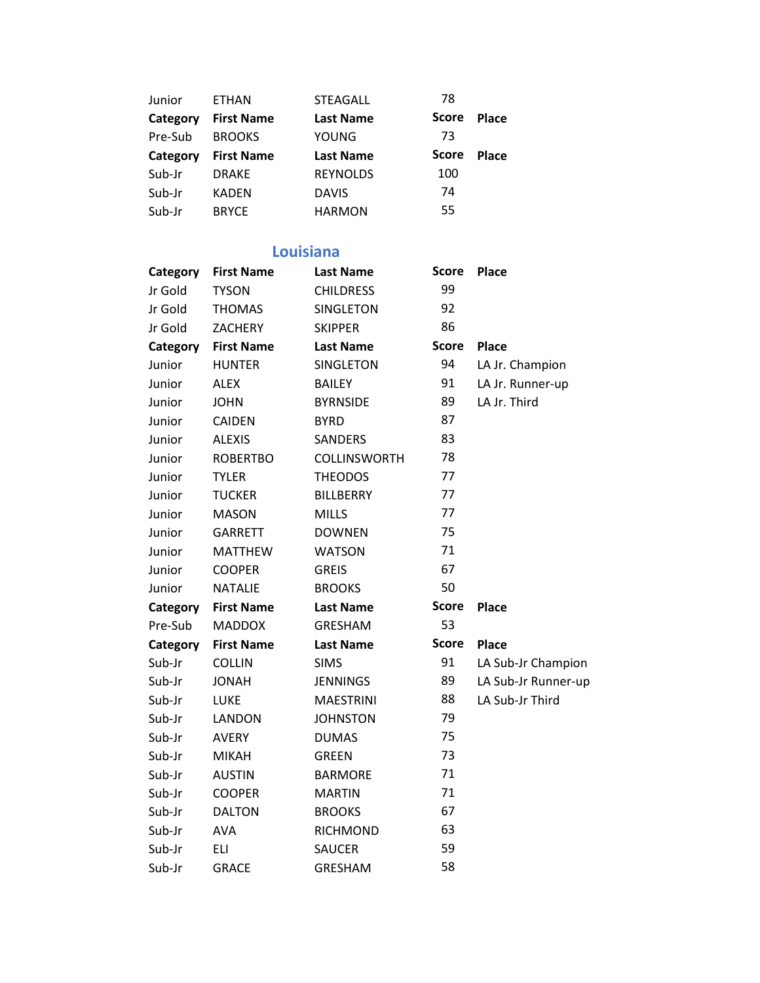| Junior   | <b>ETHAN</b>      | <b>STEAGALL</b>  | 78           |              |
|----------|-------------------|------------------|--------------|--------------|
| Category | <b>First Name</b> | <b>Last Name</b> | <b>Score</b> | <b>Place</b> |
| Pre-Sub  | <b>BROOKS</b>     | <b>YOUNG</b>     | 73           |              |
| Category | <b>First Name</b> | <b>Last Name</b> | <b>Score</b> | <b>Place</b> |
| Sub-Jr   | <b>DRAKE</b>      | <b>REYNOLDS</b>  | 100          |              |
| Sub-Jr   | <b>KADEN</b>      | <b>DAVIS</b>     | 74           |              |
| Sub-Jr   | <b>BRYCE</b>      | <b>HARMON</b>    | 55           |              |

## **Louisiana**

| Category | <b>First Name</b> | <b>Last Name</b> | Score        | <b>Place</b>        |
|----------|-------------------|------------------|--------------|---------------------|
| Jr Gold  | <b>TYSON</b>      | <b>CHILDRESS</b> | 99           |                     |
| Jr Gold  | <b>THOMAS</b>     | <b>SINGLETON</b> | 92           |                     |
| Jr Gold  | <b>ZACHERY</b>    | <b>SKIPPER</b>   | 86           |                     |
| Category | <b>First Name</b> | <b>Last Name</b> | <b>Score</b> | <b>Place</b>        |
| Junior   | <b>HUNTER</b>     | SINGLETON        | 94           | LA Jr. Champion     |
| Junior   | <b>ALEX</b>       | <b>BAILEY</b>    | 91           | LA Jr. Runner-up    |
| Junior   | <b>JOHN</b>       | <b>BYRNSIDE</b>  | 89           | LA Jr. Third        |
| Junior   | CAIDEN            | <b>BYRD</b>      | 87           |                     |
| Junior   | <b>ALEXIS</b>     | <b>SANDERS</b>   | 83           |                     |
| Junior   | <b>ROBERTBO</b>   | COLLINSWORTH     | 78           |                     |
| Junior   | <b>TYLER</b>      | <b>THEODOS</b>   | 77           |                     |
| Junior   | <b>TUCKER</b>     | <b>BILLBERRY</b> | 77           |                     |
| Junior   | <b>MASON</b>      | <b>MILLS</b>     | 77           |                     |
| Junior   | <b>GARRETT</b>    | <b>DOWNEN</b>    | 75           |                     |
| Junior   | <b>MATTHEW</b>    | <b>WATSON</b>    | 71           |                     |
| Junior   | <b>COOPER</b>     | <b>GREIS</b>     | 67           |                     |
| Junior   | <b>NATALIE</b>    | <b>BROOKS</b>    | 50           |                     |
| Category | <b>First Name</b> | <b>Last Name</b> | <b>Score</b> | <b>Place</b>        |
| Pre-Sub  | <b>MADDOX</b>     | <b>GRESHAM</b>   | 53           |                     |
| Category | <b>First Name</b> | <b>Last Name</b> | <b>Score</b> | <b>Place</b>        |
| Sub-Jr   | <b>COLLIN</b>     | <b>SIMS</b>      | 91           | LA Sub-Jr Champion  |
| Sub-Jr   | <b>JONAH</b>      | <b>JENNINGS</b>  | 89           | LA Sub-Jr Runner-up |
| Sub-Jr   | LUKE              | <b>MAESTRINI</b> | 88           | LA Sub-Jr Third     |
| Sub-Jr   | <b>LANDON</b>     | <b>JOHNSTON</b>  | 79           |                     |
| Sub-Jr   | <b>AVERY</b>      | <b>DUMAS</b>     | 75           |                     |
| Sub-Jr   | <b>MIKAH</b>      | <b>GREEN</b>     | 73           |                     |
| Sub-Jr   | <b>AUSTIN</b>     | <b>BARMORE</b>   | 71           |                     |
| Sub-Jr   | <b>COOPER</b>     | <b>MARTIN</b>    | 71           |                     |
| Sub-Jr   | <b>DALTON</b>     | <b>BROOKS</b>    | 67           |                     |
| Sub-Jr   | <b>AVA</b>        | RICHMOND         | 63           |                     |
| Sub-Jr   | ELI               | <b>SAUCER</b>    | 59           |                     |
| Sub-Jr   | <b>GRACE</b>      | <b>GRESHAM</b>   | 58           |                     |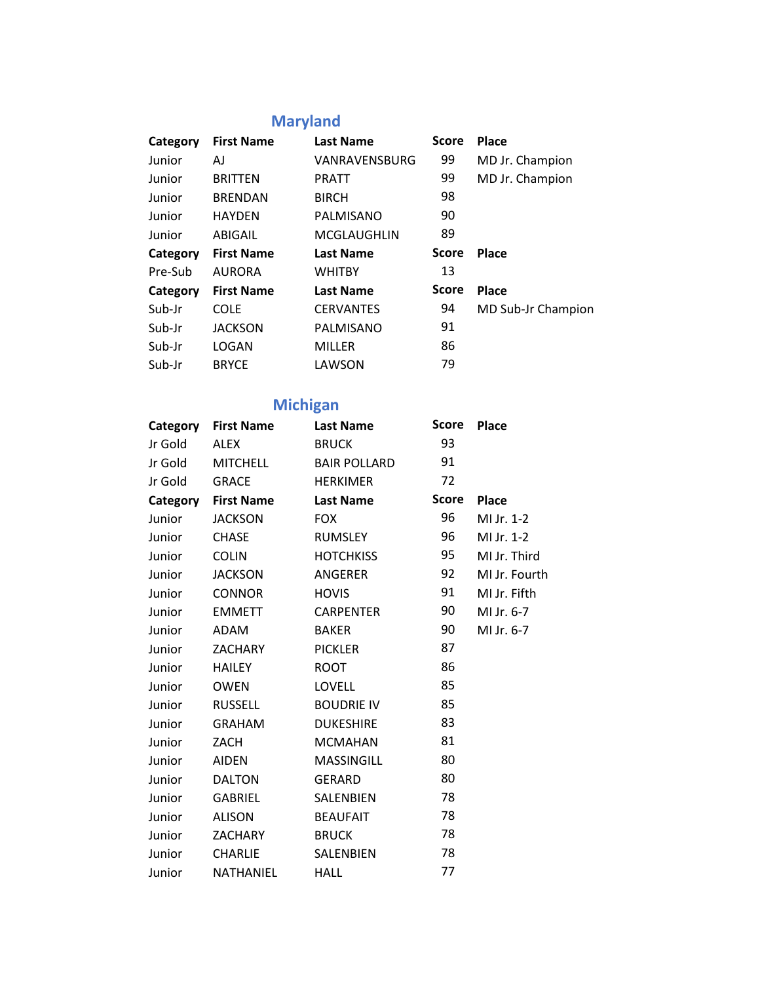# **Maryland**

| Category | <b>First Name</b> | <b>Last Name</b>     | <b>Score</b> | <b>Place</b>       |
|----------|-------------------|----------------------|--------------|--------------------|
| Junior   | AJ                | <b>VANRAVENSBURG</b> | 99           | MD Jr. Champion    |
| Junior   | <b>BRITTEN</b>    | <b>PRATT</b>         | 99           | MD Jr. Champion    |
| Junior   | <b>BRENDAN</b>    | <b>BIRCH</b>         | 98           |                    |
| Junior   | <b>HAYDEN</b>     | PALMISANO            | 90           |                    |
| Junior   | ABIGAIL           | <b>MCGLAUGHLIN</b>   | 89           |                    |
| Category | <b>First Name</b> | <b>Last Name</b>     | <b>Score</b> | <b>Place</b>       |
| Pre-Sub  | <b>AURORA</b>     | <b>WHITBY</b>        | 13           |                    |
| Category | <b>First Name</b> | <b>Last Name</b>     | <b>Score</b> | <b>Place</b>       |
| Sub-Jr   | <b>COLE</b>       | <b>CERVANTES</b>     | 94           | MD Sub-Jr Champion |
| Sub-Jr   | <b>JACKSON</b>    | PALMISANO            | 91           |                    |
| Sub-Jr   | LOGAN             | <b>MILLER</b>        | 86           |                    |
| Sub-Jr   | <b>BRYCE</b>      | LAWSON               | 79           |                    |

# **Michigan**

| Category | <b>First Name</b> | <b>Last Name</b>    | <b>Score</b> | <b>Place</b>  |
|----------|-------------------|---------------------|--------------|---------------|
| Jr Gold  | <b>ALEX</b>       | <b>BRUCK</b>        | 93           |               |
| Jr Gold  | <b>MITCHELL</b>   | <b>BAIR POLLARD</b> | 91           |               |
| Jr Gold  | <b>GRACE</b>      | <b>HERKIMER</b>     | 72           |               |
| Category | <b>First Name</b> | <b>Last Name</b>    | <b>Score</b> | <b>Place</b>  |
| Junior   | <b>JACKSON</b>    | <b>FOX</b>          | 96           | MI Jr. 1-2    |
| Junior   | <b>CHASE</b>      | <b>RUMSLEY</b>      | 96           | MI Jr. 1-2    |
| Junior   | <b>COLIN</b>      | <b>HOTCHKISS</b>    | 95           | MI Jr. Third  |
| Junior   | <b>JACKSON</b>    | ANGERER             | 92           | MI Jr. Fourth |
| Junior   | <b>CONNOR</b>     | <b>HOVIS</b>        | 91           | MI Jr. Fifth  |
| Junior   | <b>EMMETT</b>     | <b>CARPENTER</b>    | 90           | MI Jr. 6-7    |
| Junior   | ADAM              | <b>BAKER</b>        | 90           | MI Jr. 6-7    |
| Junior   | <b>ZACHARY</b>    | <b>PICKLER</b>      | 87           |               |
| Junior   | <b>HAILEY</b>     | <b>ROOT</b>         | 86           |               |
| Junior   | <b>OWEN</b>       | <b>LOVELL</b>       | 85           |               |
| Junior   | <b>RUSSELL</b>    | <b>BOUDRIE IV</b>   | 85           |               |
| Junior   | <b>GRAHAM</b>     | <b>DUKESHIRE</b>    | 83           |               |
| Junior   | ZACH              | <b>MCMAHAN</b>      | 81           |               |
| Junior   | <b>AIDEN</b>      | MASSINGILL          | 80           |               |
| Junior   | <b>DALTON</b>     | <b>GERARD</b>       | 80           |               |
| Junior   | <b>GABRIEL</b>    | SALENBIEN           | 78           |               |
| Junior   | <b>ALISON</b>     | <b>BEAUFAIT</b>     | 78           |               |
| Junior   | <b>ZACHARY</b>    | <b>BRUCK</b>        | 78           |               |
| Junior   | <b>CHARLIE</b>    | SALENBIEN           | 78           |               |
| Junior   | NATHANIEL         | <b>HALL</b>         | 77           |               |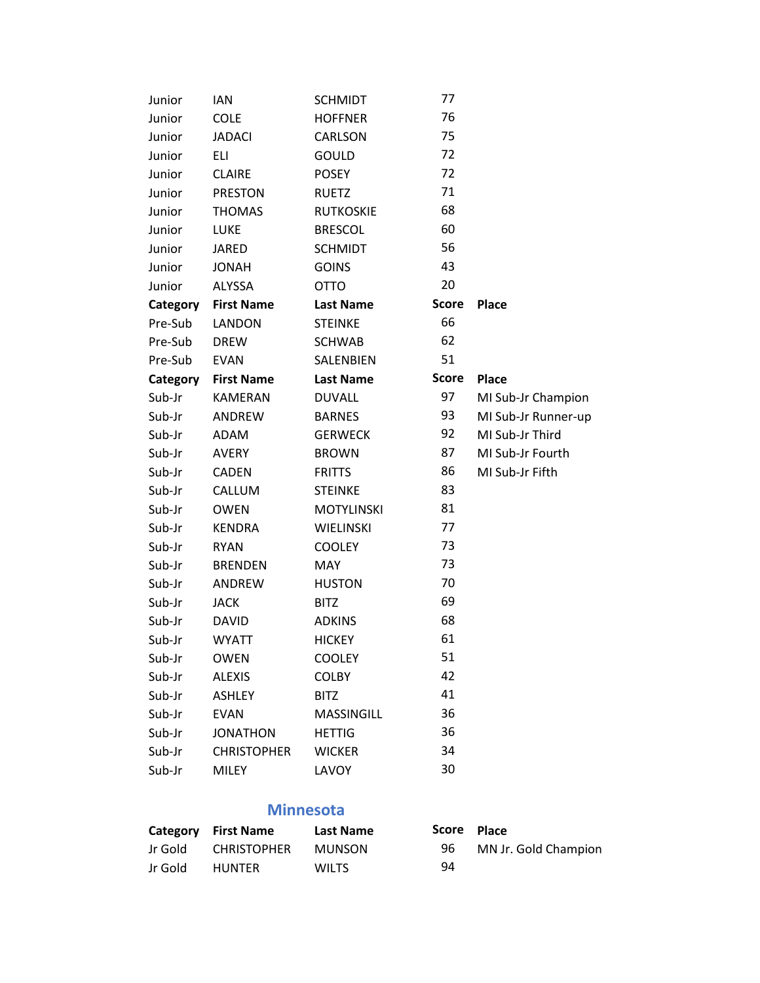| Junior   | <b>IAN</b>         | <b>SCHMIDT</b>    | 77           |                     |
|----------|--------------------|-------------------|--------------|---------------------|
| Junior   | <b>COLE</b>        | <b>HOFFNER</b>    | 76           |                     |
| Junior   | <b>JADACI</b>      | CARLSON           | 75           |                     |
| Junior   | <b>ELI</b>         | <b>GOULD</b>      | 72           |                     |
| Junior   | <b>CLAIRE</b>      | <b>POSEY</b>      | 72           |                     |
| Junior   | <b>PRESTON</b>     | <b>RUETZ</b>      | 71           |                     |
| Junior   | <b>THOMAS</b>      | <b>RUTKOSKIE</b>  | 68           |                     |
| Junior   | <b>LUKE</b>        | <b>BRESCOL</b>    | 60           |                     |
| Junior   | <b>JARED</b>       | <b>SCHMIDT</b>    | 56           |                     |
| Junior   | <b>JONAH</b>       | <b>GOINS</b>      | 43           |                     |
| Junior   | <b>ALYSSA</b>      | <b>OTTO</b>       | 20           |                     |
| Category | <b>First Name</b>  | <b>Last Name</b>  | <b>Score</b> | <b>Place</b>        |
| Pre-Sub  | LANDON             | <b>STEINKE</b>    | 66           |                     |
| Pre-Sub  | <b>DREW</b>        | <b>SCHWAB</b>     | 62           |                     |
| Pre-Sub  | <b>EVAN</b>        | <b>SALENBIEN</b>  | 51           |                     |
| Category | <b>First Name</b>  | <b>Last Name</b>  | <b>Score</b> | <b>Place</b>        |
| Sub-Jr   | <b>KAMERAN</b>     | <b>DUVALL</b>     | 97           | MI Sub-Jr Champion  |
| Sub-Jr   | ANDREW             | <b>BARNES</b>     | 93           | MI Sub-Jr Runner-up |
| Sub-Jr   | ADAM               | <b>GERWECK</b>    | 92           | MI Sub-Jr Third     |
| Sub-Jr   | <b>AVERY</b>       | <b>BROWN</b>      | 87           | MI Sub-Jr Fourth    |
| Sub-Jr   | <b>CADEN</b>       | <b>FRITTS</b>     | 86           | MI Sub-Jr Fifth     |
| Sub-Jr   | CALLUM             | <b>STEINKE</b>    | 83           |                     |
| Sub-Jr   | <b>OWEN</b>        | <b>MOTYLINSKI</b> | 81           |                     |
| Sub-Jr   | <b>KENDRA</b>      | WIELINSKI         | 77           |                     |
| Sub-Jr   | <b>RYAN</b>        | <b>COOLEY</b>     | 73           |                     |
| Sub-Jr   | <b>BRENDEN</b>     | MAY               | 73           |                     |
| Sub-Jr   | ANDREW             | <b>HUSTON</b>     | 70           |                     |
| Sub-Jr   | JACK               | <b>BITZ</b>       | 69           |                     |
| Sub-Jr   | <b>DAVID</b>       | <b>ADKINS</b>     | 68           |                     |
| Sub-Jr   | <b>WYATT</b>       | <b>HICKEY</b>     | 61           |                     |
| Sub-Jr   | <b>OWEN</b>        | <b>COOLEY</b>     | 51           |                     |
| Sub-Jr   | <b>ALEXIS</b>      | <b>COLBY</b>      | 42           |                     |
| Sub-Jr   | <b>ASHLEY</b>      | <b>BITZ</b>       | 41           |                     |
| Sub-Jr   | <b>EVAN</b>        | MASSINGILL        | 36           |                     |
| Sub-Jr   | <b>JONATHON</b>    | <b>HETTIG</b>     | 36           |                     |
| Sub-Jr   | <b>CHRISTOPHER</b> | <b>WICKER</b>     | 34           |                     |
| Sub-Jr   | <b>MILEY</b>       | LAVOY             | 30           |                     |
|          |                    |                   |              |                     |

#### **Minnesota**

|         | Category First Name | <b>Last Name</b> | Score Place |                      |
|---------|---------------------|------------------|-------------|----------------------|
| Jr Gold | <b>CHRISTOPHER</b>  | MUNSON           | -96         | MN Jr. Gold Champion |
| Jr Gold | <b>HUNTER</b>       | WILTS            | 94          |                      |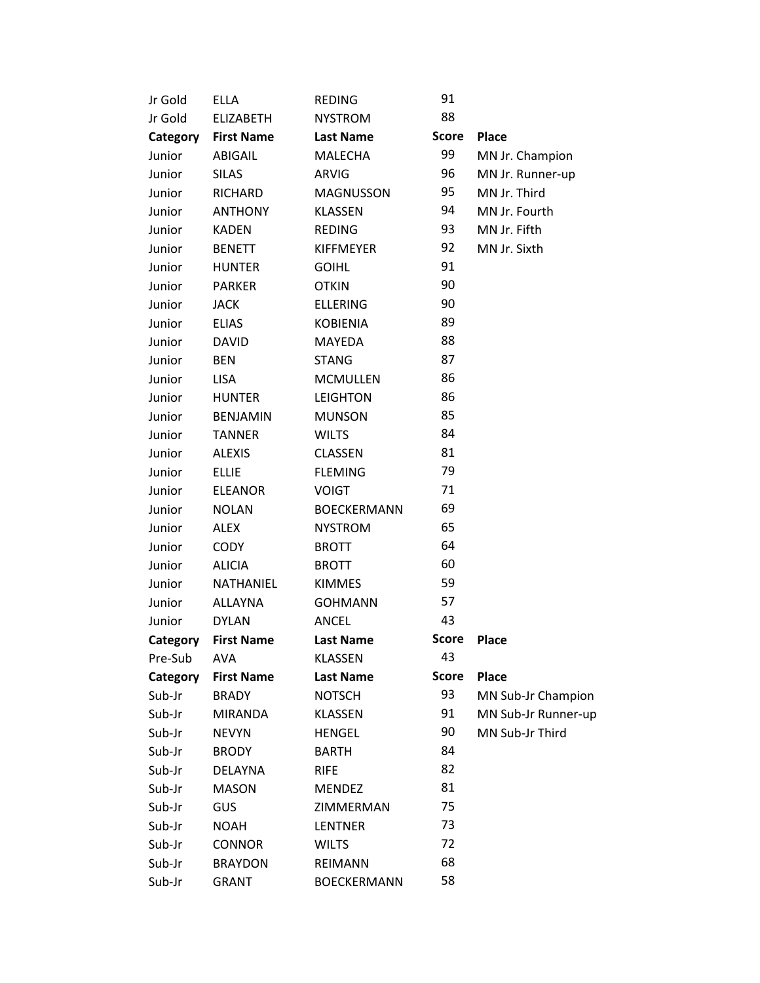| Jr Gold  | <b>ELLA</b>       | <b>REDING</b>      | 91           |                     |
|----------|-------------------|--------------------|--------------|---------------------|
| Jr Gold  | <b>ELIZABETH</b>  | <b>NYSTROM</b>     | 88           |                     |
| Category | <b>First Name</b> | <b>Last Name</b>   | <b>Score</b> | <b>Place</b>        |
| Junior   | ABIGAIL           | <b>MALECHA</b>     | 99           | MN Jr. Champion     |
| Junior   | <b>SILAS</b>      | <b>ARVIG</b>       | 96           | MN Jr. Runner-up    |
| Junior   | RICHARD           | <b>MAGNUSSON</b>   | 95           | MN Jr. Third        |
| Junior   | <b>ANTHONY</b>    | <b>KLASSEN</b>     | 94           | MN Jr. Fourth       |
| Junior   | <b>KADEN</b>      | <b>REDING</b>      | 93           | MN Jr. Fifth        |
| Junior   | <b>BENETT</b>     | <b>KIFFMEYER</b>   | 92           | MN Jr. Sixth        |
| Junior   | <b>HUNTER</b>     | <b>GOIHL</b>       | 91           |                     |
| Junior   | <b>PARKER</b>     | <b>OTKIN</b>       | 90           |                     |
| Junior   | <b>JACK</b>       | <b>ELLERING</b>    | 90           |                     |
| Junior   | <b>ELIAS</b>      | <b>KOBIENIA</b>    | 89           |                     |
| Junior   | <b>DAVID</b>      | MAYEDA             | 88           |                     |
| Junior   | <b>BEN</b>        | <b>STANG</b>       | 87           |                     |
| Junior   | <b>LISA</b>       | <b>MCMULLEN</b>    | 86           |                     |
| Junior   | <b>HUNTER</b>     | <b>LEIGHTON</b>    | 86           |                     |
| Junior   | <b>BENJAMIN</b>   | <b>MUNSON</b>      | 85           |                     |
| Junior   | <b>TANNER</b>     | <b>WILTS</b>       | 84           |                     |
| Junior   | <b>ALEXIS</b>     | <b>CLASSEN</b>     | 81           |                     |
| Junior   | <b>ELLIE</b>      | <b>FLEMING</b>     | 79           |                     |
| Junior   | <b>ELEANOR</b>    | <b>VOIGT</b>       | 71           |                     |
| Junior   | <b>NOLAN</b>      | <b>BOECKERMANN</b> | 69           |                     |
| Junior   | <b>ALEX</b>       | <b>NYSTROM</b>     | 65           |                     |
| Junior   | <b>CODY</b>       | <b>BROTT</b>       | 64           |                     |
| Junior   | <b>ALICIA</b>     | <b>BROTT</b>       | 60           |                     |
| Junior   | NATHANIEL         | <b>KIMMES</b>      | 59           |                     |
| Junior   | <b>ALLAYNA</b>    | <b>GOHMANN</b>     | 57           |                     |
| Junior   | <b>DYLAN</b>      | <b>ANCEL</b>       | 43           |                     |
| Category | <b>First Name</b> | <b>Last Name</b>   | <b>Score</b> | <b>Place</b>        |
| Pre-Sub  | <b>AVA</b>        | <b>KLASSEN</b>     | 43           |                     |
| Category | <b>First Name</b> | <b>Last Name</b>   | <b>Score</b> | <b>Place</b>        |
| Sub-Jr   | <b>BRADY</b>      | <b>NOTSCH</b>      | 93           | MN Sub-Jr Champion  |
| Sub-Jr   | <b>MIRANDA</b>    | <b>KLASSEN</b>     | 91           | MN Sub-Jr Runner-up |
| Sub-Jr   | <b>NEVYN</b>      | <b>HENGEL</b>      | 90           | MN Sub-Jr Third     |
| Sub-Jr   | <b>BRODY</b>      | <b>BARTH</b>       | 84           |                     |
| Sub-Jr   | <b>DELAYNA</b>    | <b>RIFE</b>        | 82           |                     |
| Sub-Jr   | <b>MASON</b>      | <b>MENDEZ</b>      | 81           |                     |
| Sub-Jr   | GUS               | ZIMMERMAN          | 75           |                     |
| Sub-Jr   | <b>NOAH</b>       | <b>LENTNER</b>     | 73           |                     |
| Sub-Jr   | <b>CONNOR</b>     | <b>WILTS</b>       | 72           |                     |
| Sub-Jr   | <b>BRAYDON</b>    | REIMANN            | 68           |                     |
| Sub-Jr   | <b>GRANT</b>      | <b>BOECKERMANN</b> | 58           |                     |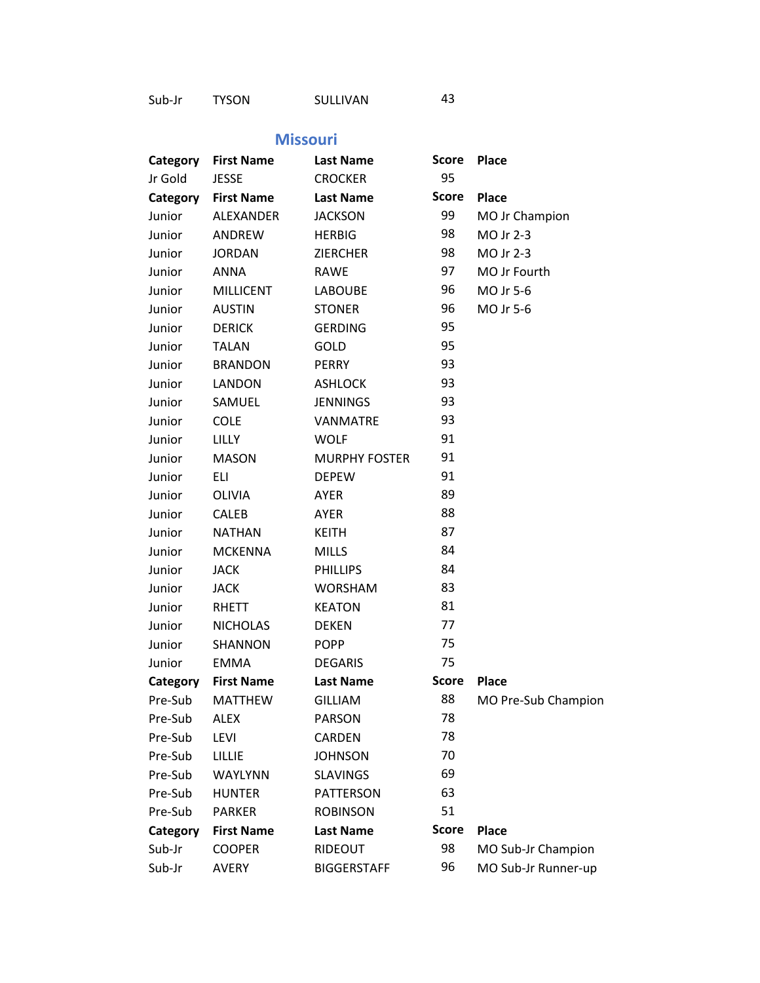Sub-Jr TYSON SULLIVAN 43

#### **Missouri**

| Category | <b>First Name</b> | <b>Last Name</b>     | <b>Score</b> | <b>Place</b>        |
|----------|-------------------|----------------------|--------------|---------------------|
| Jr Gold  | <b>JESSE</b>      | <b>CROCKER</b>       | 95           |                     |
| Category | <b>First Name</b> | <b>Last Name</b>     | <b>Score</b> | <b>Place</b>        |
| Junior   | ALEXANDER         | <b>JACKSON</b>       | 99           | MO Jr Champion      |
| Junior   | ANDREW            | <b>HERBIG</b>        | 98           | MO Jr 2-3           |
| Junior   | <b>JORDAN</b>     | <b>ZIERCHER</b>      | 98           | MO Jr 2-3           |
| Junior   | <b>ANNA</b>       | <b>RAWE</b>          | 97           | MO Jr Fourth        |
| Junior   | <b>MILLICENT</b>  | <b>LABOUBE</b>       | 96           | MO Jr 5-6           |
| Junior   | <b>AUSTIN</b>     | <b>STONER</b>        | 96           | MO Jr 5-6           |
| Junior   | <b>DERICK</b>     | <b>GERDING</b>       | 95           |                     |
| Junior   | <b>TALAN</b>      | GOLD                 | 95           |                     |
| Junior   | <b>BRANDON</b>    | <b>PERRY</b>         | 93           |                     |
| Junior   | <b>LANDON</b>     | <b>ASHLOCK</b>       | 93           |                     |
| Junior   | SAMUEL            | <b>JENNINGS</b>      | 93           |                     |
| Junior   | <b>COLE</b>       | <b>VANMATRE</b>      | 93           |                     |
| Junior   | <b>LILLY</b>      | <b>WOLF</b>          | 91           |                     |
| Junior   | <b>MASON</b>      | <b>MURPHY FOSTER</b> | 91           |                     |
| Junior   | ELI               | <b>DEPEW</b>         | 91           |                     |
| Junior   | OLIVIA            | <b>AYER</b>          | 89           |                     |
| Junior   | <b>CALEB</b>      | AYER                 | 88           |                     |
| Junior   | <b>NATHAN</b>     | <b>KEITH</b>         | 87           |                     |
| Junior   | <b>MCKENNA</b>    | <b>MILLS</b>         | 84           |                     |
| Junior   | <b>JACK</b>       | <b>PHILLIPS</b>      | 84           |                     |
| Junior   | <b>JACK</b>       | <b>WORSHAM</b>       | 83           |                     |
| Junior   | RHETT             | <b>KEATON</b>        | 81           |                     |
| Junior   | <b>NICHOLAS</b>   | <b>DEKEN</b>         | 77           |                     |
| Junior   | SHANNON           | <b>POPP</b>          | 75           |                     |
| Junior   | <b>EMMA</b>       | <b>DEGARIS</b>       | 75           |                     |
| Category | <b>First Name</b> | <b>Last Name</b>     | <b>Score</b> | <b>Place</b>        |
| Pre-Sub  | MATTHEW           | <b>GILLIAM</b>       | 88           | MO Pre-Sub Champion |
| Pre-Sub  | <b>ALEX</b>       | <b>PARSON</b>        | 78           |                     |
| Pre-Sub  | LEVI              | CARDEN               | 78           |                     |
| Pre-Sub  | <b>LILLIE</b>     | <b>JOHNSON</b>       | 70           |                     |
| Pre-Sub  | WAYLYNN           | <b>SLAVINGS</b>      | 69           |                     |
| Pre-Sub  | <b>HUNTER</b>     | <b>PATTERSON</b>     | 63           |                     |
| Pre-Sub  | <b>PARKER</b>     | <b>ROBINSON</b>      | 51           |                     |
| Category | <b>First Name</b> | <b>Last Name</b>     | <b>Score</b> | <b>Place</b>        |
| Sub-Jr   | <b>COOPER</b>     | RIDEOUT              | 98           | MO Sub-Jr Champion  |
| Sub-Jr   | <b>AVERY</b>      | <b>BIGGERSTAFF</b>   | 96           | MO Sub-Jr Runner-up |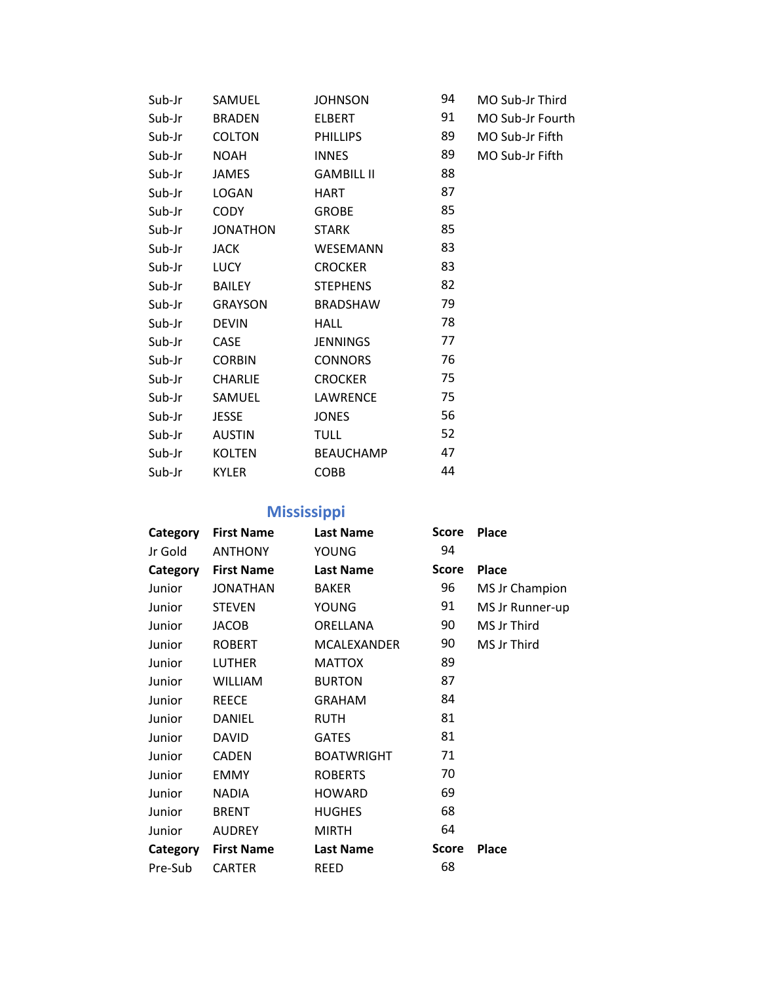| Sub-Jr | SAMUEL          | <b>JOHNSON</b>    | 94 | MO Sub-Jr Third  |
|--------|-----------------|-------------------|----|------------------|
| Sub-Jr | <b>BRADEN</b>   | ELBERT            | 91 | MO Sub-Jr Fourth |
| Sub-Jr | <b>COLTON</b>   | PHILLIPS          | 89 | MO Sub-Jr Fifth  |
| Sub-Jr | NOAH            | <b>INNES</b>      | 89 | MO Sub-Jr Fifth  |
| Sub-Jr | JAMES           | <b>GAMBILL II</b> | 88 |                  |
| Sub-Jr | LOGAN           | HART              | 87 |                  |
| Sub-Jr | CODY            | GROBE             | 85 |                  |
| Sub-Jr | <b>JONATHON</b> | <b>STARK</b>      | 85 |                  |
| Sub-Jr | JACK            | WESEMANN          | 83 |                  |
| Sub-Jr | LUCY            | <b>CROCKER</b>    | 83 |                  |
| Sub-Jr | BAILEY          | <b>STEPHENS</b>   | 82 |                  |
| Sub-Jr | GRAYSON         | BRADSHAW          | 79 |                  |
| Sub-Jr | <b>DEVIN</b>    | HALL              | 78 |                  |
| Sub-Jr | CASE            | JENNINGS          | 77 |                  |
| Sub-Jr | <b>CORBIN</b>   | <b>CONNORS</b>    | 76 |                  |
| Sub-Jr | <b>CHARLIE</b>  | <b>CROCKER</b>    | 75 |                  |
| Sub-Jr | SAMUEL          | LAWRENCE          | 75 |                  |
| Sub-Jr | JESSE           | JONES             | 56 |                  |
| Sub-Jr | AUSTIN          | <b>TULL</b>       | 52 |                  |
| Sub-Jr | KOLTEN          | <b>BEAUCHAMP</b>  | 47 |                  |
| Sub-Jr | <b>KYLER</b>    | <b>COBB</b>       | 44 |                  |

# **Mississippi**

| Category | <b>First Name</b> | <b>Last Name</b>  | <b>Score</b> | <b>Place</b>    |
|----------|-------------------|-------------------|--------------|-----------------|
| Jr Gold  | <b>ANTHONY</b>    | YOUNG             | 94           |                 |
| Category | <b>First Name</b> | <b>Last Name</b>  | <b>Score</b> | <b>Place</b>    |
| Junior   | <b>JONATHAN</b>   | <b>BAKER</b>      | 96           | MS Jr Champion  |
| Junior   | <b>STEVEN</b>     | YOUNG             | 91           | MS Jr Runner-up |
| Junior   | <b>JACOB</b>      | ORELLANA          | 90           | MS Jr Third     |
| Junior   | <b>ROBERT</b>     | MCALEXANDER       | 90           | MS Jr Third     |
| Junior   | <b>LUTHER</b>     | <b>MATTOX</b>     | 89           |                 |
| Junior   | WILLIAM           | <b>BURTON</b>     | 87           |                 |
| Junior   | <b>REECE</b>      | <b>GRAHAM</b>     | 84           |                 |
| Junior   | DANIEL            | <b>RUTH</b>       | 81           |                 |
| Junior   | <b>DAVID</b>      | <b>GATES</b>      | 81           |                 |
| Junior   | <b>CADEN</b>      | <b>BOATWRIGHT</b> | 71           |                 |
| Junior   | <b>EMMY</b>       | <b>ROBERTS</b>    | 70           |                 |
| Junior   | <b>NADIA</b>      | <b>HOWARD</b>     | 69           |                 |
| Junior   | <b>BRENT</b>      | <b>HUGHES</b>     | 68           |                 |
| Junior   | <b>AUDREY</b>     | <b>MIRTH</b>      | 64           |                 |
| Category | <b>First Name</b> | <b>Last Name</b>  | <b>Score</b> | <b>Place</b>    |
| Pre-Sub  | <b>CARTER</b>     | <b>REED</b>       | 68           |                 |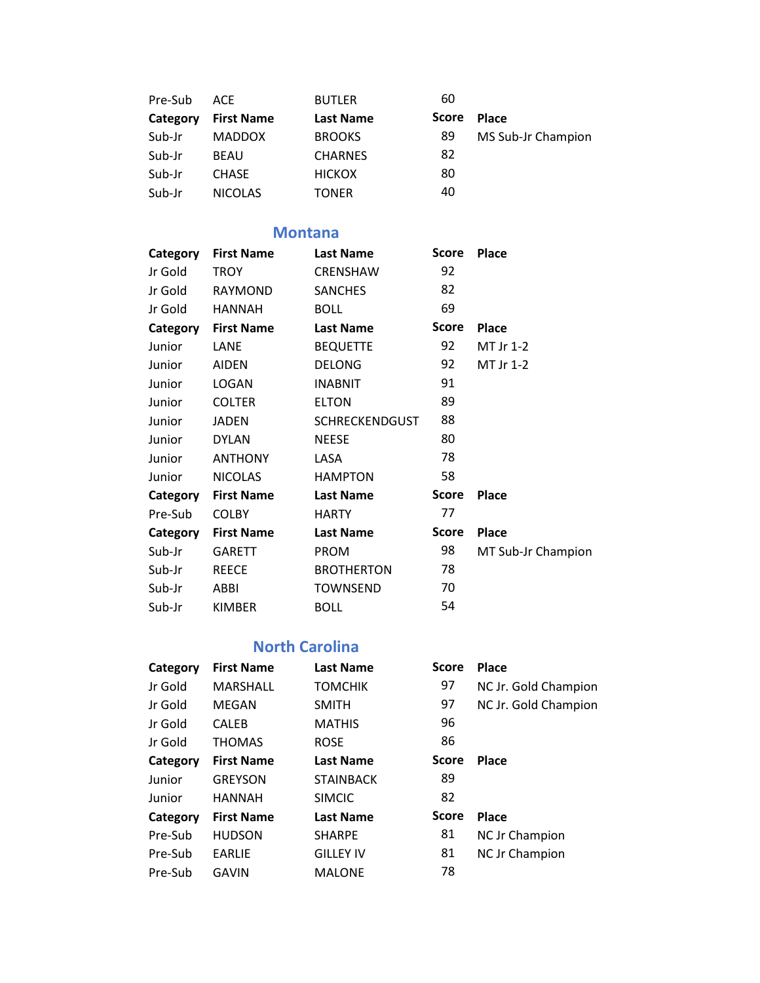| Pre-Sub  | ACE               | <b>BUTLER</b>    | 60           |                    |
|----------|-------------------|------------------|--------------|--------------------|
| Category | <b>First Name</b> | <b>Last Name</b> | <b>Score</b> | <b>Place</b>       |
| Sub-Jr   | <b>MADDOX</b>     | <b>BROOKS</b>    | 89           | MS Sub-Jr Champion |
| Sub-Jr   | <b>BEAU</b>       | <b>CHARNES</b>   | 82           |                    |
| Sub-Jr   | <b>CHASE</b>      | <b>HICKOX</b>    | 80           |                    |
| Sub-Jr   | <b>NICOLAS</b>    | TONER            | 40           |                    |

## **Montana**

| Category | <b>First Name</b> | <b>Last Name</b>      | Score        | <b>Place</b>       |
|----------|-------------------|-----------------------|--------------|--------------------|
| Jr Gold  | TROY              | CRENSHAW              | 92           |                    |
| Jr Gold  | <b>RAYMOND</b>    | <b>SANCHES</b>        | 82           |                    |
| Jr Gold  | <b>HANNAH</b>     | <b>BOLL</b>           | 69           |                    |
| Category | <b>First Name</b> | <b>Last Name</b>      | <b>Score</b> | <b>Place</b>       |
| Junior   | LANE              | <b>BEQUETTE</b>       | 92           | MT Jr 1-2          |
| Junior   | <b>AIDEN</b>      | <b>DELONG</b>         | 92           | MT Jr 1-2          |
| Junior   | LOGAN             | <b>INABNIT</b>        | 91           |                    |
| Junior   | <b>COLTER</b>     | <b>ELTON</b>          | 89           |                    |
| Junior   | <b>JADEN</b>      | <b>SCHRECKENDGUST</b> | 88           |                    |
| Junior   | <b>DYLAN</b>      | <b>NEESE</b>          | 80           |                    |
| Junior   | <b>ANTHONY</b>    | LASA                  | 78           |                    |
| Junior   | <b>NICOLAS</b>    | <b>HAMPTON</b>        | 58           |                    |
| Category | <b>First Name</b> | <b>Last Name</b>      | Score        | <b>Place</b>       |
| Pre-Sub  | <b>COLBY</b>      | <b>HARTY</b>          | 77           |                    |
| Category | <b>First Name</b> | <b>Last Name</b>      | <b>Score</b> | <b>Place</b>       |
| Sub-Jr   | GARETT            | <b>PROM</b>           | 98           | MT Sub-Jr Champion |
| Sub-Jr   | <b>REECE</b>      | <b>BROTHERTON</b>     | 78           |                    |
| Sub-Jr   | ABBI              | <b>TOWNSEND</b>       | 70           |                    |
| Sub-Jr   | <b>KIMBER</b>     | <b>BOLL</b>           | 54           |                    |

## **North Carolina**

| Category | <b>First Name</b> | <b>Last Name</b> | <b>Score</b> | <b>Place</b>          |
|----------|-------------------|------------------|--------------|-----------------------|
| Jr Gold  | MARSHALL          | <b>TOMCHIK</b>   | 97           | NC Jr. Gold Champion  |
| Jr Gold  | MEGAN             | <b>SMITH</b>     | 97           | NC Jr. Gold Champion  |
| Jr Gold  | <b>CALEB</b>      | <b>MATHIS</b>    | 96           |                       |
| Jr Gold  | <b>THOMAS</b>     | <b>ROSE</b>      | 86           |                       |
| Category | <b>First Name</b> | <b>Last Name</b> | Score        | Place                 |
| Junior   | <b>GREYSON</b>    | <b>STAINBACK</b> | 89           |                       |
| Junior   | <b>HANNAH</b>     | <b>SIMCIC</b>    | 82           |                       |
| Category | <b>First Name</b> | <b>Last Name</b> | <b>Score</b> | <b>Place</b>          |
| Pre-Sub  | <b>HUDSON</b>     | <b>SHARPE</b>    | 81           | <b>NC Jr Champion</b> |
| Pre-Sub  | <b>EARLIE</b>     | <b>GILLEY IV</b> | 81           | NC Jr Champion        |
| Pre-Sub  | GAVIN             | <b>MALONE</b>    | 78           |                       |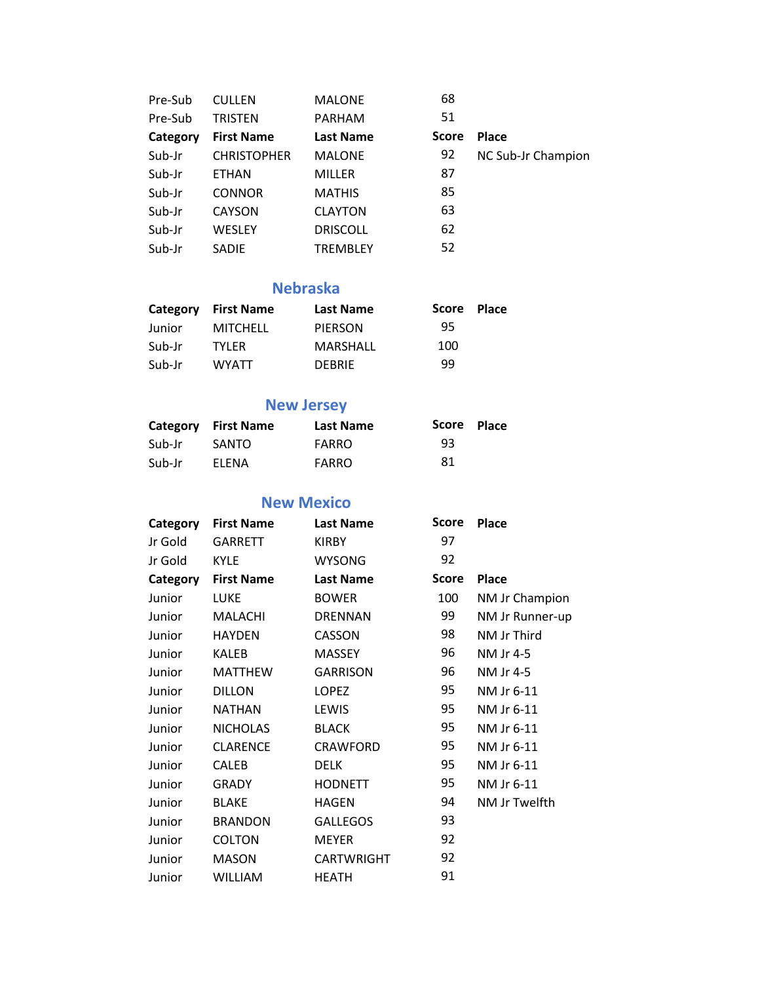| Pre-Sub  | <b>CULLEN</b>      | <b>MALONE</b>    | 68           |                    |
|----------|--------------------|------------------|--------------|--------------------|
| Pre-Sub  | TRISTEN            | <b>PARHAM</b>    | 51           |                    |
| Category | <b>First Name</b>  | <b>Last Name</b> | <b>Score</b> | <b>Place</b>       |
| Sub-Jr   | <b>CHRISTOPHER</b> | <b>MALONE</b>    | 92           | NC Sub-Jr Champion |
| Sub-Jr   | <b>ETHAN</b>       | <b>MILLER</b>    | 87           |                    |
| Sub-Jr   | <b>CONNOR</b>      | <b>MATHIS</b>    | 85           |                    |
| Sub-Jr   | <b>CAYSON</b>      | <b>CLAYTON</b>   | 63           |                    |
| Sub-Jr   | WESLEY             | <b>DRISCOLL</b>  | 62           |                    |
| Sub-Jr   | <b>SADIE</b>       | <b>TREMBLEY</b>  | 52           |                    |

#### **Nebraska**

| Category | <b>First Name</b> | <b>Last Name</b> | Score | <b>Place</b> |
|----------|-------------------|------------------|-------|--------------|
| Junior   | <b>MITCHELL</b>   | <b>PIERSON</b>   | 95    |              |
| Sub-Jr   | <b>TYLER</b>      | <b>MARSHALL</b>  | 100   |              |
| Sub-Jr   | <b>WYATT</b>      | <b>DEBRIE</b>    | 99    |              |

## **New Jersey**

|        | <b>Category</b> First Name | <b>Last Name</b> | Score Place |  |
|--------|----------------------------|------------------|-------------|--|
| Sub-Jr | SANTO                      | <b>FARRO</b>     | 93          |  |
| Sub-Jr | <b>FLENA</b>               | <b>FARRO</b>     | 81          |  |

## **New Mexico**

| <b>First Name</b> | <b>Last Name</b>  | Score        | <b>Place</b>    |
|-------------------|-------------------|--------------|-----------------|
| <b>GARRETT</b>    | <b>KIRBY</b>      | 97           |                 |
| <b>KYLE</b>       | <b>WYSONG</b>     | 92           |                 |
| <b>First Name</b> | <b>Last Name</b>  | <b>Score</b> | <b>Place</b>    |
| LUKE              | <b>BOWER</b>      | 100          | NM Jr Champion  |
| MALACHI           | <b>DRENNAN</b>    | 99           | NM Jr Runner-up |
| <b>HAYDEN</b>     | CASSON            | 98           | NM Jr Third     |
| KALEB             | <b>MASSEY</b>     | 96           | NM Jr 4-5       |
| <b>MATTHEW</b>    | <b>GARRISON</b>   | 96           | NM Jr 4-5       |
| <b>DILLON</b>     | <b>LOPEZ</b>      | 95           | NM Jr 6-11      |
| <b>NATHAN</b>     | LEWIS             | 95           | NM Jr 6-11      |
| <b>NICHOLAS</b>   | <b>BLACK</b>      | 95           | NM Jr 6-11      |
| <b>CLARENCE</b>   | <b>CRAWFORD</b>   | 95           | NM Jr 6-11      |
| <b>CALEB</b>      | <b>DELK</b>       | 95           | NM Jr 6-11      |
| <b>GRADY</b>      | <b>HODNETT</b>    | 95           | NM Jr 6-11      |
| <b>BLAKE</b>      | <b>HAGEN</b>      | 94           | NM Jr Twelfth   |
| <b>BRANDON</b>    | <b>GALLEGOS</b>   | 93           |                 |
| <b>COLTON</b>     | <b>MEYER</b>      | 92           |                 |
| <b>MASON</b>      | <b>CARTWRIGHT</b> | 92           |                 |
| <b>WILLIAM</b>    | <b>HEATH</b>      | 91           |                 |
|                   |                   |              |                 |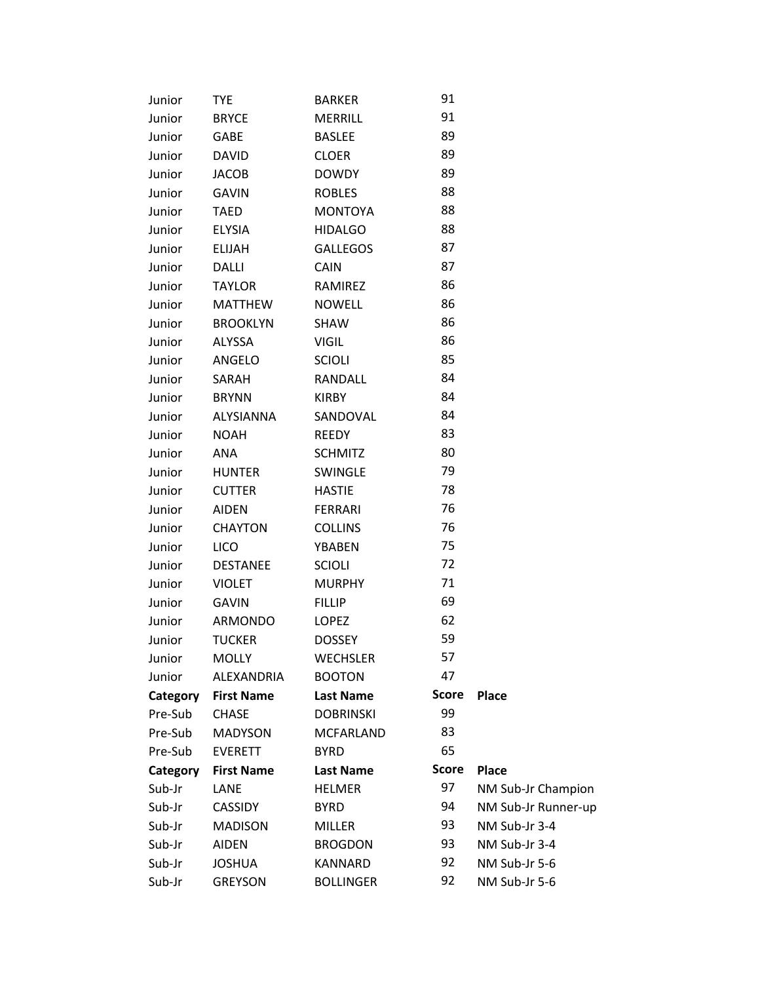| Junior   | <b>TYE</b>        | <b>BARKER</b>    | 91           |                     |
|----------|-------------------|------------------|--------------|---------------------|
| Junior   | <b>BRYCE</b>      | <b>MERRILL</b>   | 91           |                     |
| Junior   | GABE              | <b>BASLEE</b>    | 89           |                     |
| Junior   | <b>DAVID</b>      | <b>CLOER</b>     | 89           |                     |
| Junior   | <b>JACOB</b>      | <b>DOWDY</b>     | 89           |                     |
| Junior   | <b>GAVIN</b>      | <b>ROBLES</b>    | 88           |                     |
| Junior   | <b>TAED</b>       | <b>MONTOYA</b>   | 88           |                     |
| Junior   | <b>ELYSIA</b>     | <b>HIDALGO</b>   | 88           |                     |
| Junior   | <b>ELIJAH</b>     | <b>GALLEGOS</b>  | 87           |                     |
| Junior   | <b>DALLI</b>      | CAIN             | 87           |                     |
| Junior   | <b>TAYLOR</b>     | RAMIREZ          | 86           |                     |
| Junior   | <b>MATTHEW</b>    | <b>NOWELL</b>    | 86           |                     |
| Junior   | <b>BROOKLYN</b>   | SHAW             | 86           |                     |
| Junior   | ALYSSA            | <b>VIGIL</b>     | 86           |                     |
| Junior   | ANGELO            | <b>SCIOLI</b>    | 85           |                     |
| Junior   | SARAH             | RANDALL          | 84           |                     |
| Junior   | <b>BRYNN</b>      | <b>KIRBY</b>     | 84           |                     |
| Junior   | <b>ALYSIANNA</b>  | SANDOVAL         | 84           |                     |
| Junior   | <b>NOAH</b>       | <b>REEDY</b>     | 83           |                     |
| Junior   | ANA               | <b>SCHMITZ</b>   | 80           |                     |
| Junior   | <b>HUNTER</b>     | <b>SWINGLE</b>   | 79           |                     |
| Junior   | <b>CUTTER</b>     | <b>HASTIE</b>    | 78           |                     |
| Junior   | <b>AIDEN</b>      | <b>FERRARI</b>   | 76           |                     |
| Junior   | <b>CHAYTON</b>    | <b>COLLINS</b>   | 76           |                     |
| Junior   | <b>LICO</b>       | <b>YBABEN</b>    | 75           |                     |
| Junior   | <b>DESTANEE</b>   | <b>SCIOLI</b>    | 72           |                     |
| Junior   | <b>VIOLET</b>     | <b>MURPHY</b>    | 71           |                     |
| Junior   | <b>GAVIN</b>      | <b>FILLIP</b>    | 69           |                     |
| Junior   | ARMONDO           | <b>LOPEZ</b>     | 62           |                     |
| Junior   | <b>TUCKER</b>     | <b>DOSSEY</b>    | 59           |                     |
| Junior   | <b>MOLLY</b>      | <b>WECHSLER</b>  | 57           |                     |
| Junior   | ALEXANDRIA        | <b>BOOTON</b>    | 47           |                     |
| Category | <b>First Name</b> | <b>Last Name</b> | <b>Score</b> | <b>Place</b>        |
| Pre-Sub  | <b>CHASE</b>      | <b>DOBRINSKI</b> | 99           |                     |
| Pre-Sub  | <b>MADYSON</b>    | <b>MCFARLAND</b> | 83           |                     |
| Pre-Sub  | <b>EVERETT</b>    | <b>BYRD</b>      | 65           |                     |
| Category | <b>First Name</b> | <b>Last Name</b> | <b>Score</b> | <b>Place</b>        |
| Sub-Jr   | LANE              | <b>HELMER</b>    | 97           | NM Sub-Jr Champion  |
| Sub-Jr   | <b>CASSIDY</b>    | <b>BYRD</b>      | 94           | NM Sub-Jr Runner-up |
| Sub-Jr   | <b>MADISON</b>    | <b>MILLER</b>    | 93           | NM Sub-Jr 3-4       |
| Sub-Jr   | <b>AIDEN</b>      | <b>BROGDON</b>   | 93           | NM Sub-Jr 3-4       |
| Sub-Jr   | <b>JOSHUA</b>     | <b>KANNARD</b>   | 92           | NM Sub-Jr 5-6       |
| Sub-Jr   | <b>GREYSON</b>    | <b>BOLLINGER</b> | 92           | NM Sub-Jr 5-6       |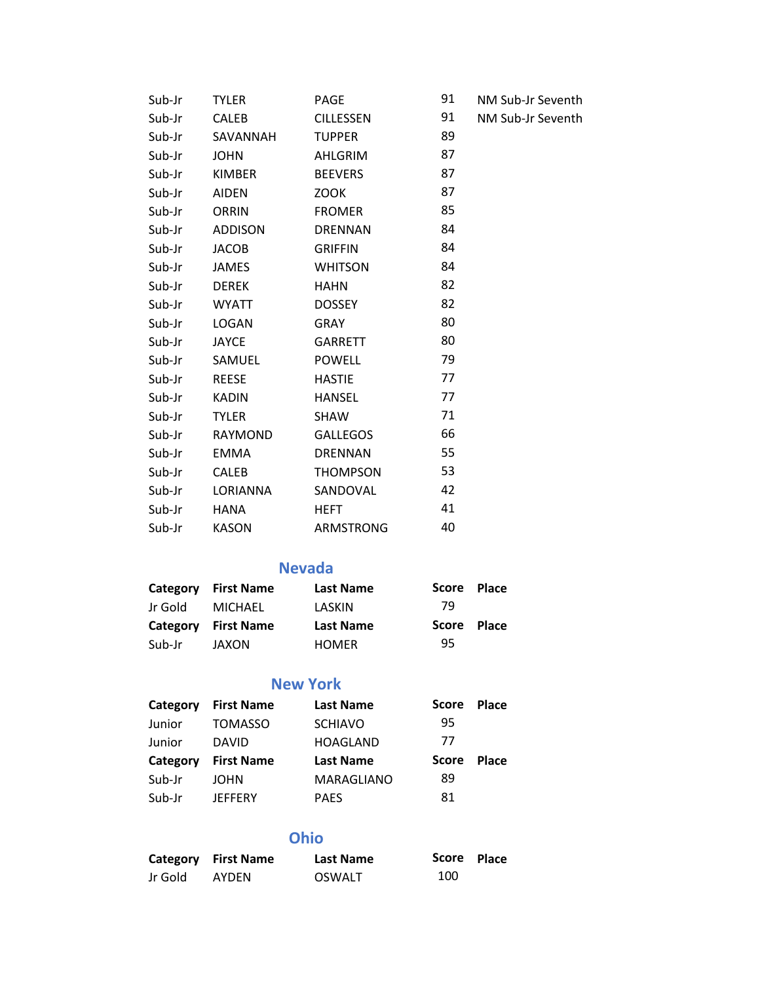| Sub-Jr | TYLER        | PAGE             | 91 | NM Sub-Jr Seventh |
|--------|--------------|------------------|----|-------------------|
| Sub-Jr | CALEB        | <b>CILLESSEN</b> | 91 | NM Sub-Jr Seventh |
| Sub-Jr | SAVANNAH     | <b>TUPPER</b>    | 89 |                   |
| Sub-Jr | <b>JOHN</b>  | AHLGRIM          | 87 |                   |
| Sub-Jr | KIMBER       | <b>BEEVERS</b>   | 87 |                   |
| Sub-Jr | AIDEN        | <b>ZOOK</b>      | 87 |                   |
| Sub-Jr | ORRIN        | <b>FROMER</b>    | 85 |                   |
| Sub-Jr | ADDISON      | <b>DRENNAN</b>   | 84 |                   |
| Sub-Jr | JACOB        | <b>GRIFFIN</b>   | 84 |                   |
| Sub-Jr | JAMES        | <b>WHITSON</b>   | 84 |                   |
| Sub-Jr | DEREK        | <b>HAHN</b>      | 82 |                   |
| Sub-Jr | WYATT        | DOSSEY           | 82 |                   |
| Sub-Jr | LOGAN        | GRAY             | 80 |                   |
| Sub-Jr | JAYCE        | GARRETT          | 80 |                   |
| Sub-Jr | SAMUEL       | <b>POWELL</b>    | 79 |                   |
| Sub-Jr | REESE        | <b>HASTIE</b>    | 77 |                   |
| Sub-Jr | KADIN        | HANSEL           | 77 |                   |
| Sub-Jr | <b>TYLER</b> | SHAW             | 71 |                   |
| Sub-Jr | RAYMOND      | GALLEGOS         | 66 |                   |
| Sub-Jr | EMMA         | <b>DRENNAN</b>   | 55 |                   |
| Sub-Jr | CALEB        | THOMPSON         | 53 |                   |
| Sub-Jr | LORIANNA     | SANDOVAL         | 42 |                   |
| Sub-Jr | HANA         | HEFT             | 41 |                   |
| Sub-Jr | <b>KASON</b> | ARMSTRONG        | 40 |                   |

### **Nevada**

|         | Category First Name | <b>Last Name</b> | Score | <b>Place</b> |
|---------|---------------------|------------------|-------|--------------|
| Jr Gold | MICHAEL             | LASKIN           | 79    |              |
|         |                     |                  |       |              |
|         | Category First Name | <b>Last Name</b> | Score | <b>Place</b> |

#### **New York**

| Category | <b>First Name</b> | <b>Last Name</b> | Score | <b>Place</b> |
|----------|-------------------|------------------|-------|--------------|
| Junior   | <b>TOMASSO</b>    | <b>SCHIAVO</b>   | 95    |              |
| Junior   | <b>DAVID</b>      | <b>HOAGLAND</b>  | 77    |              |
|          |                   |                  |       |              |
| Category | <b>First Name</b> | <b>Last Name</b> | Score | <b>Place</b> |
| Sub-Jr   | JOHN              | MARAGLIANO       | 89    |              |

## **Ohio**

|         | Category First Name | <b>Last Name</b> | Score Place |  |
|---------|---------------------|------------------|-------------|--|
| Jr Gold | <b>AYDEN</b>        | OSWALT           | 100         |  |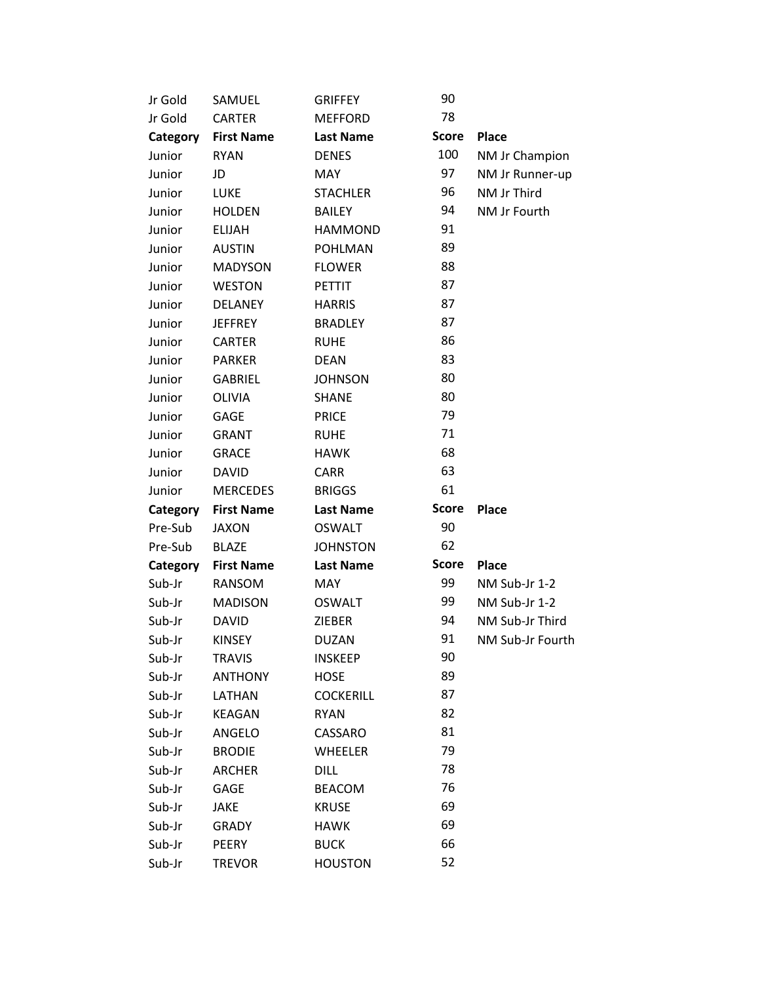| Jr Gold  | SAMUEL            | <b>GRIFFEY</b>   | 90           |                  |
|----------|-------------------|------------------|--------------|------------------|
| Jr Gold  | <b>CARTER</b>     | <b>MEFFORD</b>   | 78           |                  |
| Category | <b>First Name</b> | <b>Last Name</b> | <b>Score</b> | Place            |
| Junior   | <b>RYAN</b>       | <b>DENES</b>     | 100          | NM Jr Champion   |
| Junior   | JD                | <b>MAY</b>       | 97           | NM Jr Runner-up  |
| Junior   | <b>LUKE</b>       | <b>STACHLER</b>  | 96           | NM Jr Third      |
| Junior   | <b>HOLDEN</b>     | <b>BAILEY</b>    | 94           | NM Jr Fourth     |
| Junior   | <b>ELIJAH</b>     | <b>HAMMOND</b>   | 91           |                  |
| Junior   | <b>AUSTIN</b>     | <b>POHLMAN</b>   | 89           |                  |
| Junior   | <b>MADYSON</b>    | <b>FLOWER</b>    | 88           |                  |
| Junior   | <b>WESTON</b>     | <b>PETTIT</b>    | 87           |                  |
| Junior   | <b>DELANEY</b>    | <b>HARRIS</b>    | 87           |                  |
| Junior   | <b>JEFFREY</b>    | <b>BRADLEY</b>   | 87           |                  |
| Junior   | <b>CARTER</b>     | <b>RUHE</b>      | 86           |                  |
| Junior   | <b>PARKER</b>     | <b>DEAN</b>      | 83           |                  |
| Junior   | <b>GABRIEL</b>    | <b>JOHNSON</b>   | 80           |                  |
| Junior   | <b>OLIVIA</b>     | <b>SHANE</b>     | 80           |                  |
| Junior   | <b>GAGE</b>       | <b>PRICE</b>     | 79           |                  |
| Junior   | <b>GRANT</b>      | <b>RUHE</b>      | 71           |                  |
| Junior   | <b>GRACE</b>      | <b>HAWK</b>      | 68           |                  |
| Junior   | <b>DAVID</b>      | <b>CARR</b>      | 63           |                  |
| Junior   | <b>MERCEDES</b>   | <b>BRIGGS</b>    | 61           |                  |
| Category | <b>First Name</b> | <b>Last Name</b> | <b>Score</b> | <b>Place</b>     |
| Pre-Sub  | <b>JAXON</b>      | <b>OSWALT</b>    | 90           |                  |
| Pre-Sub  | <b>BLAZE</b>      | <b>JOHNSTON</b>  | 62           |                  |
| Category | <b>First Name</b> | <b>Last Name</b> | <b>Score</b> | <b>Place</b>     |
| Sub-Jr   | RANSOM            | <b>MAY</b>       | 99           | NM Sub-Jr 1-2    |
| Sub-Jr   | <b>MADISON</b>    | <b>OSWALT</b>    | 99           | NM Sub-Jr 1-2    |
| Sub-Jr   | <b>DAVID</b>      | <b>ZIEBER</b>    | 94           | NM Sub-Jr Third  |
| Sub-Jr   | <b>KINSEY</b>     | <b>DUZAN</b>     | 91           | NM Sub-Jr Fourth |
| Sub-Jr   | <b>TRAVIS</b>     |                  |              |                  |
| Sub-Jr   |                   | <b>INSKEEP</b>   | 90           |                  |
|          | <b>ANTHONY</b>    | <b>HOSE</b>      | 89           |                  |
| Sub-Jr   | LATHAN            | <b>COCKERILL</b> | 87           |                  |
| Sub-Jr   | <b>KEAGAN</b>     | <b>RYAN</b>      | 82           |                  |
| Sub-Jr   | ANGELO            | CASSARO          | 81           |                  |
| Sub-Jr   | <b>BRODIE</b>     | <b>WHEELER</b>   | 79           |                  |
| Sub-Jr   | <b>ARCHER</b>     | <b>DILL</b>      | 78           |                  |
| Sub-Jr   | <b>GAGE</b>       | <b>BEACOM</b>    | 76           |                  |
| Sub-Jr   | <b>JAKE</b>       | <b>KRUSE</b>     | 69           |                  |
| Sub-Jr   | <b>GRADY</b>      | HAWK             | 69           |                  |
| Sub-Jr   | PEERY             | <b>BUCK</b>      | 66           |                  |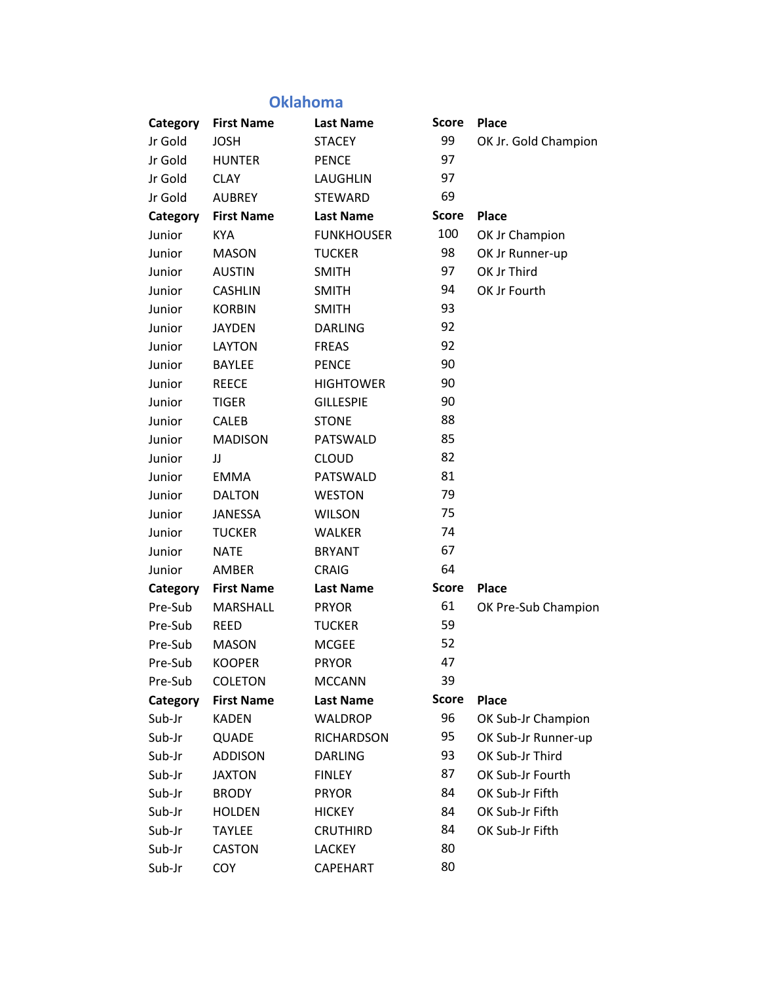## **Oklahoma**

| Category | <b>First Name</b> | <b>Last Name</b>  | <b>Score</b> | <b>Place</b>         |
|----------|-------------------|-------------------|--------------|----------------------|
| Jr Gold  | <b>JOSH</b>       | <b>STACEY</b>     | 99           | OK Jr. Gold Champion |
| Jr Gold  | <b>HUNTER</b>     | <b>PENCE</b>      | 97           |                      |
| Jr Gold  | <b>CLAY</b>       | LAUGHLIN          | 97           |                      |
| Jr Gold  | <b>AUBREY</b>     | <b>STEWARD</b>    | 69           |                      |
| Category | <b>First Name</b> | <b>Last Name</b>  | <b>Score</b> | <b>Place</b>         |
| Junior   | <b>KYA</b>        | <b>FUNKHOUSER</b> | 100          | OK Jr Champion       |
| Junior   | <b>MASON</b>      | <b>TUCKER</b>     | 98           | OK Jr Runner-up      |
| Junior   | <b>AUSTIN</b>     | <b>SMITH</b>      | 97           | OK Jr Third          |
| Junior   | <b>CASHLIN</b>    | <b>SMITH</b>      | 94           | OK Jr Fourth         |
| Junior   | <b>KORBIN</b>     | <b>SMITH</b>      | 93           |                      |
| Junior   | <b>JAYDEN</b>     | <b>DARLING</b>    | 92           |                      |
| Junior   | <b>LAYTON</b>     | <b>FREAS</b>      | 92           |                      |
| Junior   | <b>BAYLEE</b>     | <b>PENCE</b>      | 90           |                      |
| Junior   | <b>REECE</b>      | <b>HIGHTOWER</b>  | 90           |                      |
| Junior   | <b>TIGER</b>      | <b>GILLESPIE</b>  | 90           |                      |
| Junior   | CALEB             | <b>STONE</b>      | 88           |                      |
| Junior   | <b>MADISON</b>    | PATSWALD          | 85           |                      |
| Junior   | JJ                | <b>CLOUD</b>      | 82           |                      |
| Junior   | <b>EMMA</b>       | PATSWALD          | 81           |                      |
| Junior   | <b>DALTON</b>     | <b>WESTON</b>     | 79           |                      |
| Junior   | <b>JANESSA</b>    | <b>WILSON</b>     | 75           |                      |
| Junior   | <b>TUCKER</b>     | <b>WALKER</b>     | 74           |                      |
| Junior   | <b>NATE</b>       | <b>BRYANT</b>     | 67           |                      |
| Junior   | AMBER             | <b>CRAIG</b>      | 64           |                      |
| Category | <b>First Name</b> | <b>Last Name</b>  | <b>Score</b> | Place                |
| Pre-Sub  | <b>MARSHALL</b>   | <b>PRYOR</b>      | 61           | OK Pre-Sub Champion  |
| Pre-Sub  | <b>REED</b>       | <b>TUCKER</b>     | 59           |                      |
| Pre-Sub  | <b>MASON</b>      | <b>MCGEE</b>      | 52           |                      |
| Pre-Sub  | <b>KOOPER</b>     | <b>PRYOR</b>      | 47           |                      |
| Pre-Sub  | <b>COLETON</b>    | <b>MCCANN</b>     | 39           |                      |
| Category | <b>First Name</b> | <b>Last Name</b>  | <b>Score</b> | <b>Place</b>         |
| Sub-Jr   | <b>KADEN</b>      | <b>WALDROP</b>    | 96           | OK Sub-Jr Champion   |
| Sub-Jr   | QUADE             | <b>RICHARDSON</b> | 95           | OK Sub-Jr Runner-up  |
| Sub-Jr   | <b>ADDISON</b>    | <b>DARLING</b>    | 93           | OK Sub-Jr Third      |
| Sub-Jr   | JAXTON            | <b>FINLEY</b>     | 87           | OK Sub-Jr Fourth     |
| Sub-Jr   | <b>BRODY</b>      | <b>PRYOR</b>      | 84           | OK Sub-Jr Fifth      |
| Sub-Jr   | <b>HOLDEN</b>     | <b>HICKEY</b>     | 84           | OK Sub-Jr Fifth      |
| Sub-Jr   | <b>TAYLEE</b>     | <b>CRUTHIRD</b>   | 84           | OK Sub-Jr Fifth      |
| Sub-Jr   | CASTON            | <b>LACKEY</b>     | 80           |                      |
| Sub-Jr   | <b>COY</b>        | <b>CAPEHART</b>   | 80           |                      |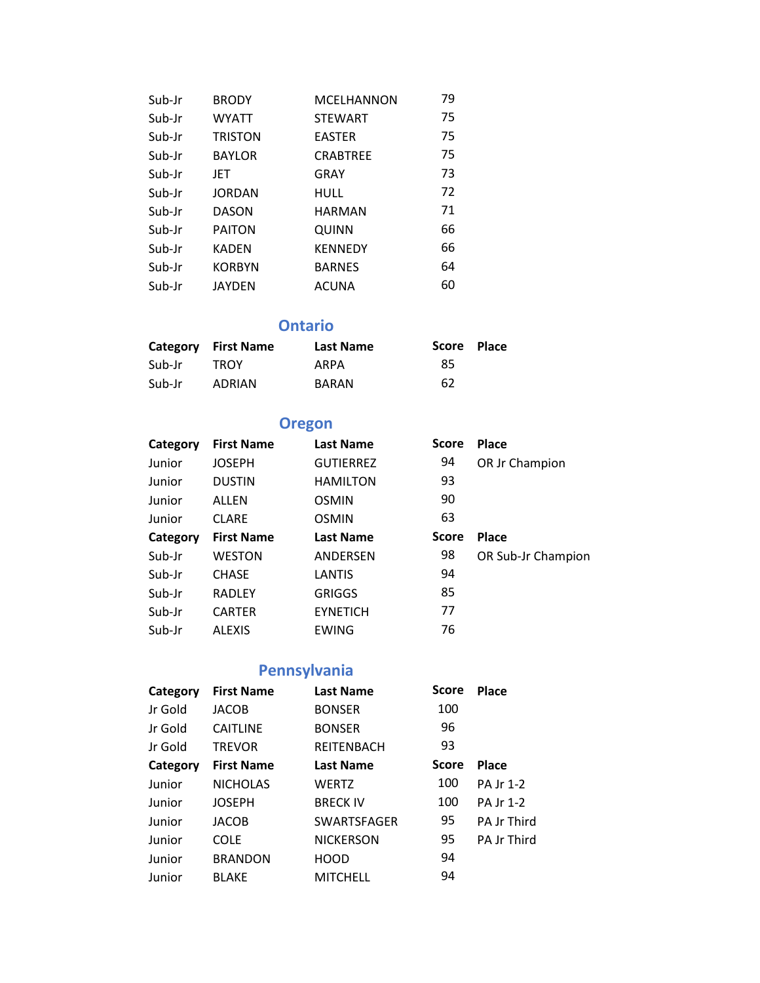| Sub-Jr | <b>BRODY</b>   | <b>MCELHANNON</b> | 79 |
|--------|----------------|-------------------|----|
| Sub-Jr | WYATT          | <b>STEWART</b>    | 75 |
| Sub-Jr | <b>TRISTON</b> | <b>EASTER</b>     | 75 |
| Sub-Jr | <b>BAYLOR</b>  | <b>CRABTREE</b>   | 75 |
| Sub-Jr | JET            | GRAY              | 73 |
| Sub-Jr | <b>JORDAN</b>  | HULL              | 72 |
| Sub-Jr | <b>DASON</b>   | <b>HARMAN</b>     | 71 |
| Sub-Jr | <b>PAITON</b>  | QUINN             | 66 |
| Sub-Jr | <b>KADEN</b>   | <b>KENNEDY</b>    | 66 |
| Sub-Jr | <b>KORBYN</b>  | <b>BARNES</b>     | 64 |
| Sub-Jr | <b>JAYDEN</b>  | ACUNA             | 60 |

**Ontario**

|        | Category First Name | <b>Last Name</b> | Score Place |  |
|--------|---------------------|------------------|-------------|--|
| Sub-Jr | <b>TROY</b>         | ARPA             | 85          |  |
| Sub-Jr | ADRIAN              | <b>BARAN</b>     | 62          |  |

## **Oregon**

| Category | <b>First Name</b> | <b>Last Name</b> | <b>Score</b> | Place              |
|----------|-------------------|------------------|--------------|--------------------|
| Junior   | <b>JOSEPH</b>     | <b>GUTIERREZ</b> | 94           | OR Jr Champion     |
| Junior   | <b>DUSTIN</b>     | <b>HAMILTON</b>  | 93           |                    |
| Junior   | ALLEN             | <b>OSMIN</b>     | 90           |                    |
| Junior   | <b>CLARE</b>      | <b>OSMIN</b>     | 63           |                    |
| Category | <b>First Name</b> | <b>Last Name</b> | <b>Score</b> | <b>Place</b>       |
| Sub-Jr   | <b>WESTON</b>     | ANDERSEN         | 98           | OR Sub-Jr Champion |
| Sub-Jr   | <b>CHASE</b>      | LANTIS           | 94           |                    |
| Sub-Jr   | <b>RADLEY</b>     | GRIGGS           | 85           |                    |
| Sub-Jr   | <b>CARTER</b>     | <b>EYNETICH</b>  | 77           |                    |
| Sub-Jr   | <b>ALEXIS</b>     | EWING            | 76           |                    |

# **Pennsylvania**

| Category | <b>First Name</b> | <b>Last Name</b>   | <b>Score</b> | Place              |
|----------|-------------------|--------------------|--------------|--------------------|
| Jr Gold  | JACOB             | <b>BONSER</b>      | 100          |                    |
| Jr Gold  | <b>CAITLINE</b>   | <b>BONSER</b>      | 96           |                    |
| Ir Gold  | <b>TREVOR</b>     | <b>REITENBACH</b>  | 93           |                    |
| Category | <b>First Name</b> | <b>Last Name</b>   | <b>Score</b> | <b>Place</b>       |
| Junior   | <b>NICHOLAS</b>   | <b>WERTZ</b>       | 100          | PA Jr 1-2          |
| Junior   | <b>JOSEPH</b>     | <b>BRECK IV</b>    | 100          | PA Jr 1-2          |
| Junior   | <b>JACOB</b>      | <b>SWARTSFAGER</b> | 95           | <b>PA Jr Third</b> |
| Junior   | <b>COLE</b>       | <b>NICKERSON</b>   | 95           | <b>PA Jr Third</b> |
| Junior   | <b>BRANDON</b>    | <b>HOOD</b>        | 94           |                    |
| Junior   | <b>BLAKE</b>      | <b>MITCHELL</b>    | 94           |                    |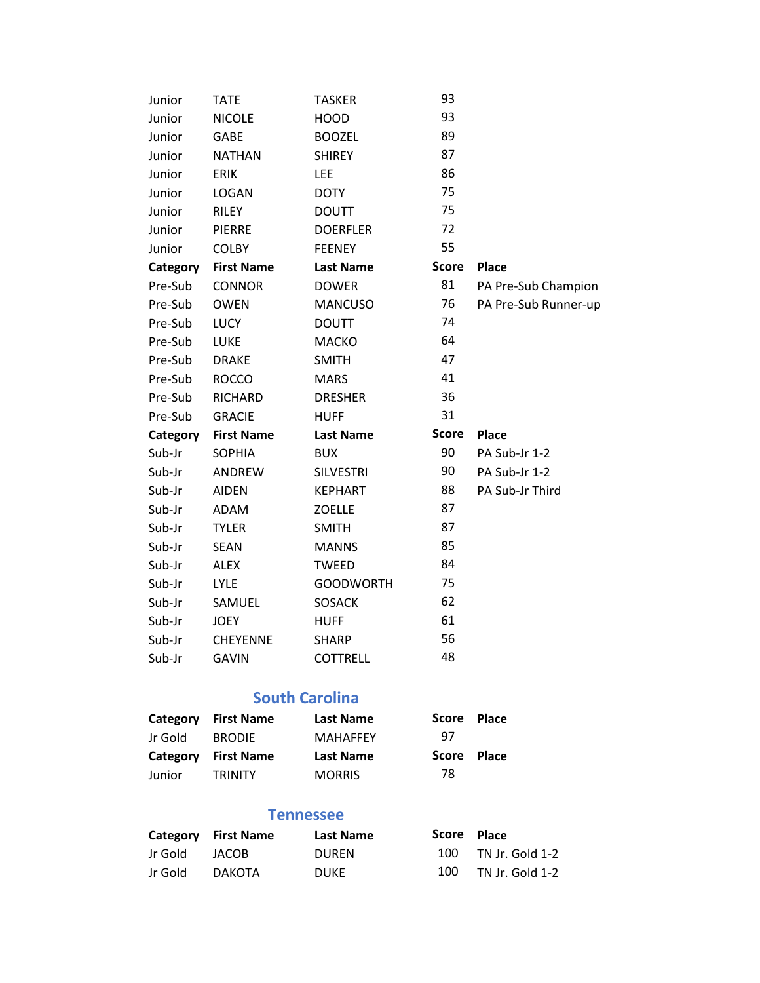| Junior   | <b>TATE</b>       | <b>TASKER</b>    | 93           |                      |
|----------|-------------------|------------------|--------------|----------------------|
| Junior   | <b>NICOLE</b>     | <b>HOOD</b>      | 93           |                      |
| Junior   | <b>GABE</b>       | <b>BOOZEL</b>    | 89           |                      |
| Junior   | <b>NATHAN</b>     | <b>SHIREY</b>    | 87           |                      |
| Junior   | <b>ERIK</b>       | <b>LEE</b>       | 86           |                      |
| Junior   | <b>LOGAN</b>      | <b>DOTY</b>      | 75           |                      |
| Junior   | <b>RILEY</b>      | <b>DOUTT</b>     | 75           |                      |
| Junior   | <b>PIERRE</b>     | <b>DOERFLER</b>  | 72           |                      |
| Junior   | <b>COLBY</b>      | <b>FEENEY</b>    | 55           |                      |
| Category | <b>First Name</b> | <b>Last Name</b> | <b>Score</b> | <b>Place</b>         |
| Pre-Sub  | <b>CONNOR</b>     | <b>DOWER</b>     | 81           | PA Pre-Sub Champion  |
| Pre-Sub  | <b>OWEN</b>       | <b>MANCUSO</b>   | 76           | PA Pre-Sub Runner-up |
| Pre-Sub  | <b>LUCY</b>       | <b>DOUTT</b>     | 74           |                      |
| Pre-Sub  | LUKE              | <b>MACKO</b>     | 64           |                      |
| Pre-Sub  | <b>DRAKE</b>      | <b>SMITH</b>     | 47           |                      |
| Pre-Sub  | <b>ROCCO</b>      | <b>MARS</b>      | 41           |                      |
| Pre-Sub  | <b>RICHARD</b>    | <b>DRESHER</b>   | 36           |                      |
| Pre-Sub  | <b>GRACIE</b>     | <b>HUFF</b>      | 31           |                      |
| Category | <b>First Name</b> | <b>Last Name</b> | <b>Score</b> | Place                |
| Sub-Jr   | <b>SOPHIA</b>     | <b>BUX</b>       | 90           | PA Sub-Jr 1-2        |
| Sub-Jr   | ANDREW            | <b>SILVESTRI</b> | 90           | PA Sub-Jr 1-2        |
| Sub-Jr   | <b>AIDEN</b>      | <b>KEPHART</b>   | 88           | PA Sub-Jr Third      |
| Sub-Jr   | ADAM              | <b>ZOELLE</b>    | 87           |                      |
| Sub-Jr   | <b>TYLER</b>      | <b>SMITH</b>     | 87           |                      |
| Sub-Jr   | <b>SEAN</b>       | <b>MANNS</b>     | 85           |                      |
| Sub-Jr   | <b>ALEX</b>       | <b>TWEED</b>     | 84           |                      |
| Sub-Jr   | <b>LYLE</b>       | <b>GOODWORTH</b> | 75           |                      |
| Sub-Jr   | SAMUEL            | <b>SOSACK</b>    | 62           |                      |
| Sub-Jr   | <b>JOEY</b>       | <b>HUFF</b>      | 61           |                      |
| Sub-Jr   | <b>CHEYENNE</b>   | <b>SHARP</b>     | 56           |                      |
| Sub-Jr   | <b>GAVIN</b>      | <b>COTTRELL</b>  | 48           |                      |
|          |                   |                  |              |                      |

#### **South Carolina**

| Category | <b>First Name</b> | Last Name        | Score        | <b>Place</b> |
|----------|-------------------|------------------|--------------|--------------|
| Jr Gold  | <b>BRODIE</b>     | <b>MAHAFFEY</b>  | 97           |              |
|          |                   |                  |              |              |
| Category | <b>First Name</b> | <b>Last Name</b> | <b>Score</b> | <b>Place</b> |

#### **Tennessee**

|         | Category First Name | Last Name    | Score Place |                     |
|---------|---------------------|--------------|-------------|---------------------|
| Jr Gold | JACOB               | <b>DUREN</b> |             | 100 TN Jr. Gold 1-2 |
| Jr Gold | DAKOTA              | <b>DUKE</b>  | 100         | TN Jr. Gold 1-2     |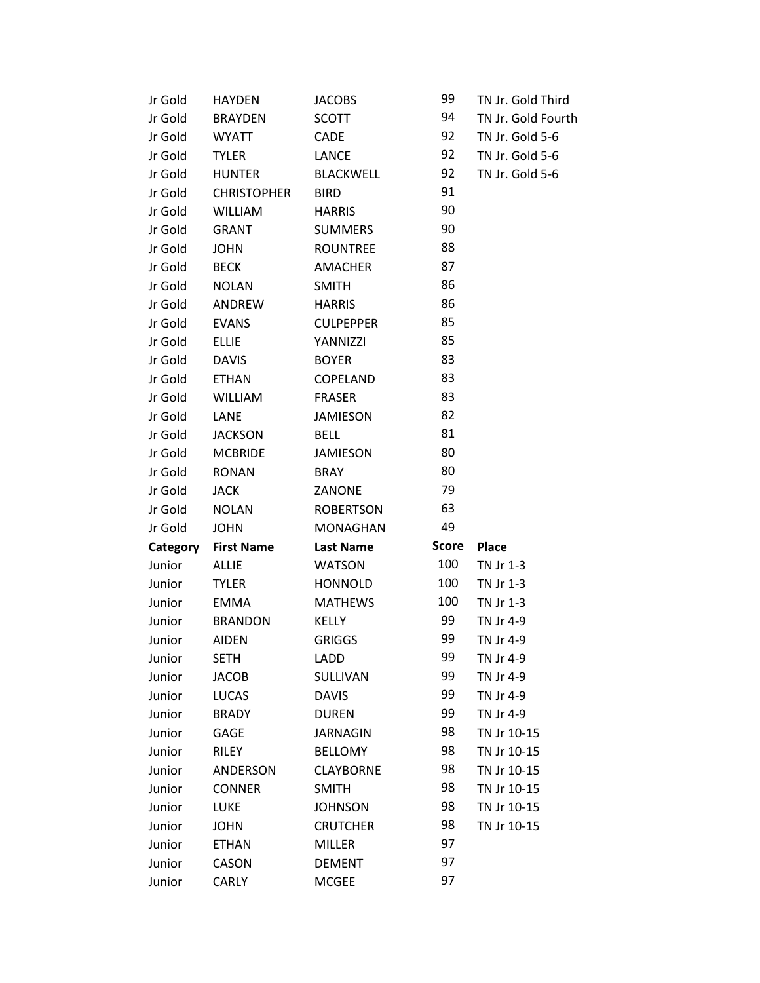| Jr Gold  | <b>HAYDEN</b>      | <b>JACOBS</b>    | 99           | TN Jr. Gold Third  |
|----------|--------------------|------------------|--------------|--------------------|
| Jr Gold  | <b>BRAYDEN</b>     | <b>SCOTT</b>     | 94           | TN Jr. Gold Fourth |
| Jr Gold  | <b>WYATT</b>       | CADE             | 92           | TN Jr. Gold 5-6    |
| Jr Gold  | <b>TYLER</b>       | <b>LANCE</b>     | 92           | TN Jr. Gold 5-6    |
| Jr Gold  | <b>HUNTER</b>      | <b>BLACKWELL</b> | 92           | TN Jr. Gold 5-6    |
| Jr Gold  | <b>CHRISTOPHER</b> | <b>BIRD</b>      | 91           |                    |
| Jr Gold  | <b>WILLIAM</b>     | <b>HARRIS</b>    | 90           |                    |
| Jr Gold  | <b>GRANT</b>       | <b>SUMMERS</b>   | 90           |                    |
| Jr Gold  | <b>JOHN</b>        | <b>ROUNTREE</b>  | 88           |                    |
| Jr Gold  | <b>BECK</b>        | <b>AMACHER</b>   | 87           |                    |
| Jr Gold  | <b>NOLAN</b>       | <b>SMITH</b>     | 86           |                    |
| Jr Gold  | ANDREW             | <b>HARRIS</b>    | 86           |                    |
| Jr Gold  | <b>EVANS</b>       | <b>CULPEPPER</b> | 85           |                    |
| Jr Gold  | <b>ELLIE</b>       | YANNIZZI         | 85           |                    |
| Jr Gold  | <b>DAVIS</b>       | <b>BOYER</b>     | 83           |                    |
| Jr Gold  | <b>ETHAN</b>       | COPELAND         | 83           |                    |
| Jr Gold  | WILLIAM            | <b>FRASER</b>    | 83           |                    |
| Jr Gold  | <b>LANE</b>        | <b>JAMIESON</b>  | 82           |                    |
| Jr Gold  | <b>JACKSON</b>     | <b>BELL</b>      | 81           |                    |
| Jr Gold  | <b>MCBRIDE</b>     | <b>JAMIESON</b>  | 80           |                    |
| Jr Gold  | <b>RONAN</b>       | <b>BRAY</b>      | 80           |                    |
| Jr Gold  | <b>JACK</b>        | ZANONE           | 79           |                    |
| Jr Gold  | <b>NOLAN</b>       | <b>ROBERTSON</b> | 63           |                    |
| Jr Gold  | <b>JOHN</b>        | <b>MONAGHAN</b>  | 49           |                    |
| Category | <b>First Name</b>  | <b>Last Name</b> | <b>Score</b> | <b>Place</b>       |
| Junior   | <b>ALLIE</b>       | <b>WATSON</b>    | 100          | TN Jr 1-3          |
| Junior   | <b>TYLER</b>       | <b>HONNOLD</b>   | 100          | TN Jr 1-3          |
| Junior   | <b>EMMA</b>        | <b>MATHEWS</b>   | 100          | TN Jr 1-3          |
| Junior   | <b>BRANDON</b>     | KELLY            | 99           | TN Jr 4-9          |
| Junior   | <b>AIDEN</b>       | <b>GRIGGS</b>    | 99           | TN Jr 4-9          |
| Junior   | <b>SETH</b>        | LADD             | 99           | TN Jr 4-9          |
| Junior   | <b>JACOB</b>       | SULLIVAN         | 99           | TN Jr 4-9          |
| Junior   | <b>LUCAS</b>       | <b>DAVIS</b>     | 99           | TN Jr 4-9          |
| Junior   | <b>BRADY</b>       | <b>DUREN</b>     | 99           | TN Jr 4-9          |
| Junior   | GAGE               | <b>JARNAGIN</b>  | 98           | TN Jr 10-15        |
| Junior   | RILEY              | <b>BELLOMY</b>   | 98           | TN Jr 10-15        |
| Junior   | ANDERSON           | <b>CLAYBORNE</b> | 98           | TN Jr 10-15        |
| Junior   | <b>CONNER</b>      | <b>SMITH</b>     | 98           | TN Jr 10-15        |
| Junior   | LUKE               | <b>JOHNSON</b>   | 98           | TN Jr 10-15        |
| Junior   | <b>JOHN</b>        | <b>CRUTCHER</b>  | 98           | TN Jr 10-15        |
| Junior   | <b>ETHAN</b>       | <b>MILLER</b>    | 97           |                    |
| Junior   | CASON              | <b>DEMENT</b>    | 97           |                    |
| Junior   | CARLY              | <b>MCGEE</b>     | 97           |                    |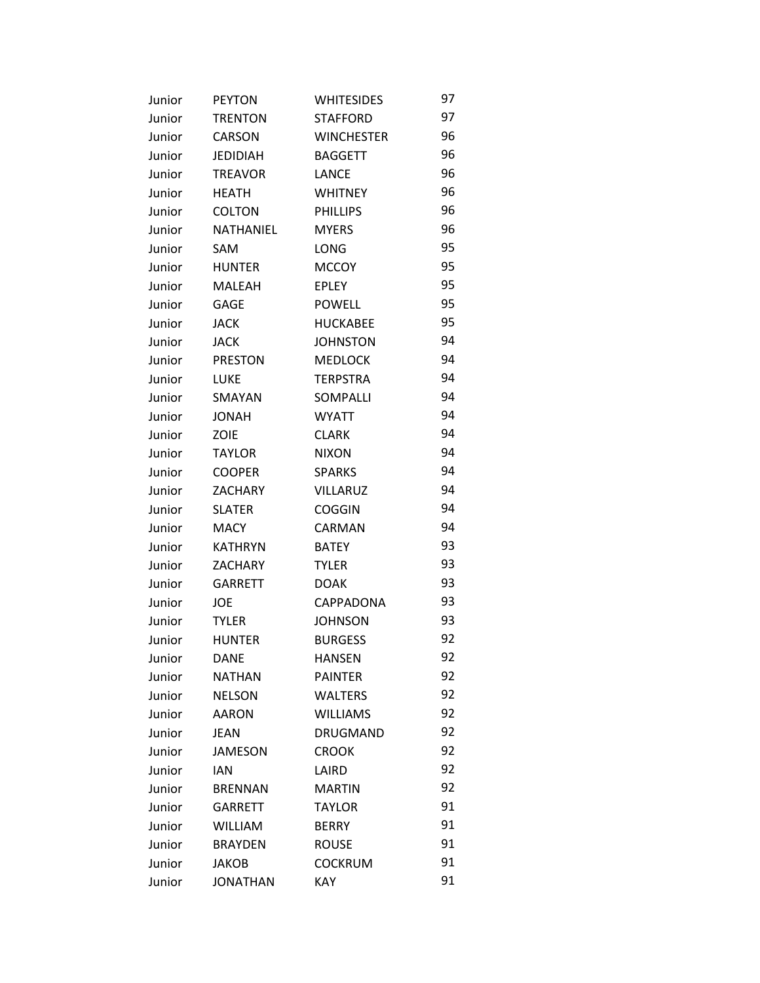| Junior | <b>PEYTON</b>   | <b>WHITESIDES</b> | 97 |
|--------|-----------------|-------------------|----|
| Junior | <b>TRENTON</b>  | <b>STAFFORD</b>   | 97 |
| Junior | <b>CARSON</b>   | <b>WINCHESTER</b> | 96 |
| Junior | <b>JEDIDIAH</b> | <b>BAGGETT</b>    | 96 |
| Junior | <b>TREAVOR</b>  | <b>LANCE</b>      | 96 |
| Junior | <b>HEATH</b>    | <b>WHITNEY</b>    | 96 |
| Junior | <b>COLTON</b>   | <b>PHILLIPS</b>   | 96 |
| Junior | NATHANIEL       | <b>MYERS</b>      | 96 |
| Junior | SAM             | LONG              | 95 |
| Junior | <b>HUNTER</b>   | <b>MCCOY</b>      | 95 |
| Junior | MALEAH          | <b>EPLEY</b>      | 95 |
| Junior | <b>GAGE</b>     | <b>POWELL</b>     | 95 |
| Junior | <b>JACK</b>     | <b>HUCKABEE</b>   | 95 |
| Junior | <b>JACK</b>     | <b>JOHNSTON</b>   | 94 |
| Junior | <b>PRESTON</b>  | <b>MEDLOCK</b>    | 94 |
| Junior | LUKE            | <b>TERPSTRA</b>   | 94 |
| Junior | SMAYAN          | SOMPALLI          | 94 |
| Junior | <b>JONAH</b>    | <b>WYATT</b>      | 94 |
| Junior | <b>ZOIE</b>     | <b>CLARK</b>      | 94 |
| Junior | <b>TAYLOR</b>   | <b>NIXON</b>      | 94 |
| Junior | <b>COOPER</b>   | <b>SPARKS</b>     | 94 |
| Junior | <b>ZACHARY</b>  | VILLARUZ          | 94 |
| Junior | <b>SLATER</b>   | <b>COGGIN</b>     | 94 |
| Junior | <b>MACY</b>     | CARMAN            | 94 |
| Junior | <b>KATHRYN</b>  | <b>BATEY</b>      | 93 |
| Junior | <b>ZACHARY</b>  | <b>TYLER</b>      | 93 |
| Junior | <b>GARRETT</b>  | <b>DOAK</b>       | 93 |
| Junior | <b>JOE</b>      | CAPPADONA         | 93 |
| Junior | <b>TYLER</b>    | <b>JOHNSON</b>    | 93 |
| Junior | <b>HUNTER</b>   | <b>BURGESS</b>    | 92 |
| Junior | <b>DANE</b>     | <b>HANSEN</b>     | 92 |
| Junior | <b>NATHAN</b>   | <b>PAINTER</b>    | 92 |
| Junior | <b>NELSON</b>   | <b>WALTERS</b>    | 92 |
| Junior | <b>AARON</b>    | <b>WILLIAMS</b>   | 92 |
| Junior | <b>JEAN</b>     | DRUGMAND          | 92 |
| Junior | <b>JAMESON</b>  | <b>CROOK</b>      | 92 |
| Junior | <b>IAN</b>      | LAIRD             | 92 |
| Junior | <b>BRENNAN</b>  | <b>MARTIN</b>     | 92 |
| Junior | <b>GARRETT</b>  | <b>TAYLOR</b>     | 91 |
| Junior | <b>WILLIAM</b>  | <b>BERRY</b>      | 91 |
| Junior | <b>BRAYDEN</b>  | <b>ROUSE</b>      | 91 |
| Junior | <b>JAKOB</b>    | <b>COCKRUM</b>    | 91 |
| Junior | <b>JONATHAN</b> | KAY               | 91 |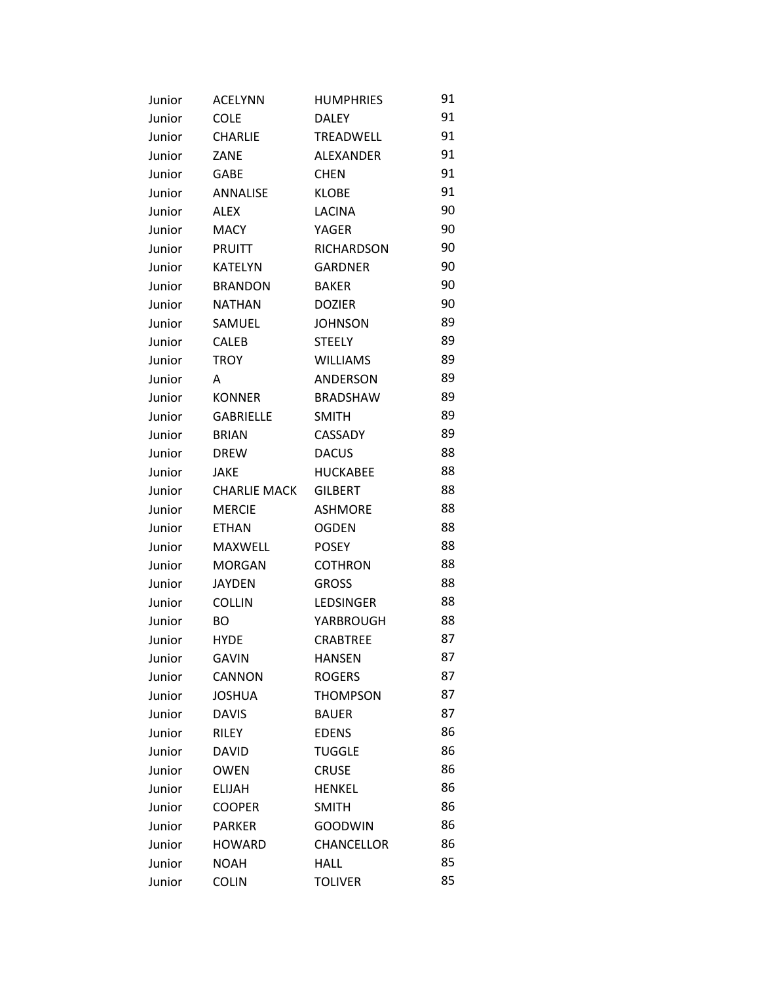| Junior | <b>ACELYNN</b>      | <b>HUMPHRIES</b>  | 91 |
|--------|---------------------|-------------------|----|
| Junior | <b>COLE</b>         | <b>DALEY</b>      | 91 |
| Junior | <b>CHARLIE</b>      | <b>TREADWELL</b>  | 91 |
| Junior | ZANE                | <b>ALEXANDER</b>  | 91 |
| Junior | <b>GABE</b>         | <b>CHEN</b>       | 91 |
| Junior | ANNALISE            | <b>KLOBE</b>      | 91 |
| Junior | ALEX                | <b>LACINA</b>     | 90 |
| Junior | <b>MACY</b>         | <b>YAGER</b>      | 90 |
| Junior | <b>PRUITT</b>       | <b>RICHARDSON</b> | 90 |
| Junior | <b>KATELYN</b>      | <b>GARDNER</b>    | 90 |
| Junior | <b>BRANDON</b>      | <b>BAKER</b>      | 90 |
| Junior | <b>NATHAN</b>       | <b>DOZIER</b>     | 90 |
| Junior | SAMUEL              | <b>JOHNSON</b>    | 89 |
| Junior | <b>CALEB</b>        | <b>STEELY</b>     | 89 |
| Junior | <b>TROY</b>         | <b>WILLIAMS</b>   | 89 |
| Junior | A                   | <b>ANDERSON</b>   | 89 |
| Junior | <b>KONNER</b>       | <b>BRADSHAW</b>   | 89 |
| Junior | <b>GABRIELLE</b>    | <b>SMITH</b>      | 89 |
| Junior | <b>BRIAN</b>        | CASSADY           | 89 |
| Junior | <b>DREW</b>         | <b>DACUS</b>      | 88 |
| Junior | <b>JAKE</b>         | <b>HUCKABEE</b>   | 88 |
| Junior | <b>CHARLIE MACK</b> | <b>GILBERT</b>    | 88 |
| Junior | <b>MERCIE</b>       | <b>ASHMORE</b>    | 88 |
| Junior | <b>ETHAN</b>        | <b>OGDEN</b>      | 88 |
| Junior | MAXWELL             | <b>POSEY</b>      | 88 |
| Junior | <b>MORGAN</b>       | <b>COTHRON</b>    | 88 |
| Junior | <b>JAYDEN</b>       | <b>GROSS</b>      | 88 |
| Junior | <b>COLLIN</b>       | LEDSINGER         | 88 |
| Junior | BO.                 | YARBROUGH         | 88 |
| Junior | <b>HYDE</b>         | <b>CRABTREE</b>   | 87 |
| Junior | <b>GAVIN</b>        | <b>HANSEN</b>     | 87 |
| Junior | <b>CANNON</b>       | <b>ROGERS</b>     | 87 |
| Junior | <b>JOSHUA</b>       | <b>THOMPSON</b>   | 87 |
| Junior | <b>DAVIS</b>        | <b>BAUER</b>      | 87 |
| Junior | <b>RILEY</b>        | <b>EDENS</b>      | 86 |
| Junior | <b>DAVID</b>        | <b>TUGGLE</b>     | 86 |
| Junior | <b>OWEN</b>         | <b>CRUSE</b>      | 86 |
| Junior | <b>ELIJAH</b>       | <b>HENKEL</b>     | 86 |
| Junior | <b>COOPER</b>       | <b>SMITH</b>      | 86 |
| Junior | <b>PARKER</b>       | <b>GOODWIN</b>    | 86 |
| Junior | <b>HOWARD</b>       | <b>CHANCELLOR</b> | 86 |
| Junior | <b>NOAH</b>         | <b>HALL</b>       | 85 |
| Junior | <b>COLIN</b>        | <b>TOLIVER</b>    | 85 |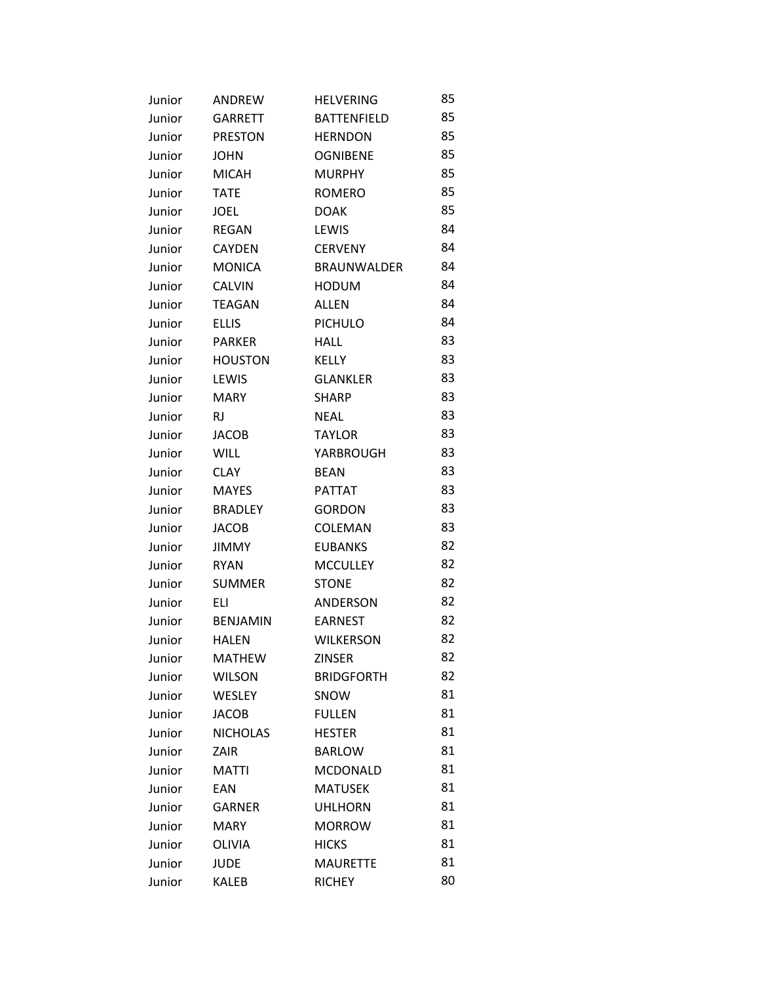| Junior | ANDREW          | <b>HELVERING</b>   | 85 |
|--------|-----------------|--------------------|----|
| Junior | <b>GARRETT</b>  | <b>BATTENFIELD</b> | 85 |
| Junior | <b>PRESTON</b>  | <b>HERNDON</b>     | 85 |
| Junior | <b>JOHN</b>     | <b>OGNIBENE</b>    | 85 |
| Junior | <b>MICAH</b>    | <b>MURPHY</b>      | 85 |
| Junior | <b>TATE</b>     | <b>ROMERO</b>      | 85 |
| Junior | <b>JOEL</b>     | <b>DOAK</b>        | 85 |
| Junior | <b>REGAN</b>    | LEWIS              | 84 |
| Junior | <b>CAYDEN</b>   | <b>CERVENY</b>     | 84 |
| Junior | <b>MONICA</b>   | <b>BRAUNWALDER</b> | 84 |
| Junior | <b>CALVIN</b>   | <b>HODUM</b>       | 84 |
| Junior | <b>TEAGAN</b>   | <b>ALLEN</b>       | 84 |
| Junior | <b>ELLIS</b>    | <b>PICHULO</b>     | 84 |
| Junior | <b>PARKER</b>   | <b>HALL</b>        | 83 |
| Junior | <b>HOUSTON</b>  | <b>KELLY</b>       | 83 |
| Junior | LEWIS           | <b>GLANKLER</b>    | 83 |
| Junior | <b>MARY</b>     | <b>SHARP</b>       | 83 |
| Junior | <b>RJ</b>       | <b>NEAL</b>        | 83 |
| Junior | <b>JACOB</b>    | <b>TAYLOR</b>      | 83 |
| Junior | <b>WILL</b>     | YARBROUGH          | 83 |
| Junior | <b>CLAY</b>     | <b>BEAN</b>        | 83 |
| Junior | <b>MAYES</b>    | <b>PATTAT</b>      | 83 |
| Junior | <b>BRADLEY</b>  | <b>GORDON</b>      | 83 |
| Junior | <b>JACOB</b>    | COLEMAN            | 83 |
| Junior | <b>JIMMY</b>    | <b>EUBANKS</b>     | 82 |
| Junior | <b>RYAN</b>     | <b>MCCULLEY</b>    | 82 |
| Junior | <b>SUMMER</b>   | <b>STONE</b>       | 82 |
| Junior | ELI             | ANDERSON           | 82 |
| Junior | <b>BENJAMIN</b> | <b>EARNEST</b>     | 82 |
| Junior | <b>HALEN</b>    | <b>WILKERSON</b>   | 82 |
| Junior | <b>MATHEW</b>   | <b>ZINSER</b>      | 82 |
| Junior | <b>WILSON</b>   | <b>BRIDGFORTH</b>  | 82 |
| Junior | <b>WESLEY</b>   | SNOW               | 81 |
| Junior | <b>JACOB</b>    | <b>FULLEN</b>      | 81 |
| Junior | <b>NICHOLAS</b> | <b>HESTER</b>      | 81 |
| Junior | ZAIR            | <b>BARLOW</b>      | 81 |
| Junior | <b>MATTI</b>    | MCDONALD           | 81 |
| Junior | EAN             | <b>MATUSEK</b>     | 81 |
| Junior | <b>GARNER</b>   | <b>UHLHORN</b>     | 81 |
| Junior | <b>MARY</b>     | <b>MORROW</b>      | 81 |
| Junior | <b>OLIVIA</b>   | <b>HICKS</b>       | 81 |
| Junior | <b>JUDE</b>     | <b>MAURETTE</b>    | 81 |
| Junior | KALEB           | <b>RICHEY</b>      | 80 |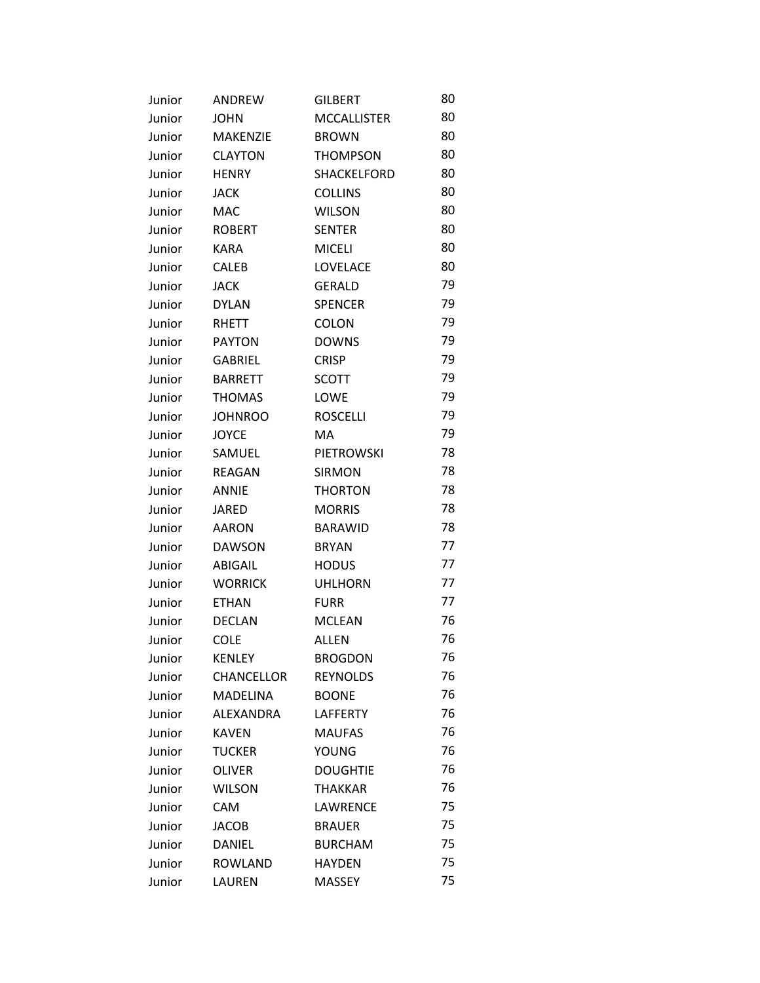| Junior | ANDREW            | <b>GILBERT</b>     | 80 |
|--------|-------------------|--------------------|----|
| Junior | <b>JOHN</b>       | <b>MCCALLISTER</b> | 80 |
| Junior | <b>MAKENZIE</b>   | <b>BROWN</b>       | 80 |
| Junior | <b>CLAYTON</b>    | <b>THOMPSON</b>    | 80 |
| Junior | <b>HENRY</b>      | SHACKELFORD        | 80 |
| Junior | <b>JACK</b>       | <b>COLLINS</b>     | 80 |
| Junior | MAC               | <b>WILSON</b>      | 80 |
| Junior | <b>ROBERT</b>     | <b>SENTER</b>      | 80 |
| Junior | <b>KARA</b>       | <b>MICELI</b>      | 80 |
| Junior | CALEB             | LOVELACE           | 80 |
| Junior | <b>JACK</b>       | <b>GERALD</b>      | 79 |
| Junior | <b>DYLAN</b>      | <b>SPENCER</b>     | 79 |
| Junior | <b>RHETT</b>      | <b>COLON</b>       | 79 |
| Junior | <b>PAYTON</b>     | <b>DOWNS</b>       | 79 |
| Junior | <b>GABRIEL</b>    | <b>CRISP</b>       | 79 |
| Junior | <b>BARRETT</b>    | <b>SCOTT</b>       | 79 |
| Junior | <b>THOMAS</b>     | LOWE               | 79 |
| Junior | <b>JOHNROO</b>    | <b>ROSCELLI</b>    | 79 |
| Junior | <b>JOYCE</b>      | МA                 | 79 |
| Junior | SAMUEL            | <b>PIETROWSKI</b>  | 78 |
| Junior | <b>REAGAN</b>     | <b>SIRMON</b>      | 78 |
| Junior | <b>ANNIE</b>      | <b>THORTON</b>     | 78 |
| Junior | <b>JARED</b>      | <b>MORRIS</b>      | 78 |
| Junior | <b>AARON</b>      | <b>BARAWID</b>     | 78 |
| Junior | <b>DAWSON</b>     | <b>BRYAN</b>       | 77 |
| Junior | ABIGAIL           | <b>HODUS</b>       | 77 |
| Junior | <b>WORRICK</b>    | <b>UHLHORN</b>     | 77 |
| Junior | <b>ETHAN</b>      | <b>FURR</b>        | 77 |
| Junior | <b>DECLAN</b>     | <b>MCLEAN</b>      | 76 |
| Junior | <b>COLE</b>       | ALLEN              | 76 |
| Junior | <b>KENLEY</b>     | <b>BROGDON</b>     | 76 |
| Junior | <b>CHANCELLOR</b> | <b>REYNOLDS</b>    | 76 |
| Junior | <b>MADELINA</b>   | <b>BOONE</b>       | 76 |
| Junior | ALEXANDRA         | <b>LAFFERTY</b>    | 76 |
| Junior | <b>KAVEN</b>      | <b>MAUFAS</b>      | 76 |
| Junior | <b>TUCKER</b>     | <b>YOUNG</b>       | 76 |
| Junior | <b>OLIVER</b>     | <b>DOUGHTIE</b>    | 76 |
| Junior | <b>WILSON</b>     | <b>THAKKAR</b>     | 76 |
| Junior | <b>CAM</b>        | LAWRENCE           | 75 |
| Junior | <b>JACOB</b>      | <b>BRAUER</b>      | 75 |
| Junior | DANIEL            | <b>BURCHAM</b>     | 75 |
| Junior | <b>ROWLAND</b>    | <b>HAYDEN</b>      | 75 |
| Junior | LAUREN            | <b>MASSEY</b>      | 75 |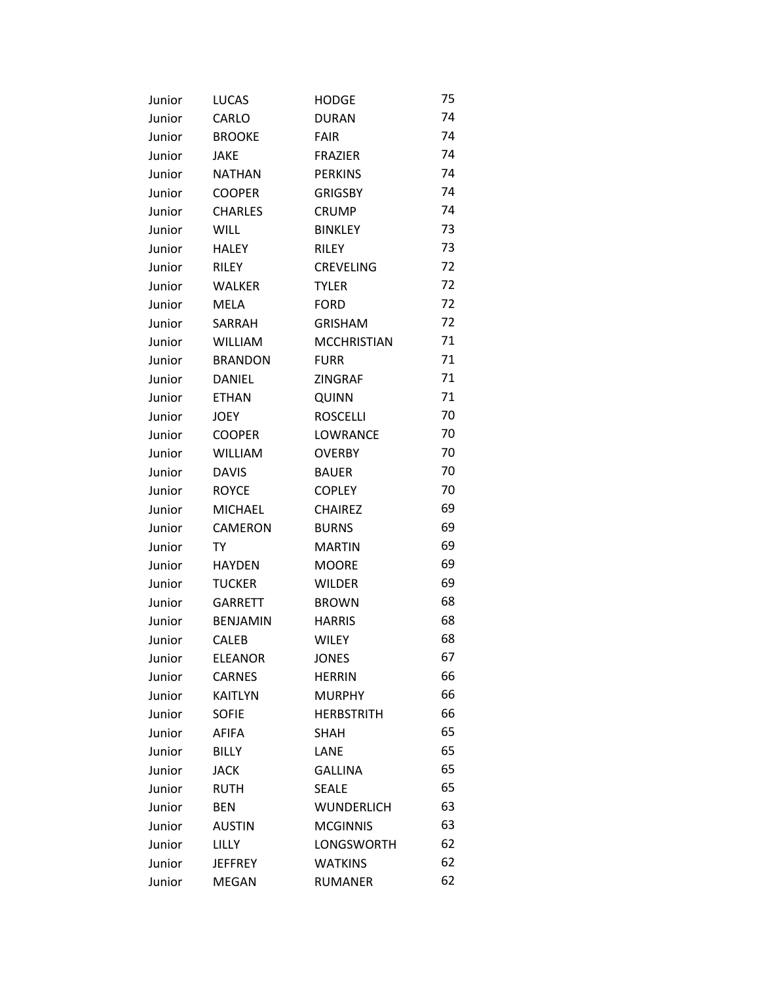| Junior | <b>LUCAS</b>    | <b>HODGE</b>       | 75 |
|--------|-----------------|--------------------|----|
| Junior | CARLO           | <b>DURAN</b>       | 74 |
| Junior | <b>BROOKE</b>   | <b>FAIR</b>        | 74 |
| Junior | <b>JAKE</b>     | <b>FRAZIER</b>     | 74 |
| Junior | <b>NATHAN</b>   | <b>PERKINS</b>     | 74 |
| Junior | <b>COOPER</b>   | <b>GRIGSBY</b>     | 74 |
| Junior | <b>CHARLES</b>  | <b>CRUMP</b>       | 74 |
| Junior | <b>WILL</b>     | <b>BINKLEY</b>     | 73 |
| Junior | <b>HALEY</b>    | <b>RILEY</b>       | 73 |
| Junior | <b>RILEY</b>    | <b>CREVELING</b>   | 72 |
| Junior | <b>WALKER</b>   | <b>TYLER</b>       | 72 |
| Junior | <b>MELA</b>     | <b>FORD</b>        | 72 |
| Junior | SARRAH          | <b>GRISHAM</b>     | 72 |
| Junior | <b>WILLIAM</b>  | <b>MCCHRISTIAN</b> | 71 |
| Junior | <b>BRANDON</b>  | <b>FURR</b>        | 71 |
| Junior | <b>DANIEL</b>   | ZINGRAF            | 71 |
| Junior | <b>ETHAN</b>    | QUINN              | 71 |
| Junior | <b>JOEY</b>     | <b>ROSCELLI</b>    | 70 |
| Junior | <b>COOPER</b>   | LOWRANCE           | 70 |
| Junior | <b>WILLIAM</b>  | <b>OVERBY</b>      | 70 |
| Junior | <b>DAVIS</b>    | <b>BAUER</b>       | 70 |
| Junior | <b>ROYCE</b>    | <b>COPLEY</b>      | 70 |
| Junior | <b>MICHAEL</b>  | <b>CHAIREZ</b>     | 69 |
| Junior | CAMERON         | <b>BURNS</b>       | 69 |
| Junior | TY              | <b>MARTIN</b>      | 69 |
| Junior | <b>HAYDEN</b>   | <b>MOORE</b>       | 69 |
| Junior | <b>TUCKER</b>   | <b>WILDER</b>      | 69 |
| Junior | <b>GARRETT</b>  | <b>BROWN</b>       | 68 |
| Junior | <b>BENJAMIN</b> | <b>HARRIS</b>      | 68 |
| Junior | CALEB           | <b>WILEY</b>       | 68 |
| Junior | <b>ELEANOR</b>  | <b>JONES</b>       | 67 |
| Junior | <b>CARNES</b>   | <b>HERRIN</b>      | 66 |
| Junior | <b>KAITLYN</b>  | <b>MURPHY</b>      | 66 |
| Junior | <b>SOFIE</b>    | <b>HERBSTRITH</b>  | 66 |
| Junior | <b>AFIFA</b>    | <b>SHAH</b>        | 65 |
| Junior | <b>BILLY</b>    | LANE               | 65 |
| Junior | <b>JACK</b>     | <b>GALLINA</b>     | 65 |
| Junior | <b>RUTH</b>     | <b>SEALE</b>       | 65 |
| Junior | <b>BEN</b>      | <b>WUNDERLICH</b>  | 63 |
| Junior | <b>AUSTIN</b>   | <b>MCGINNIS</b>    | 63 |
| Junior | <b>LILLY</b>    | LONGSWORTH         | 62 |
| Junior | <b>JEFFREY</b>  | <b>WATKINS</b>     | 62 |
| Junior | <b>MEGAN</b>    | <b>RUMANER</b>     | 62 |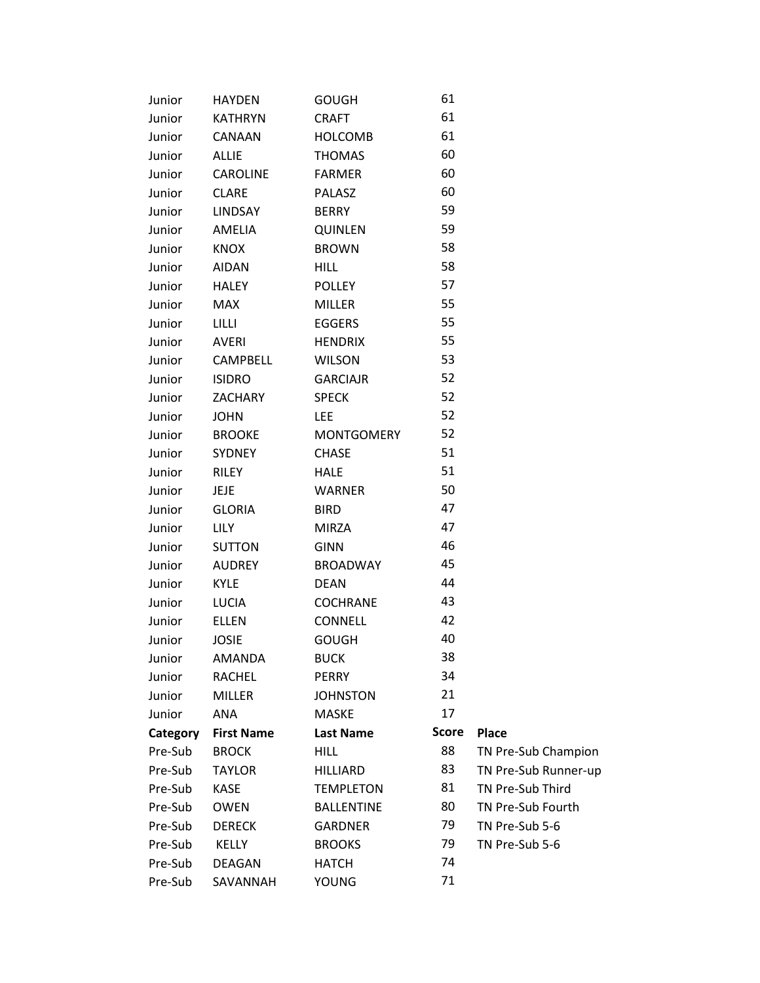| Junior   | <b>HAYDEN</b>     | <b>GOUGH</b>      | 61           |                      |
|----------|-------------------|-------------------|--------------|----------------------|
| Junior   | <b>KATHRYN</b>    | <b>CRAFT</b>      | 61           |                      |
| Junior   | CANAAN            | <b>HOLCOMB</b>    | 61           |                      |
| Junior   | <b>ALLIE</b>      | <b>THOMAS</b>     | 60           |                      |
| Junior   | CAROLINE          | <b>FARMER</b>     | 60           |                      |
| Junior   | <b>CLARE</b>      | <b>PALASZ</b>     | 60           |                      |
| Junior   | <b>LINDSAY</b>    | <b>BERRY</b>      | 59           |                      |
| Junior   | AMELIA            | <b>QUINLEN</b>    | 59           |                      |
| Junior   | <b>KNOX</b>       | <b>BROWN</b>      | 58           |                      |
| Junior   | <b>AIDAN</b>      | <b>HILL</b>       | 58           |                      |
| Junior   | <b>HALEY</b>      | <b>POLLEY</b>     | 57           |                      |
| Junior   | <b>MAX</b>        | <b>MILLER</b>     | 55           |                      |
| Junior   | LILLI             | <b>EGGERS</b>     | 55           |                      |
| Junior   | AVERI             | <b>HENDRIX</b>    | 55           |                      |
| Junior   | <b>CAMPBELL</b>   | <b>WILSON</b>     | 53           |                      |
| Junior   | <b>ISIDRO</b>     | <b>GARCIAJR</b>   | 52           |                      |
| Junior   | <b>ZACHARY</b>    | <b>SPECK</b>      | 52           |                      |
| Junior   | <b>JOHN</b>       | LEE               | 52           |                      |
| Junior   | <b>BROOKE</b>     | <b>MONTGOMERY</b> | 52           |                      |
| Junior   | <b>SYDNEY</b>     | <b>CHASE</b>      | 51           |                      |
| Junior   | <b>RILEY</b>      | <b>HALE</b>       | 51           |                      |
| Junior   | JEJE              | <b>WARNER</b>     | 50           |                      |
| Junior   | <b>GLORIA</b>     | <b>BIRD</b>       | 47           |                      |
| Junior   | <b>LILY</b>       | <b>MIRZA</b>      | 47           |                      |
| Junior   | <b>SUTTON</b>     | <b>GINN</b>       | 46           |                      |
| Junior   | <b>AUDREY</b>     | <b>BROADWAY</b>   | 45           |                      |
| Junior   | <b>KYLE</b>       | <b>DEAN</b>       | 44           |                      |
| Junior   | LUCIA             | <b>COCHRANE</b>   | 43           |                      |
| Junior   | <b>ELLEN</b>      | <b>CONNELL</b>    | 42           |                      |
| Junior   | <b>JOSIE</b>      | <b>GOUGH</b>      | 40           |                      |
| Junior   | AMANDA            | <b>BUCK</b>       | 38           |                      |
| Junior   | <b>RACHEL</b>     | PERRY             | 34           |                      |
| Junior   | <b>MILLER</b>     | <b>JOHNSTON</b>   | 21           |                      |
| Junior   | ANA               | <b>MASKE</b>      | 17           |                      |
| Category | <b>First Name</b> | <b>Last Name</b>  | <b>Score</b> | <b>Place</b>         |
| Pre-Sub  | <b>BROCK</b>      | <b>HILL</b>       | 88           | TN Pre-Sub Champion  |
| Pre-Sub  | <b>TAYLOR</b>     | <b>HILLIARD</b>   | 83           | TN Pre-Sub Runner-up |
| Pre-Sub  | <b>KASE</b>       | <b>TEMPLETON</b>  | 81           | TN Pre-Sub Third     |
| Pre-Sub  | <b>OWEN</b>       | <b>BALLENTINE</b> | 80           | TN Pre-Sub Fourth    |
| Pre-Sub  | <b>DERECK</b>     | <b>GARDNER</b>    | 79           | TN Pre-Sub 5-6       |
| Pre-Sub  | <b>KELLY</b>      | <b>BROOKS</b>     | 79           | TN Pre-Sub 5-6       |
| Pre-Sub  | <b>DEAGAN</b>     | <b>HATCH</b>      | 74           |                      |
| Pre-Sub  | SAVANNAH          | <b>YOUNG</b>      | 71           |                      |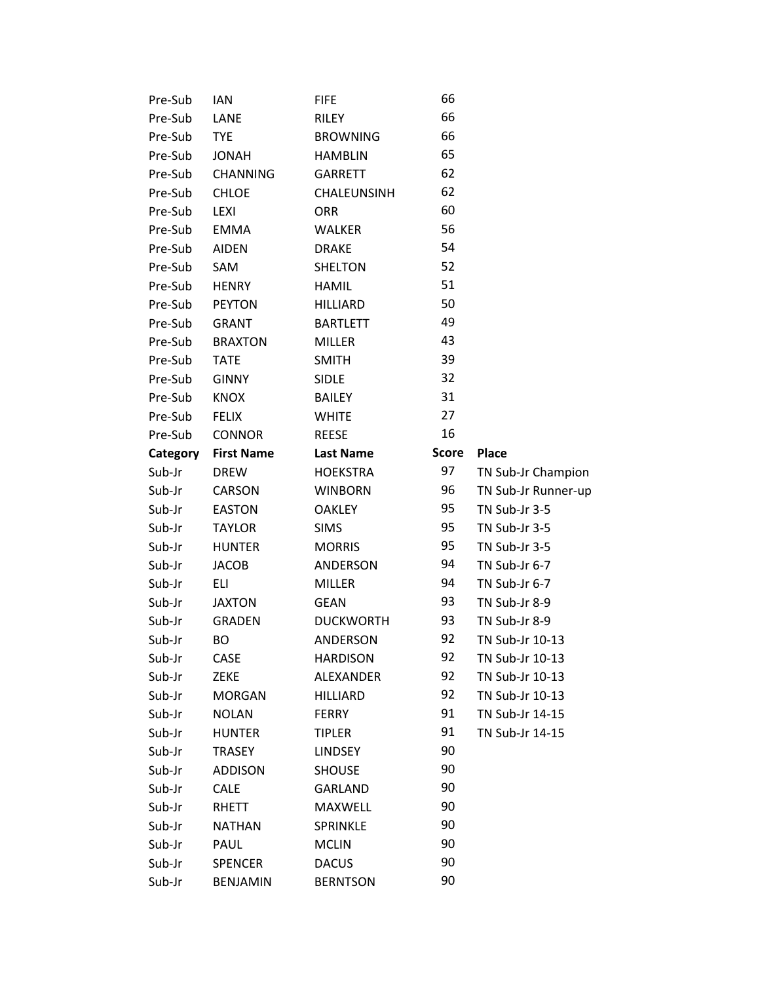| Pre-Sub  | <b>IAN</b>        | <b>FIFE</b>      | 66           |                     |
|----------|-------------------|------------------|--------------|---------------------|
| Pre-Sub  | LANE              | RILEY            | 66           |                     |
| Pre-Sub  | <b>TYE</b>        | <b>BROWNING</b>  | 66           |                     |
| Pre-Sub  | <b>JONAH</b>      | <b>HAMBLIN</b>   | 65           |                     |
| Pre-Sub  | <b>CHANNING</b>   | <b>GARRETT</b>   | 62           |                     |
| Pre-Sub  | <b>CHLOE</b>      | CHALEUNSINH      | 62           |                     |
| Pre-Sub  | LEXI              | <b>ORR</b>       | 60           |                     |
| Pre-Sub  | <b>EMMA</b>       | <b>WALKER</b>    | 56           |                     |
| Pre-Sub  | <b>AIDEN</b>      | <b>DRAKE</b>     | 54           |                     |
| Pre-Sub  | SAM               | <b>SHELTON</b>   | 52           |                     |
| Pre-Sub  | <b>HENRY</b>      | <b>HAMIL</b>     | 51           |                     |
| Pre-Sub  | <b>PEYTON</b>     | <b>HILLIARD</b>  | 50           |                     |
| Pre-Sub  | <b>GRANT</b>      | <b>BARTLETT</b>  | 49           |                     |
| Pre-Sub  | <b>BRAXTON</b>    | <b>MILLER</b>    | 43           |                     |
| Pre-Sub  | <b>TATE</b>       | <b>SMITH</b>     | 39           |                     |
| Pre-Sub  | <b>GINNY</b>      | <b>SIDLE</b>     | 32           |                     |
| Pre-Sub  | <b>KNOX</b>       | <b>BAILEY</b>    | 31           |                     |
| Pre-Sub  | <b>FELIX</b>      | <b>WHITE</b>     | 27           |                     |
| Pre-Sub  | <b>CONNOR</b>     | <b>REESE</b>     | 16           |                     |
| Category | <b>First Name</b> | <b>Last Name</b> | <b>Score</b> | <b>Place</b>        |
| Sub-Jr   | <b>DREW</b>       | <b>HOEKSTRA</b>  | 97           | TN Sub-Jr Champion  |
| Sub-Jr   | CARSON            | <b>WINBORN</b>   | 96           | TN Sub-Jr Runner-up |
| Sub-Jr   | <b>EASTON</b>     | <b>OAKLEY</b>    | 95           | TN Sub-Jr 3-5       |
| Sub-Jr   | <b>TAYLOR</b>     | <b>SIMS</b>      | 95           | TN Sub-Jr 3-5       |
| Sub-Jr   | <b>HUNTER</b>     | <b>MORRIS</b>    | 95           | TN Sub-Jr 3-5       |
| Sub-Jr   | <b>JACOB</b>      | ANDERSON         | 94           | TN Sub-Jr 6-7       |
| Sub-Jr   | <b>ELI</b>        | <b>MILLER</b>    | 94           | TN Sub-Jr 6-7       |
| Sub-Jr   | <b>JAXTON</b>     | <b>GEAN</b>      | 93           | TN Sub-Jr 8-9       |
| Sub-Jr   | <b>GRADEN</b>     | <b>DUCKWORTH</b> | 93           | TN Sub-Jr 8-9       |
| Sub-Jr   | <b>BO</b>         | <b>ANDERSON</b>  | 92           | TN Sub-Jr 10-13     |
| Sub-Jr   | CASE              | <b>HARDISON</b>  | 92           | TN Sub-Jr 10-13     |
| Sub-Jr   | ZEKE              | <b>ALEXANDER</b> | 92           | TN Sub-Jr 10-13     |
| Sub-Jr   | <b>MORGAN</b>     | <b>HILLIARD</b>  | 92           | TN Sub-Jr 10-13     |
| Sub-Jr   | <b>NOLAN</b>      | <b>FERRY</b>     | 91           | TN Sub-Jr 14-15     |
| Sub-Jr   | <b>HUNTER</b>     | <b>TIPLER</b>    | 91           | TN Sub-Jr 14-15     |
| Sub-Jr   | <b>TRASEY</b>     | <b>LINDSEY</b>   | 90           |                     |
| Sub-Jr   | <b>ADDISON</b>    | <b>SHOUSE</b>    | 90           |                     |
| Sub-Jr   | CALE              | <b>GARLAND</b>   | 90           |                     |
| Sub-Jr   | RHETT             | MAXWELL          | 90           |                     |
| Sub-Jr   | <b>NATHAN</b>     | SPRINKLE         | 90           |                     |
| Sub-Jr   | PAUL              | <b>MCLIN</b>     | 90           |                     |
| Sub-Jr   | <b>SPENCER</b>    | <b>DACUS</b>     | 90           |                     |
| Sub-Jr   | <b>BENJAMIN</b>   | <b>BERNTSON</b>  | 90           |                     |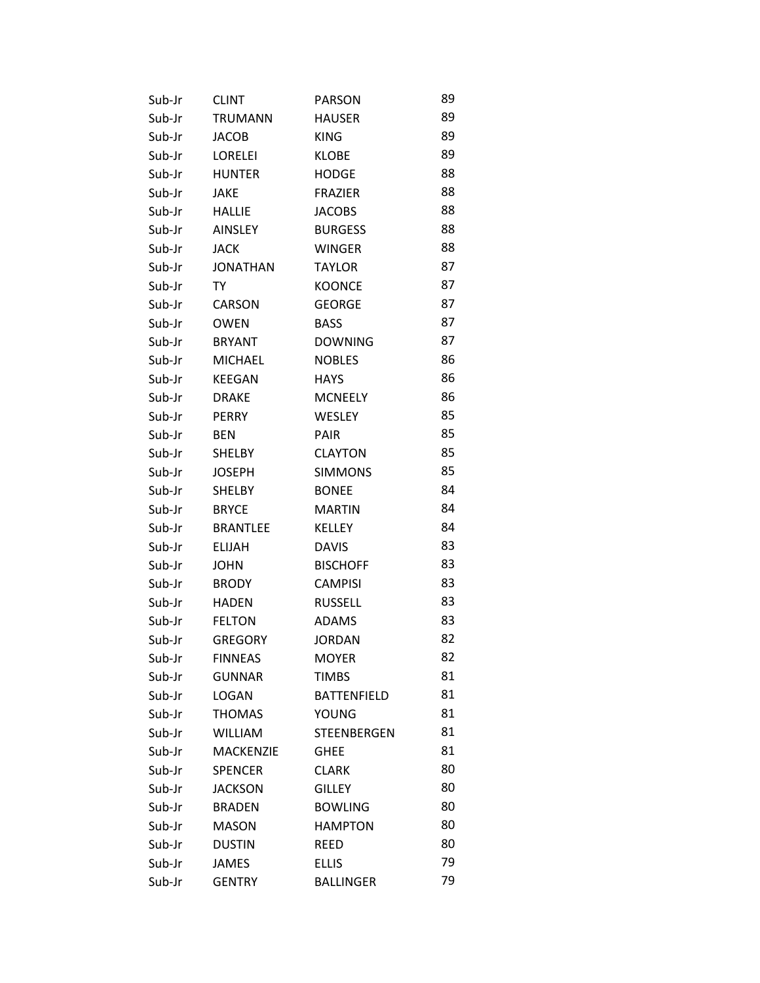| Sub-Jr | <b>CLINT</b>     | <b>PARSON</b>      | 89 |
|--------|------------------|--------------------|----|
| Sub-Jr | <b>TRUMANN</b>   | <b>HAUSER</b>      | 89 |
| Sub-Jr | <b>JACOB</b>     | <b>KING</b>        | 89 |
| Sub-Jr | <b>LORELEI</b>   | <b>KLOBE</b>       | 89 |
| Sub-Jr | <b>HUNTER</b>    | <b>HODGE</b>       | 88 |
| Sub-Jr | JAKE             | <b>FRAZIER</b>     | 88 |
| Sub-Jr | HALLIE           | <b>JACOBS</b>      | 88 |
| Sub-Jr | AINSLEY          | <b>BURGESS</b>     | 88 |
| Sub-Jr | JACK             | <b>WINGER</b>      | 88 |
| Sub-Jr | <b>JONATHAN</b>  | <b>TAYLOR</b>      | 87 |
| Sub-Jr | TY               | <b>KOONCE</b>      | 87 |
| Sub-Jr | CARSON           | <b>GEORGE</b>      | 87 |
| Sub-Jr | <b>OWEN</b>      | <b>BASS</b>        | 87 |
| Sub-Jr | <b>BRYANT</b>    | <b>DOWNING</b>     | 87 |
| Sub-Jr | <b>MICHAEL</b>   | <b>NOBLES</b>      | 86 |
| Sub-Jr | <b>KEEGAN</b>    | <b>HAYS</b>        | 86 |
| Sub-Jr | <b>DRAKE</b>     | <b>MCNEELY</b>     | 86 |
| Sub-Jr | <b>PERRY</b>     | <b>WESLEY</b>      | 85 |
| Sub-Jr | <b>BEN</b>       | <b>PAIR</b>        | 85 |
| Sub-Jr | <b>SHELBY</b>    | <b>CLAYTON</b>     | 85 |
| Sub-Jr | <b>JOSEPH</b>    | <b>SIMMONS</b>     | 85 |
| Sub-Jr | SHELBY           | <b>BONEE</b>       | 84 |
| Sub-Jr | <b>BRYCE</b>     | <b>MARTIN</b>      | 84 |
| Sub-Jr | <b>BRANTLEE</b>  | KELLEY             | 84 |
| Sub-Jr | ELIJAH           | <b>DAVIS</b>       | 83 |
| Sub-Jr | <b>JOHN</b>      | <b>BISCHOFF</b>    | 83 |
| Sub-Jr | <b>BRODY</b>     | <b>CAMPISI</b>     | 83 |
| Sub-Jr | <b>HADEN</b>     | <b>RUSSELL</b>     | 83 |
| Sub-Jr | <b>FELTON</b>    | <b>ADAMS</b>       | 83 |
| Sub-Jr | <b>GREGORY</b>   | <b>JORDAN</b>      | 82 |
| Sub-Jr | <b>FINNEAS</b>   | <b>MOYER</b>       | 82 |
| Sub-Jr | <b>GUNNAR</b>    | <b>TIMBS</b>       | 81 |
| Sub-Jr | <b>LOGAN</b>     | <b>BATTENFIELD</b> | 81 |
| Sub-Jr | <b>THOMAS</b>    | <b>YOUNG</b>       | 81 |
| Sub-Jr | <b>WILLIAM</b>   | STEENBERGEN        | 81 |
| Sub-Jr | <b>MACKENZIE</b> | <b>GHEE</b>        | 81 |
| Sub-Jr | <b>SPENCER</b>   | <b>CLARK</b>       | 80 |
| Sub-Jr | <b>JACKSON</b>   | <b>GILLEY</b>      | 80 |
| Sub-Jr | <b>BRADEN</b>    | <b>BOWLING</b>     | 80 |
| Sub-Jr | <b>MASON</b>     | <b>HAMPTON</b>     | 80 |
| Sub-Jr | <b>DUSTIN</b>    | REED               | 80 |
| Sub-Jr | <b>JAMES</b>     | <b>ELLIS</b>       | 79 |
| Sub-Jr | <b>GENTRY</b>    | <b>BALLINGER</b>   | 79 |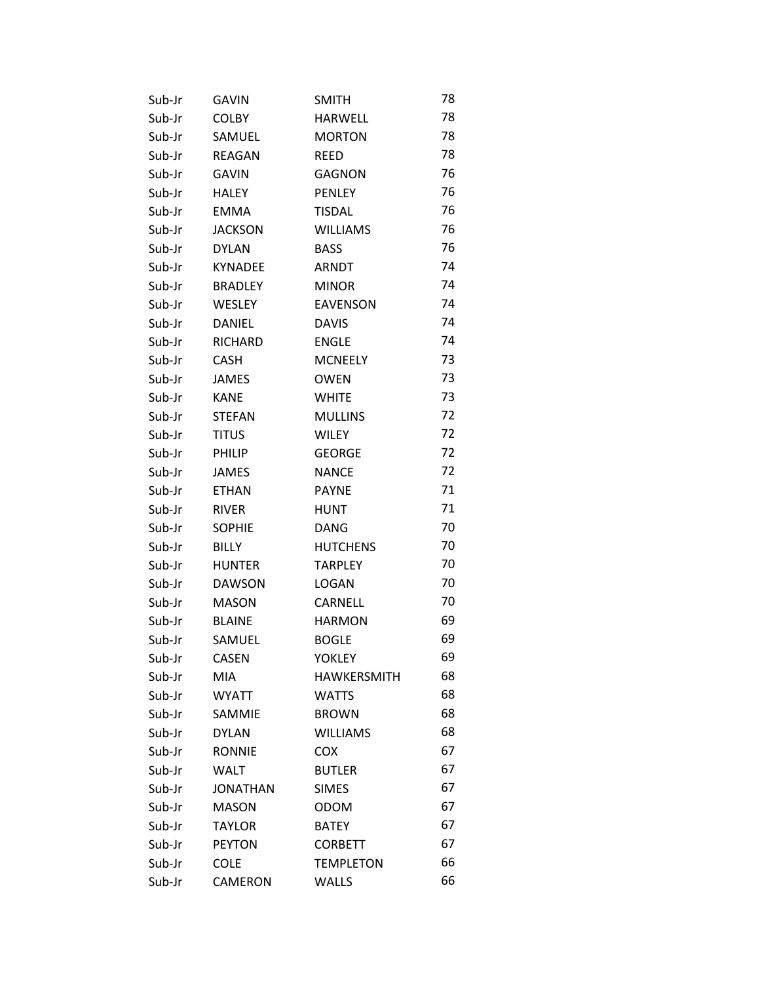| Sub-Jr | <b>GAVIN</b>    | <b>SMITH</b>       | 78 |
|--------|-----------------|--------------------|----|
| Sub-Jr | <b>COLBY</b>    | <b>HARWELL</b>     | 78 |
| Sub-Jr | SAMUEL          | <b>MORTON</b>      | 78 |
| Sub-Jr | REAGAN          | <b>REED</b>        | 78 |
| Sub-Jr | <b>GAVIN</b>    | <b>GAGNON</b>      | 76 |
| Sub-Jr | <b>HALEY</b>    | <b>PENLEY</b>      | 76 |
| Sub-Jr | <b>EMMA</b>     | <b>TISDAL</b>      | 76 |
| Sub-Jr | <b>JACKSON</b>  | <b>WILLIAMS</b>    | 76 |
| Sub-Jr | <b>DYLAN</b>    | <b>BASS</b>        | 76 |
| Sub-Jr | <b>KYNADEE</b>  | ARNDT              | 74 |
| Sub-Jr | <b>BRADLEY</b>  | <b>MINOR</b>       | 74 |
| Sub-Jr | WESLEY          | <b>EAVENSON</b>    | 74 |
| Sub-Jr | DANIEL          | <b>DAVIS</b>       | 74 |
| Sub-Jr | RICHARD         | <b>ENGLE</b>       | 74 |
| Sub-Jr | <b>CASH</b>     | <b>MCNEELY</b>     | 73 |
| Sub-Jr | <b>JAMES</b>    | <b>OWEN</b>        | 73 |
| Sub-Jr | <b>KANE</b>     | <b>WHITE</b>       | 73 |
| Sub-Jr | <b>STEFAN</b>   | <b>MULLINS</b>     | 72 |
| Sub-Jr | <b>TITUS</b>    | WILEY              | 72 |
| Sub-Jr | PHILIP          | <b>GEORGE</b>      | 72 |
| Sub-Jr | JAMES           | <b>NANCE</b>       | 72 |
| Sub-Jr | <b>ETHAN</b>    | <b>PAYNE</b>       | 71 |
| Sub-Jr | <b>RIVER</b>    | <b>HUNT</b>        | 71 |
| Sub-Jr | <b>SOPHIE</b>   | <b>DANG</b>        | 70 |
| Sub-Jr | <b>BILLY</b>    | <b>HUTCHENS</b>    | 70 |
| Sub-Jr | <b>HUNTER</b>   | <b>TARPLEY</b>     | 70 |
| Sub-Jr | <b>DAWSON</b>   | LOGAN              | 70 |
| Sub-Jr | <b>MASON</b>    | CARNELL            | 70 |
| Sub-Jr | <b>BLAINE</b>   | <b>HARMON</b>      | 69 |
| Sub-Jr | SAMUEL          | <b>BOGLE</b>       | 69 |
| Sub-Jr | <b>CASEN</b>    | YOKLEY             | 69 |
| Sub-Jr | <b>MIA</b>      | <b>HAWKERSMITH</b> | 68 |
| Sub-Jr | <b>WYATT</b>    | <b>WATTS</b>       | 68 |
| Sub-Jr | SAMMIE          | <b>BROWN</b>       | 68 |
| Sub-Jr | <b>DYLAN</b>    | <b>WILLIAMS</b>    | 68 |
| Sub-Jr | <b>RONNIE</b>   | <b>COX</b>         | 67 |
| Sub-Jr | <b>WALT</b>     | <b>BUTLER</b>      | 67 |
| Sub-Jr | <b>JONATHAN</b> | <b>SIMES</b>       | 67 |
| Sub-Jr | <b>MASON</b>    | <b>ODOM</b>        | 67 |
| Sub-Jr | <b>TAYLOR</b>   | <b>BATEY</b>       | 67 |
| Sub-Jr | <b>PEYTON</b>   | <b>CORBETT</b>     | 67 |
| Sub-Jr | <b>COLE</b>     | <b>TEMPLETON</b>   | 66 |
| Sub-Jr | CAMERON         | <b>WALLS</b>       | 66 |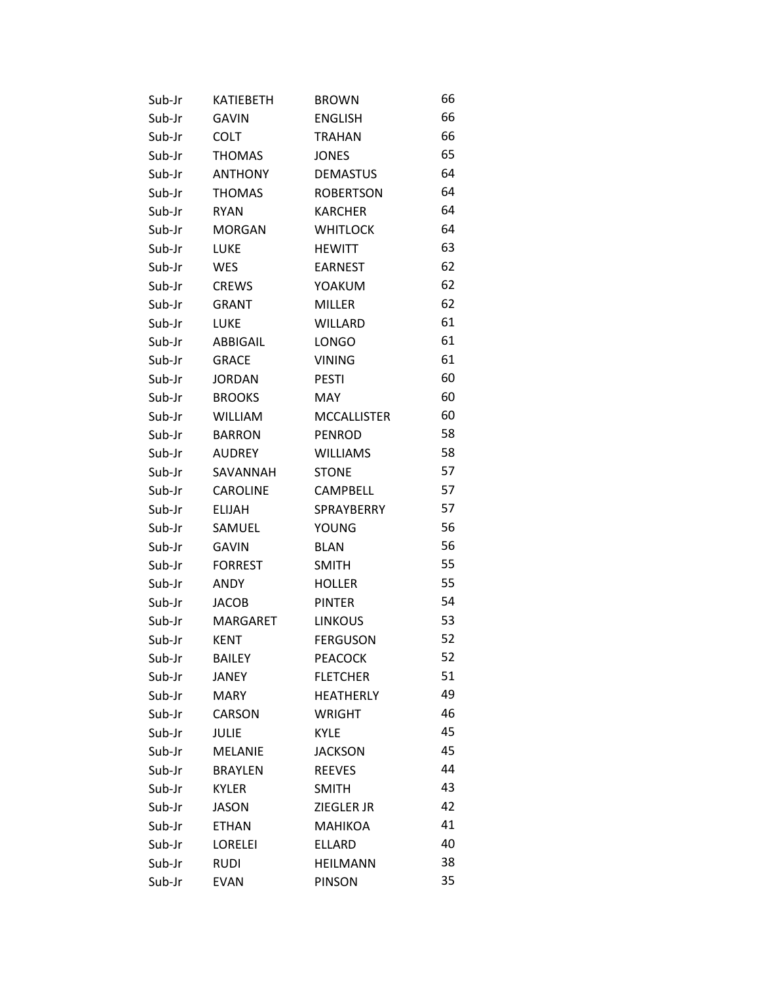| Sub-Jr | KATIEBETH       | <b>BROWN</b>       | 66 |
|--------|-----------------|--------------------|----|
| Sub-Jr | <b>GAVIN</b>    | <b>ENGLISH</b>     | 66 |
| Sub-Jr | COLT            | <b>TRAHAN</b>      | 66 |
| Sub-Jr | <b>THOMAS</b>   | <b>JONES</b>       | 65 |
| Sub-Jr | <b>ANTHONY</b>  | <b>DEMASTUS</b>    | 64 |
| Sub-Jr | <b>THOMAS</b>   | <b>ROBERTSON</b>   | 64 |
| Sub-Jr | <b>RYAN</b>     | <b>KARCHER</b>     | 64 |
| Sub-Jr | <b>MORGAN</b>   | <b>WHITLOCK</b>    | 64 |
| Sub-Jr | <b>LUKE</b>     | <b>HEWITT</b>      | 63 |
| Sub-Jr | <b>WES</b>      | EARNEST            | 62 |
| Sub-Jr | <b>CREWS</b>    | YOAKUM             | 62 |
| Sub-Jr | <b>GRANT</b>    | <b>MILLER</b>      | 62 |
| Sub-Jr | LUKE            | <b>WILLARD</b>     | 61 |
| Sub-Jr | ABBIGAIL        | <b>LONGO</b>       | 61 |
| Sub-Jr | <b>GRACE</b>    | <b>VINING</b>      | 61 |
| Sub-Jr | <b>JORDAN</b>   | <b>PESTI</b>       | 60 |
| Sub-Jr | <b>BROOKS</b>   | MAY                | 60 |
| Sub-Jr | WILLIAM         | <b>MCCALLISTER</b> | 60 |
| Sub-Jr | <b>BARRON</b>   | <b>PENROD</b>      | 58 |
| Sub-Jr | <b>AUDREY</b>   | WILLIAMS           | 58 |
| Sub-Jr | SAVANNAH        | <b>STONE</b>       | 57 |
| Sub-Jr | <b>CAROLINE</b> | <b>CAMPBELL</b>    | 57 |
| Sub-Jr | <b>ELIJAH</b>   | SPRAYBERRY         | 57 |
| Sub-Jr | SAMUEL          | <b>YOUNG</b>       | 56 |
| Sub-Jr | <b>GAVIN</b>    | <b>BLAN</b>        | 56 |
| Sub-Jr | <b>FORREST</b>  | <b>SMITH</b>       | 55 |
| Sub-Jr | ANDY            | <b>HOLLER</b>      | 55 |
| Sub-Jr | <b>JACOB</b>    | <b>PINTER</b>      | 54 |
| Sub-Jr | MARGARET        | <b>LINKOUS</b>     | 53 |
| Sub-Jr | <b>KENT</b>     | <b>FERGUSON</b>    | 52 |
| Sub-Jr | <b>BAILEY</b>   | <b>PEACOCK</b>     | 52 |
| Sub-Jr | JANEY           | <b>FLETCHER</b>    | 51 |
| Sub-Jr | <b>MARY</b>     | <b>HEATHERLY</b>   | 49 |
| Sub-Jr | CARSON          | <b>WRIGHT</b>      | 46 |
| Sub-Jr | <b>JULIE</b>    | <b>KYLE</b>        | 45 |
| Sub-Jr | <b>MELANIE</b>  | <b>JACKSON</b>     | 45 |
| Sub-Jr | <b>BRAYLEN</b>  | <b>REEVES</b>      | 44 |
| Sub-Jr | <b>KYLER</b>    | <b>SMITH</b>       | 43 |
| Sub-Jr | JASON           | ZIEGLER JR         | 42 |
| Sub-Jr | <b>ETHAN</b>    | <b>MAHIKOA</b>     | 41 |
| Sub-Jr | <b>LORELEI</b>  | <b>ELLARD</b>      | 40 |
| Sub-Jr | <b>RUDI</b>     | <b>HEILMANN</b>    | 38 |
| Sub-Jr | <b>EVAN</b>     | <b>PINSON</b>      | 35 |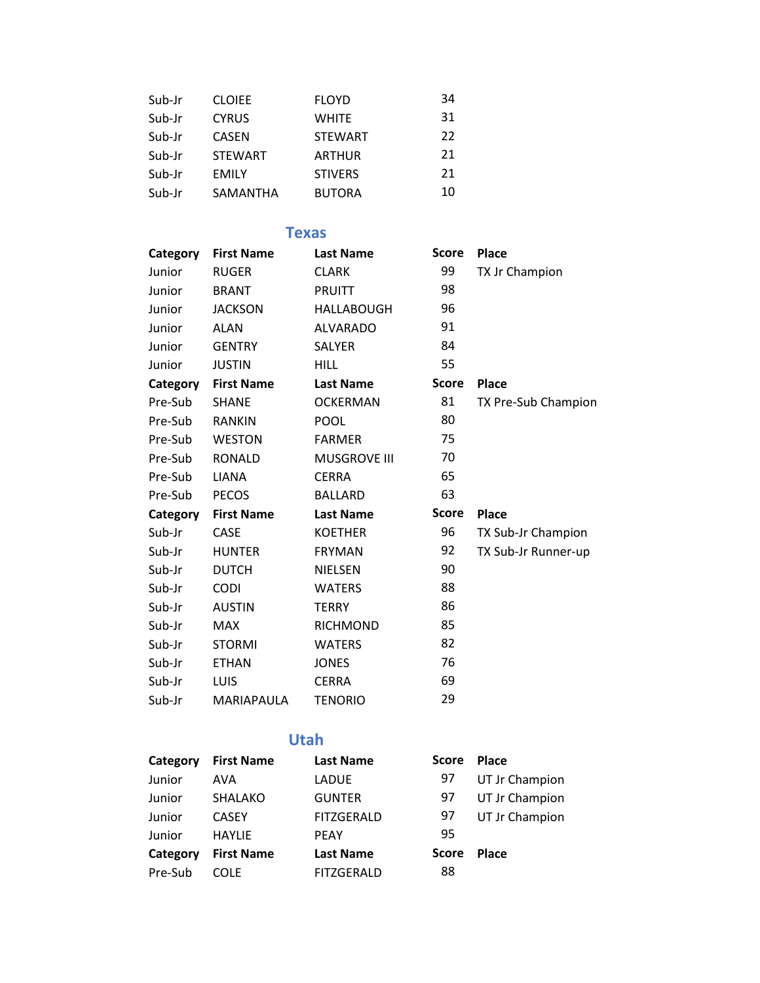| Sub-Jr | <b>CLOIEE</b>  | <b>FLOYD</b>   | 34 |
|--------|----------------|----------------|----|
| Sub-Jr | <b>CYRUS</b>   | <b>WHITE</b>   | 31 |
| Sub-Jr | <b>CASEN</b>   | <b>STEWART</b> | 22 |
| Sub-Jr | <b>STEWART</b> | <b>ARTHUR</b>  | 21 |
| Sub-Jr | <b>EMILY</b>   | <b>STIVERS</b> | 21 |
| Sub-Jr | SAMANTHA       | <b>BUTORA</b>  | 10 |

### **Texas**

| Category | <b>First Name</b> | <b>Last Name</b>    | <b>Score</b> | <b>Place</b>        |
|----------|-------------------|---------------------|--------------|---------------------|
| Junior   | <b>RUGER</b>      | <b>CLARK</b>        | 99           | TX Jr Champion      |
| Junior   | <b>BRANT</b>      | <b>PRUITT</b>       | 98           |                     |
| Junior   | <b>JACKSON</b>    | <b>HALLABOUGH</b>   | 96           |                     |
| Junior   | <b>ALAN</b>       | <b>ALVARADO</b>     | 91           |                     |
| Junior   | <b>GENTRY</b>     | <b>SALYER</b>       | 84           |                     |
| Junior   | <b>JUSTIN</b>     | <b>HILL</b>         | 55           |                     |
| Category | <b>First Name</b> | <b>Last Name</b>    | <b>Score</b> | Place               |
| Pre-Sub  | <b>SHANE</b>      | <b>OCKERMAN</b>     | 81           | TX Pre-Sub Champion |
| Pre-Sub  | <b>RANKIN</b>     | <b>POOL</b>         | 80           |                     |
| Pre-Sub  | <b>WESTON</b>     | <b>FARMER</b>       | 75           |                     |
| Pre-Sub  | <b>RONALD</b>     | <b>MUSGROVE III</b> | 70           |                     |
| Pre-Sub  | <b>LIANA</b>      | <b>CERRA</b>        | 65           |                     |
| Pre-Sub  | <b>PECOS</b>      | <b>BALLARD</b>      | 63           |                     |
| Category | <b>First Name</b> | <b>Last Name</b>    | <b>Score</b> | Place               |
| Sub-Jr   | CASE              | <b>KOETHER</b>      | 96           | TX Sub-Jr Champion  |
| Sub-Jr   | <b>HUNTER</b>     | <b>FRYMAN</b>       | 92           | TX Sub-Jr Runner-up |
| Sub-Jr   | <b>DUTCH</b>      | <b>NIELSEN</b>      | 90           |                     |
| Sub-Jr   | <b>CODI</b>       | <b>WATERS</b>       | 88           |                     |
| Sub-Jr   | <b>AUSTIN</b>     | <b>TERRY</b>        | 86           |                     |
| Sub-Jr   | <b>MAX</b>        | <b>RICHMOND</b>     | 85           |                     |
| Sub-Jr   | <b>STORMI</b>     | <b>WATERS</b>       | 82           |                     |
| Sub-Jr   | <b>ETHAN</b>      | <b>JONES</b>        | 76           |                     |
| Sub-Jr   | LUIS              | <b>CERRA</b>        | 69           |                     |
| Sub-Jr   | MARIAPAULA        | <b>TENORIO</b>      | 29           |                     |

## **Utah**

| Category | <b>First Name</b> | <b>Last Name</b>  | <b>Score</b> | <b>Place</b>   |
|----------|-------------------|-------------------|--------------|----------------|
| Junior   | AVA               | LADUE             | 97           | UT Jr Champion |
| Junior   | SHALAKO           | <b>GUNTER</b>     | 97           | UT Jr Champion |
| Junior   | <b>CASEY</b>      | <b>FITZGERALD</b> | 97           | UT Jr Champion |
| Junior   | <b>HAYLIE</b>     | <b>PEAY</b>       | 95           |                |
| Category | <b>First Name</b> | <b>Last Name</b>  | <b>Score</b> | <b>Place</b>   |
| Pre-Sub  | COLE.             | <b>FITZGERALD</b> | 88           |                |